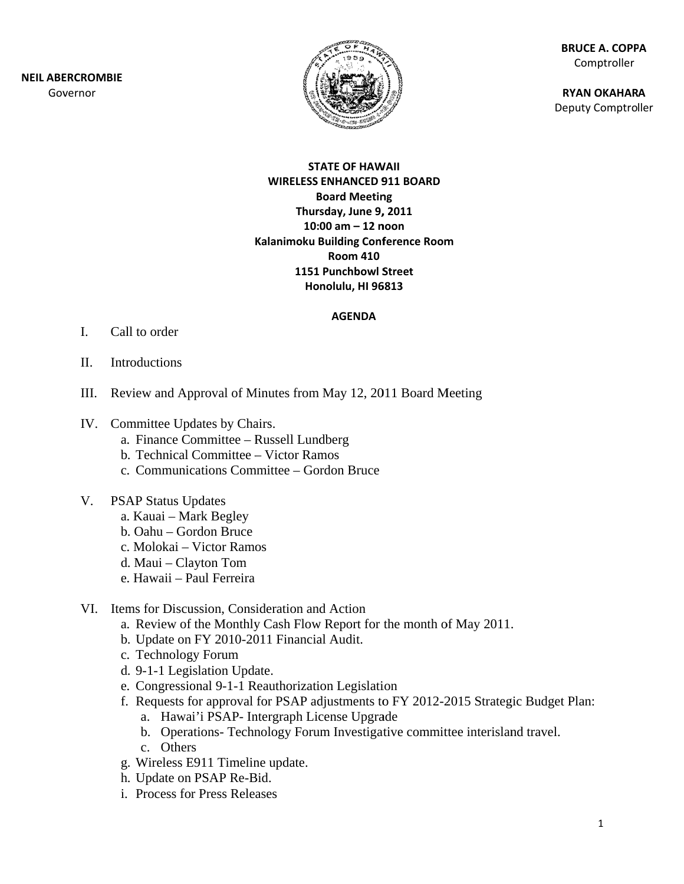**NEIL ABERCROMBIE** Governor



**BRUCE A. COPPA** Comptroller

**RYAN OKAHARA Deputy Comptroller** 

#### **STATE OF HAWAII WIRELESS ENHANCED 911 BOARD Board Meeting** Thursday, June 9, 2011 10:00 am  $-$  12 noon Kalanimoku Building Conference Room **Room 410 1151 Punchbowl Street** Honolulu, HI 96813

#### **AGENDA**

- $\mathbf{L}$ Call to order
- II. **Introductions**
- III. Review and Approval of Minutes from May 12, 2011 Board Meeting
- IV. Committee Updates by Chairs.
	- a. Finance Committee Russell Lundberg
	- b. Technical Committee Victor Ramos
	- c. Communications Committee Gordon Bruce
- V. PSAP Status Updates
	- a. Kauai Mark Begley
	- b. Oahu Gordon Bruce
	- c. Molokai Victor Ramos
	- d. Maui Clayton Tom
	- e. Hawaii Paul Ferreira
- VI. Items for Discussion, Consideration and Action
	- a. Review of the Monthly Cash Flow Report for the month of May 2011.
	- b. Update on FY 2010-2011 Financial Audit.
	- c. Technology Forum
	- d. 9-1-1 Legislation Update.
	- e. Congressional 9-1-1 Reauthorization Legislation
	- f. Requests for approval for PSAP adjustments to FY 2012-2015 Strategic Budget Plan:
		- a. Hawai'i PSAP- Intergraph License Upgrade
		- b. Operations-Technology Forum Investigative committee interisland travel.
		- c. Others
	- g. Wireless E911 Timeline update.
	- h. Update on PSAP Re-Bid.
	- i. Process for Press Releases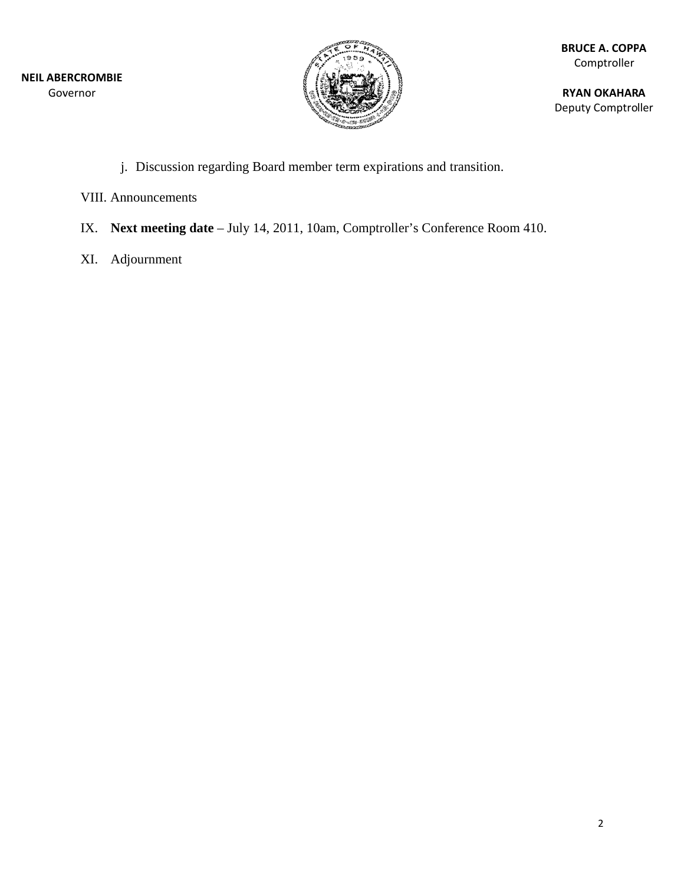

**RYAN OKAHARA** Deputy Comptroller

- j. Discussion regarding Board member term expirations and transition.
- **VIII.** Announcements
- IX. Next meeting date July 14, 2011, 10am, Comptroller's Conference Room 410.
- XI. Adjournment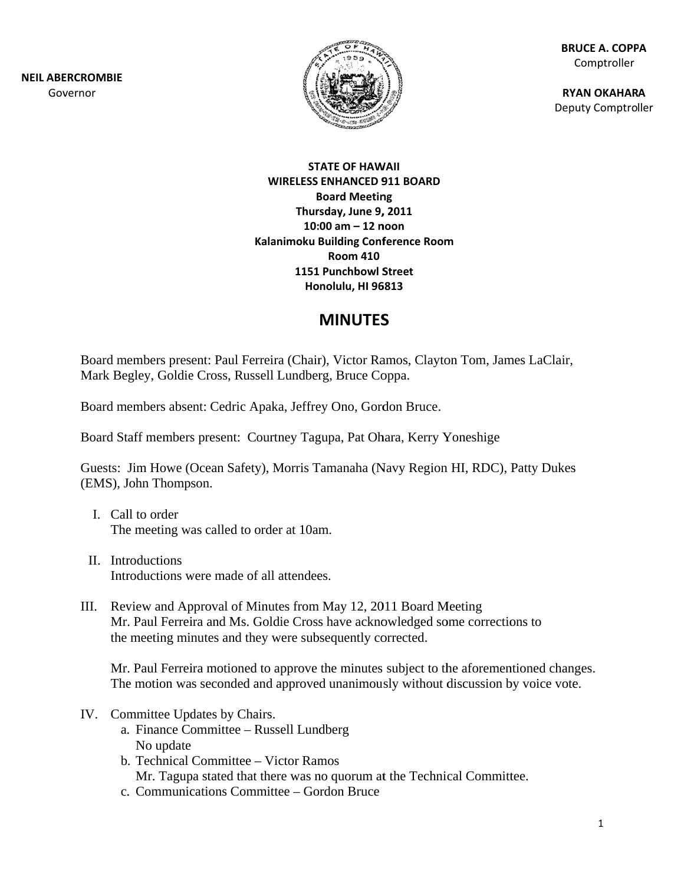**NEIL ABERCROMBIE** Governor



**BRUCE A. COPPA** Comptroller

**RYAN OKAHARA** Deputy Comptroller

#### **STATE OF HAWAII WIRELESS ENHANCED 911 BOARD Board Meeting** Thursday, June 9, 2011 10:00 am  $-$  12 noon Kalanimoku Building Conference Room **Room 410 1151 Punchbowl Street** Honolulu, HI 96813

## **MINUTES**

Board members present: Paul Ferreira (Chair), Victor Ramos, Clayton Tom, James LaClair, Mark Begley, Goldie Cross, Russell Lundberg, Bruce Coppa.

Board members absent: Cedric Apaka, Jeffrey Ono, Gordon Bruce.

Board Staff members present: Courtney Tagupa, Pat Ohara, Kerry Yoneshige

Guests: Jim Howe (Ocean Safety), Morris Tamanaha (Navy Region HI, RDC), Patty Dukes (EMS), John Thompson.

- I. Call to order The meeting was called to order at 10am.
- II. Introductions Introductions were made of all attendees.
- III. Review and Approval of Minutes from May 12, 2011 Board Meeting Mr. Paul Ferreira and Ms. Goldie Cross have acknowledged some corrections to the meeting minutes and they were subsequently corrected.

Mr. Paul Ferreira motioned to approve the minutes subject to the aforementioned changes. The motion was seconded and approved unanimously without discussion by voice vote.

- IV. Committee Updates by Chairs.
	- a. Finance Committee Russell Lundberg No update
	- b. Technical Committee Victor Ramos Mr. Tagupa stated that there was no quorum at the Technical Committee.
	- c. Communications Committee Gordon Bruce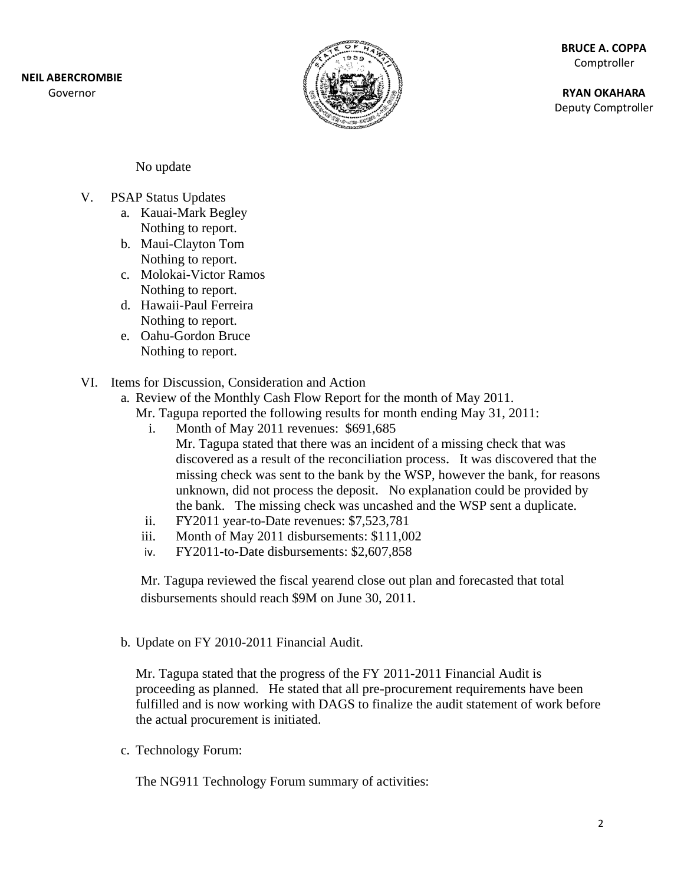Governor



**BRUCE A. COPPA** Comptroller

**RYAN OKAHARA** Deputy Comptroller

No update

- $V_{\cdot}$ **PSAP Status Updates** 
	- a. Kauai-Mark Begley Nothing to report.
	- b. Maui-Clayton Tom Nothing to report.
	- c. Molokai-Victor Ramos Nothing to report.
	- d. Hawaii-Paul Ferreira Nothing to report.
	- e. Oahu-Gordon Bruce Nothing to report.
- VI. Items for Discussion. Consideration and Action
	- a. Review of the Monthly Cash Flow Report for the month of May 2011.
		- Mr. Tagupa reported the following results for month ending May 31, 2011:
			- Month of May 2011 revenues: \$691,685  $\mathbf{i}$ . Mr. Tagupa stated that there was an incident of a missing check that was discovered as a result of the reconciliation process. It was discovered that the missing check was sent to the bank by the WSP, however the bank, for reasons unknown, did not process the deposit. No explanation could be provided by the bank. The missing check was uncashed and the WSP sent a duplicate.
			- FY2011 year-to-Date revenues: \$7,523,781 ii.
		- iii. Month of May 2011 disbursements: \$111,002
		- iv. FY2011-to-Date disbursements: \$2,607,858

Mr. Tagupa reviewed the fiscal yearend close out plan and forecasted that total disbursements should reach \$9M on June 30, 2011.

b. Update on FY 2010-2011 Financial Audit.

Mr. Tagupa stated that the progress of the FY 2011-2011 Financial Audit is proceeding as planned. He stated that all pre-procurement requirements have been fulfilled and is now working with DAGS to finalize the audit statement of work before the actual procurement is initiated.

c. Technology Forum:

The NG911 Technology Forum summary of activities: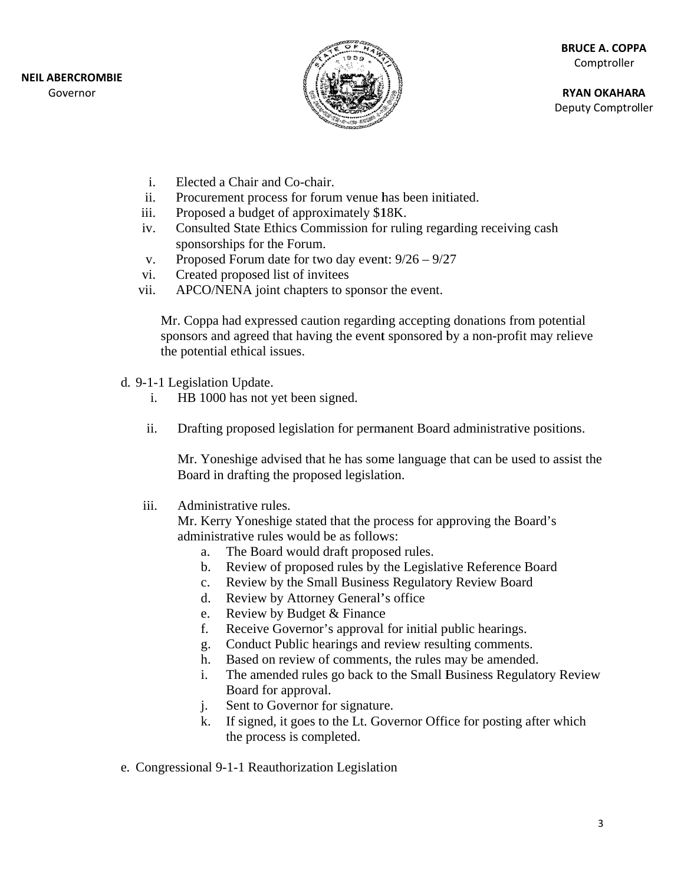

**RYAN OKAHARA** Deputy Comptroller

- $\mathbf{i}$ . Elected a Chair and Co-chair.
- $ii.$ Procurement process for forum venue has been initiated.
- iii. Proposed a budget of approximately \$18K.
- Consulted State Ethics Commission for ruling regarding receiving cash iv. sponsorships for the Forum.
- Proposed Forum date for two day event:  $9/26 9/27$  $V_{\bullet}$
- Created proposed list of invitees vi.
- APCO/NENA joint chapters to sponsor the event. vii.

Mr. Coppa had expressed caution regarding accepting donations from potential sponsors and agreed that having the event sponsored by a non-profit may relieve the potential ethical issues.

- d. 9-1-1 Legislation Update.
	- $\mathbf{i}$ . HB 1000 has not yet been signed.
	- ii. Drafting proposed legislation for permanent Board administrative positions.

Mr. Yoneshige advised that he has some language that can be used to assist the Board in drafting the proposed legislation.

iii. Administrative rules.

> Mr. Kerry Yoneshige stated that the process for approving the Board's administrative rules would be as follows:

- The Board would draft proposed rules.  $a^{\dagger}$
- Review of proposed rules by the Legislative Reference Board  $b.$
- $\mathbf{c}$ . Review by the Small Business Regulatory Review Board
- Review by Attorney General's office d.
- Review by Budget & Finance e.
- Receive Governor's approval for initial public hearings. f.
- Conduct Public hearings and review resulting comments. g.
- Based on review of comments, the rules may be amended. h.
- The amended rules go back to the Small Business Regulatory Review i. Board for approval.
- Sent to Governor for signature.  $\mathbf{i}$ .
- If signed, it goes to the Lt. Governor Office for posting after which k. the process is completed.
- e. Congressional 9-1-1 Reauthorization Legislation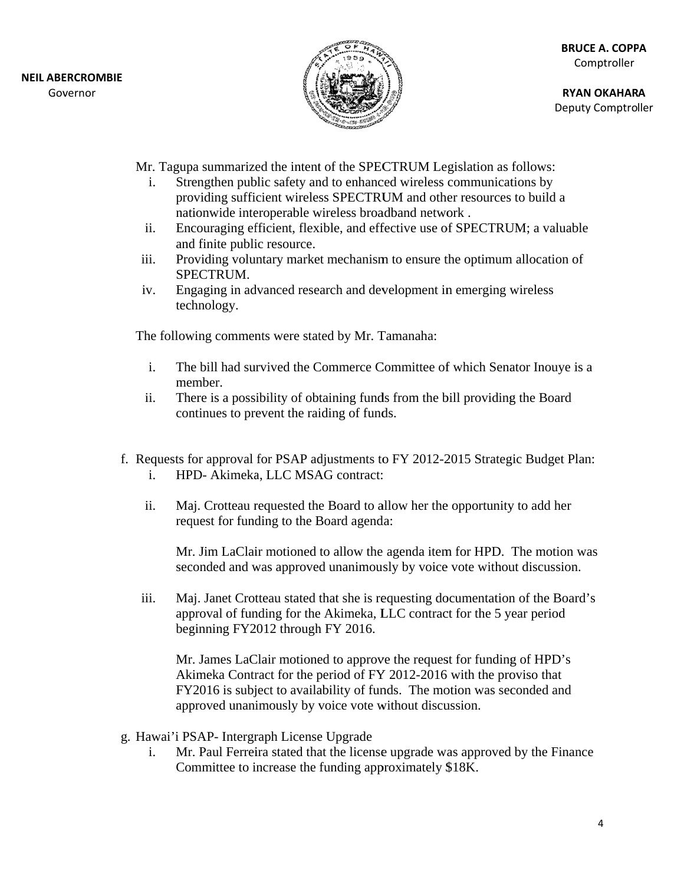

**RYAN OKAHARA** Deputy Comptroller

Mr. Tagupa summarized the intent of the SPECTRUM Legislation as follows:

- Strengthen public safety and to enhanced wireless communications by  $\mathbf{i}$ . providing sufficient wireless SPECTRUM and other resources to build a nationwide interoperable wireless broadband network.
- Encouraging efficient, flexible, and effective use of SPECTRUM; a valuable ii. and finite public resource.
- Providing voluntary market mechanism to ensure the optimum allocation of iii. SPECTRUM.
- Engaging in advanced research and development in emerging wireless iv. technology.

The following comments were stated by Mr. Tamanaha:

- $\mathbf{i}$ . The bill had survived the Commerce Committee of which Senator Inouye is a member.
- There is a possibility of obtaining funds from the bill providing the Board  $ii.$ continues to prevent the raiding of funds.
- f. Requests for approval for PSAP adjustments to FY 2012-2015 Strategic Budget Plan: HPD- Akimeka, LLC MSAG contract:  $\mathbf{i}$ .
	- $ii.$ Maj. Crotteau requested the Board to allow her the opportunity to add her request for funding to the Board agenda:

Mr. Jim LaClair motioned to allow the agenda item for HPD. The motion was seconded and was approved unanimously by voice vote without discussion.

iii. Maj. Janet Crotteau stated that she is requesting documentation of the Board's approval of funding for the Akimeka, LLC contract for the 5 year period beginning FY2012 through FY 2016.

Mr. James LaClair motioned to approve the request for funding of HPD's Akimeka Contract for the period of FY 2012-2016 with the proviso that FY2016 is subject to availability of funds. The motion was seconded and approved unanimously by voice vote without discussion.

- g. Hawai'i PSAP- Intergraph License Upgrade
	- Mr. Paul Ferreira stated that the license upgrade was approved by the Finance i. Committee to increase the funding approximately \$18K.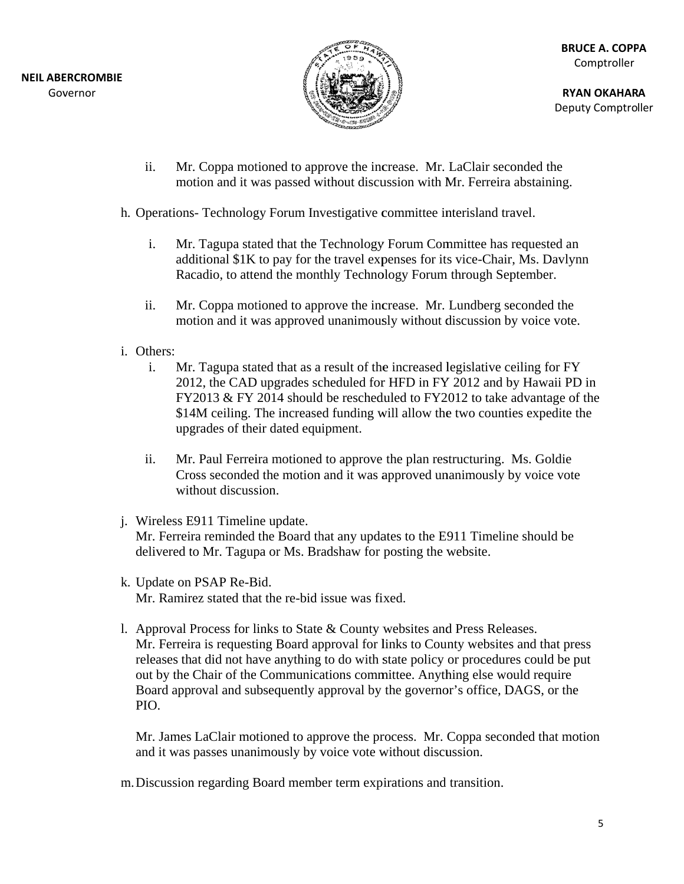

**RY YAN OKAHAR A** Deputy Comptroller

- ii. Mr. Coppa motioned to approve the increase. Mr. LaClair seconded the motion and it was passed without discussion with Mr. Ferreira abstaining.
- h. Operations- Technology Forum Investigative committee interisland travel.
	- i. Mr. Tagupa stated that the Technology Forum Committee has requested an Mr. Tagupa stated that the Technology Forum Committee has requested an additional \$1K to pay for the travel expenses for its vice-Chair, Ms. Davlynn Racadio, to attend the monthly Technology Forum through September.
	- ii. Mr. Coppa motioned to approve the increase. Mr. Lundberg seconded the motion and it was approved unanimously without discussion by voice vote.
- i. Others:
	- i. Mr. Tagupa stated that as a result of the increased legislative ceiling for FY Mr. Tagupa stated that as a result of the increased legislative ceiling for FY<br>2012, the CAD upgrades scheduled for HFD in FY 2012 and by Hawaii PD in  $FY2013 & FY 2014$  should be rescheduled to  $FY2012$  to take advantage of the \$14M ceiling. The increased funding will allow the two counties expedite the upgrades of their dated equipment.
	- ii. Mr. Paul Ferreira motioned to approve the plan restructuring. Ms. Goldie Cross seconded the motion and it was approved unanimously by voice vote without discussion.
- j. Wireless E911 Timeline update. Mr. Ferreira reminded the Board that any updates to the E911 Timeline should be delivered to Mr. Tagupa or Ms. Bradshaw for posting the website.
- k . Update on PSAP Re-B Bid. Mr. Ramirez stated that the re-bid issue was fixed.
- 1. Approval Process for links to State  $&$  County websites and Press Releases. Mr. Ferreira is requesting Board approval for links to County websites and that press releases that did not have anything to do with state policy or procedures could be put out by the Chair of the Communications committee. Anything else would require Board approval and subsequently approval by the governor's office, DAGS, or the PIO. Board approval and subsequently approval by the governor's office, DAGS, or the<br>PIO.<br>Mr. James LaClair motioned to approve the process. Mr. Coppa seconded that motion

and it was passes unanimously by voice vote without discussion.

m. Discussion regarding Board member term expirations and transition.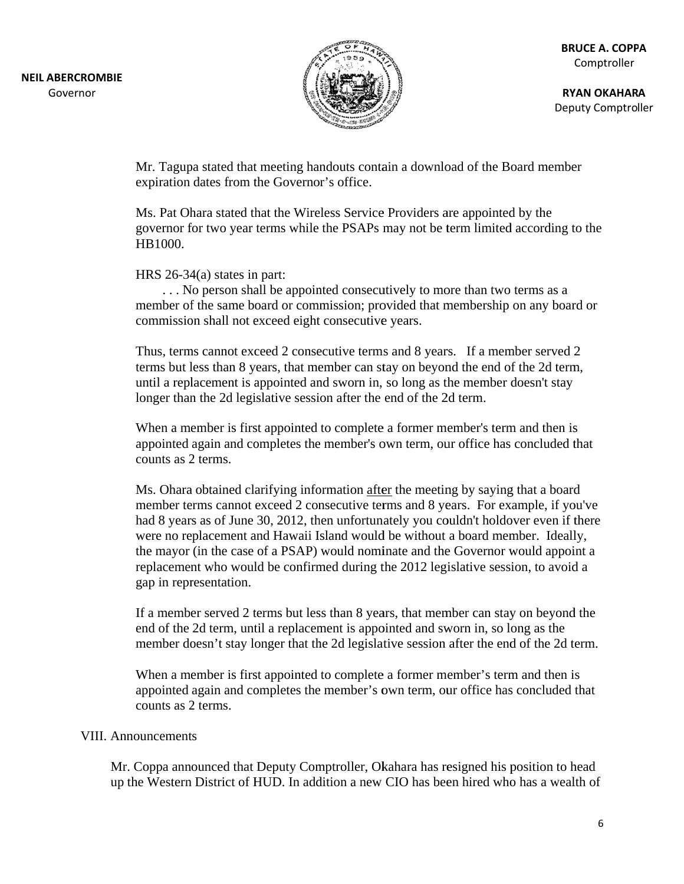

**RYAN OKAHARA** Deputy Comptroller

Mr. Tagupa stated that meeting handouts contain a download of the Board member expiration dates from the Governor's office.

Ms. Pat Ohara stated that the Wireless Service Providers are appointed by the governor for two year terms while the PSAPs may not be term limited according to the HB1000.

HRS  $26-34(a)$  states in part:

... No person shall be appointed consecutively to more than two terms as a member of the same board or commission; provided that membership on any board or commission shall not exceed eight consecutive years.

Thus, terms cannot exceed 2 consecutive terms and 8 years. If a member served 2 terms but less than 8 years, that member can stay on beyond the end of the 2d term, until a replacement is appointed and sworn in, so long as the member doesn't stav longer than the 2d legislative session after the end of the 2d term.

When a member is first appointed to complete a former member's term and then is appointed again and completes the member's own term, our office has concluded that counts as 2 terms.

Ms. Ohara obtained clarifying information after the meeting by saying that a board member terms cannot exceed 2 consecutive terms and 8 years. For example, if you've had 8 years as of June 30, 2012, then unfortunately you couldn't holdover even if there were no replacement and Hawaii Island would be without a board member. Ideally, the mayor (in the case of a PSAP) would nominate and the Governor would appoint a replacement who would be confirmed during the 2012 legislative session, to avoid a gap in representation.

If a member served 2 terms but less than 8 years, that member can stay on beyond the end of the 2d term, until a replacement is appointed and sworn in, so long as the member doesn't stay longer that the 2d legislative session after the end of the 2d term.

When a member is first appointed to complete a former member's term and then is appointed again and completes the member's own term, our office has concluded that counts as 2 terms.

#### **VIII.** Announcements

Mr. Coppa announced that Deputy Comptroller, Okahara has resigned his position to head up the Western District of HUD. In addition a new CIO has been hired who has a wealth of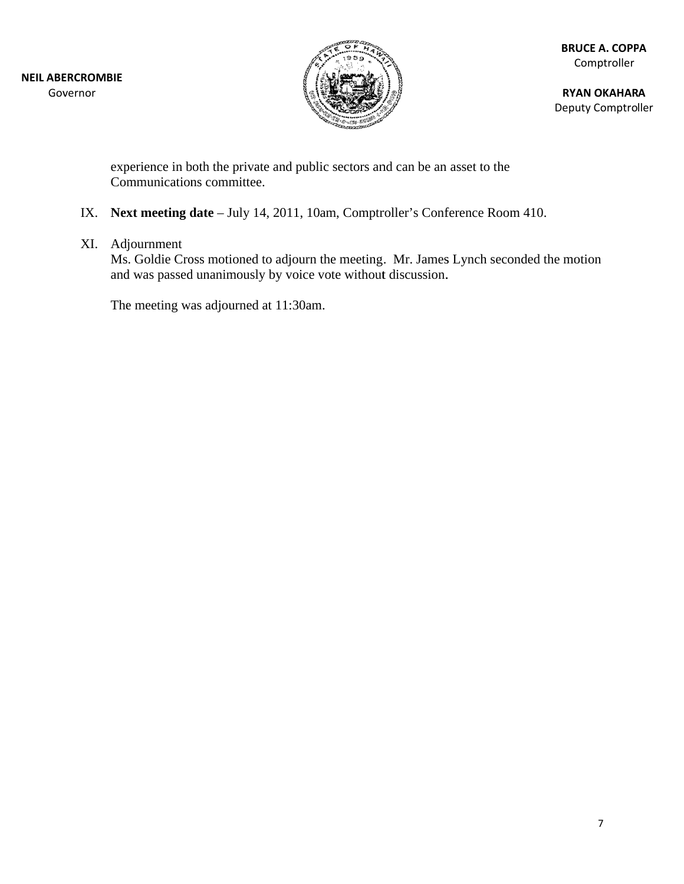

**RYAN OKAHARA** Deputy Comptroller

experience in both the private and public sectors and can be an asset to the Communications committee.

### IX. Next meeting date - July 14, 2011, 10am, Comptroller's Conference Room 410.

### XI. Adjournment

Ms. Goldie Cross motioned to adjourn the meeting. Mr. James Lynch seconded the motion and was passed unanimously by voice vote without discussion.

The meeting was adjourned at 11:30am.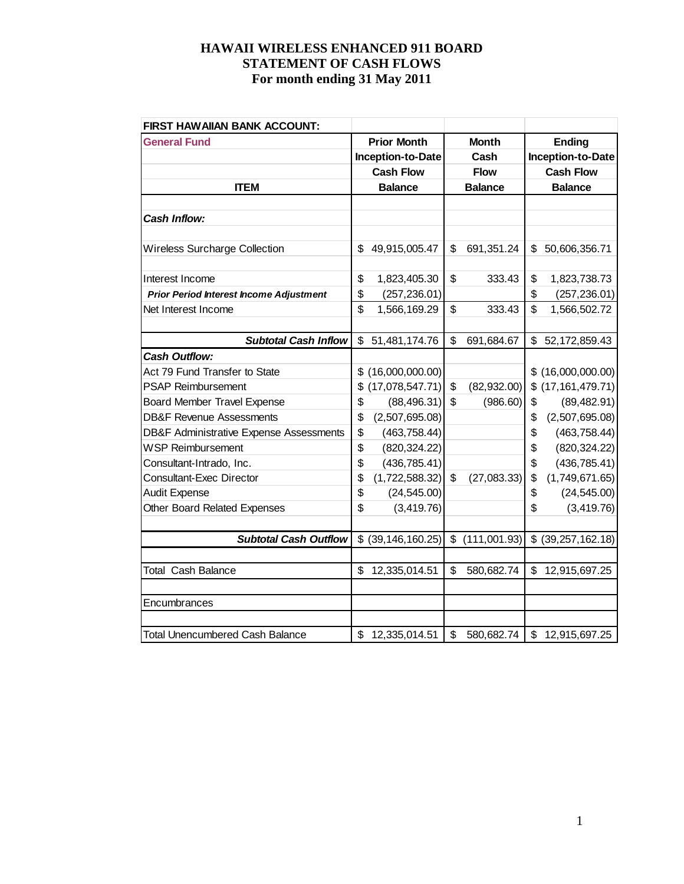| FIRST HAWAIIAN BANK ACCOUNT:                       |                         |                    |                        |
|----------------------------------------------------|-------------------------|--------------------|------------------------|
| <b>General Fund</b>                                | <b>Prior Month</b>      | <b>Month</b>       | <b>Ending</b>          |
|                                                    | Inception-to-Date       | Cash               | Inception-to-Date      |
|                                                    | <b>Cash Flow</b>        | <b>Flow</b>        | <b>Cash Flow</b>       |
| <b>ITEM</b>                                        | <b>Balance</b>          | <b>Balance</b>     | <b>Balance</b>         |
|                                                    |                         |                    |                        |
| Cash Inflow:                                       |                         |                    |                        |
|                                                    |                         |                    |                        |
| <b>Wireless Surcharge Collection</b>               | \$<br>49,915,005.47     | \$<br>691,351.24   | \$<br>50,606,356.71    |
|                                                    |                         |                    |                        |
| Interest Income                                    | \$<br>1,823,405.30      | \$<br>333.43       | \$<br>1,823,738.73     |
| <b>Prior Period Interest Income Adjustment</b>     | \$<br>(257, 236.01)     |                    | \$<br>(257, 236.01)    |
| Net Interest Income                                | \$<br>1,566,169.29      | \$<br>333.43       | \$<br>1,566,502.72     |
|                                                    |                         |                    |                        |
| <b>Subtotal Cash Inflow</b>                        | \$<br>51,481,174.76     | \$<br>691,684.67   | \$<br>52, 172, 859. 43 |
| <b>Cash Outflow:</b>                               |                         |                    |                        |
| Act 79 Fund Transfer to State                      | \$<br>(16,000,000.00)   |                    | \$(16,000,000.00)      |
| <b>PSAP Reimbursement</b>                          | \$<br>(17,078,547.71)   | \$<br>(82, 932.00) | \$ (17, 161, 479.71)   |
| <b>Board Member Travel Expense</b>                 | \$<br>(88, 496.31)      | \$<br>(986.60)     | \$<br>(89, 482.91)     |
| <b>DB&amp;F Revenue Assessments</b>                | \$<br>(2,507,695.08)    |                    | \$<br>(2,507,695.08)   |
| <b>DB&amp;F Administrative Expense Assessments</b> | \$<br>(463, 758.44)     |                    | \$<br>(463, 758.44)    |
| <b>WSP Reimbursement</b>                           | \$<br>(820, 324.22)     |                    | \$<br>(820, 324.22)    |
| Consultant-Intrado, Inc.                           | \$<br>(436, 785.41)     |                    | \$<br>(436, 785.41)    |
| <b>Consultant-Exec Director</b>                    | \$<br>(1,722,588.32)    | \$<br>(27,083.33)  | \$<br>(1,749,671.65)   |
| <b>Audit Expense</b>                               | \$<br>(24, 545.00)      |                    | \$<br>(24, 545.00)     |
| <b>Other Board Related Expenses</b>                | \$<br>(3, 419.76)       |                    | \$<br>(3, 419.76)      |
|                                                    |                         |                    |                        |
| <b>Subtotal Cash Outflow</b>                       | \$<br>(39, 146, 160.25) | \$<br>(111,001.93) | $$$ (39,257,162.18)    |
|                                                    |                         |                    |                        |
| <b>Total Cash Balance</b>                          | \$<br>12,335,014.51     | \$<br>580,682.74   | \$<br>12,915,697.25    |
|                                                    |                         |                    |                        |
| Encumbrances                                       |                         |                    |                        |
|                                                    |                         |                    |                        |
| <b>Total Unencumbered Cash Balance</b>             | \$<br>12,335,014.51     | \$<br>580,682.74   | \$12,915,697.25        |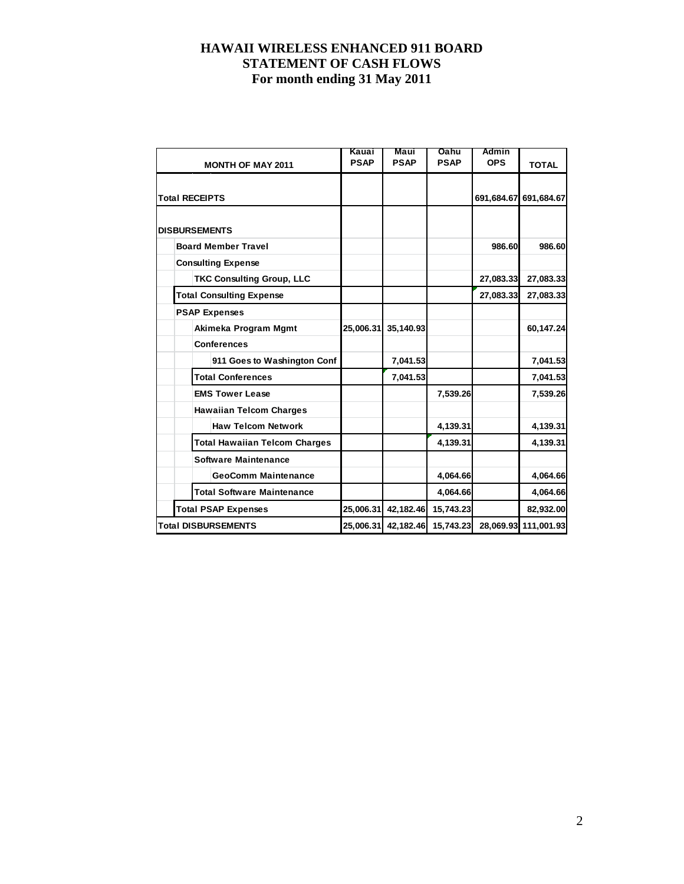| <b>MONTH OF MAY 2011</b>             | Kauai<br><b>PSAP</b> | Maui<br><b>PSAP</b> | Oahu<br><b>PSAP</b> | Admin<br><b>OPS</b> | <b>TOTAL</b>          |
|--------------------------------------|----------------------|---------------------|---------------------|---------------------|-----------------------|
|                                      |                      |                     |                     |                     |                       |
| <b>Total RECEIPTS</b>                |                      |                     |                     |                     | 691,684.67 691,684.67 |
|                                      |                      |                     |                     |                     |                       |
| <b>DISBURSEMENTS</b>                 |                      |                     |                     |                     |                       |
| <b>Board Member Travel</b>           |                      |                     |                     | 986.60              | 986.60                |
| <b>Consulting Expense</b>            |                      |                     |                     |                     |                       |
| <b>TKC Consulting Group, LLC</b>     |                      |                     |                     | 27,083.33           | 27,083.33             |
| <b>Total Consulting Expense</b>      |                      |                     |                     | 27,083.33           | 27,083.33             |
| <b>PSAP Expenses</b>                 |                      |                     |                     |                     |                       |
| Akimeka Program Mgmt                 | 25,006.31            | 35,140.93           |                     |                     | 60,147.24             |
| <b>Conferences</b>                   |                      |                     |                     |                     |                       |
| 911 Goes to Washington Conf          |                      | 7,041.53            |                     |                     | 7,041.53              |
| <b>Total Conferences</b>             |                      | 7,041.53            |                     |                     | 7,041.53              |
| <b>EMS Tower Lease</b>               |                      |                     | 7,539.26            |                     | 7,539.26              |
| <b>Hawaiian Telcom Charges</b>       |                      |                     |                     |                     |                       |
| <b>Haw Telcom Network</b>            |                      |                     | 4,139.31            |                     | 4,139.31              |
| <b>Total Hawaiian Telcom Charges</b> |                      |                     | 4,139.31            |                     | 4,139.31              |
| <b>Software Maintenance</b>          |                      |                     |                     |                     |                       |
| <b>GeoComm Maintenance</b>           |                      |                     | 4,064.66            |                     | 4,064.66              |
| <b>Total Software Maintenance</b>    |                      |                     | 4.064.66            |                     | 4.064.66              |
| <b>Total PSAP Expenses</b>           | 25,006.31            | 42,182.46           | 15,743.23           |                     | 82,932.00             |
| <b>Total DISBURSEMENTS</b>           | 25,006.31            | 42,182.46           | 15,743.23           |                     | 28,069.93 111,001.93  |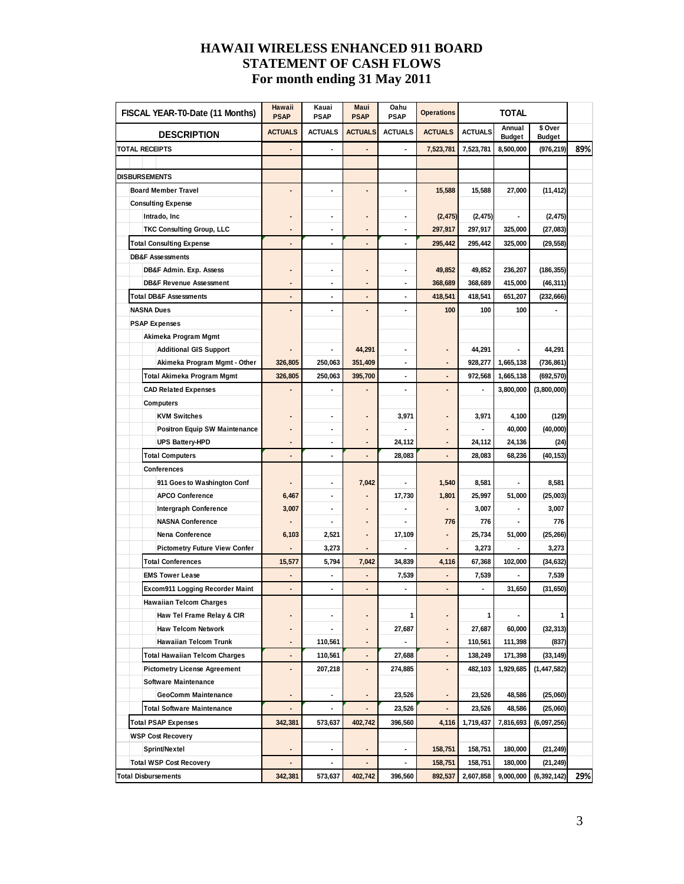| FISCAL YEAR-T0-Date (11 Months)      | Hawaii<br><b>PSAP</b>    | Kauai<br>PSAP            | Maui<br><b>PSAP</b>      | Oahu<br><b>PSAP</b> | <b>Operations</b>            | <b>TOTAL</b>                    |                         |                          |     |
|--------------------------------------|--------------------------|--------------------------|--------------------------|---------------------|------------------------------|---------------------------------|-------------------------|--------------------------|-----|
| <b>DESCRIPTION</b>                   | <b>ACTUALS</b>           | <b>ACTUALS</b>           | <b>ACTUALS</b>           | <b>ACTUALS</b>      | <b>ACTUALS</b>               | <b>ACTUALS</b>                  | Annual<br><b>Budget</b> | \$ Over<br><b>Budget</b> |     |
| <b>TOTAL RECEIPTS</b>                | ٠                        |                          |                          |                     | 7,523,781                    | 7,523,781                       | 8,500,000               | (976, 219)               | 89% |
|                                      |                          |                          |                          |                     |                              |                                 |                         |                          |     |
| <b>DISBURSEMENTS</b>                 |                          |                          |                          |                     |                              |                                 |                         |                          |     |
| <b>Board Member Travel</b>           |                          | $\overline{\phantom{a}}$ |                          | $\blacksquare$      | 15,588                       | 15,588                          | 27,000                  | (11, 412)                |     |
| <b>Consulting Expense</b>            |                          |                          |                          |                     |                              |                                 |                         |                          |     |
| Intrado, Inc                         |                          | ٠                        |                          | $\blacksquare$      | (2, 475)                     | (2, 475)                        |                         | (2, 475)                 |     |
| <b>TKC Consulting Group, LLC</b>     |                          |                          |                          |                     | 297,917                      | 297,917                         | 325,000                 | (27, 083)                |     |
| <b>Total Consulting Expense</b>      |                          |                          |                          |                     | 295,442                      | 295,442                         | 325,000                 | (29, 558)                |     |
| <b>DB&amp;F Assessments</b>          |                          |                          |                          |                     |                              |                                 |                         |                          |     |
| DB&F Admin. Exp. Assess              |                          | ٠                        |                          | $\blacksquare$      | 49,852                       | 49,852<br>236,207<br>(186, 355) |                         |                          |     |
| <b>DB&amp;F Revenue Assessment</b>   |                          |                          |                          |                     | 368,689                      | 368,689<br>415,000<br>(46, 311) |                         |                          |     |
| <b>Total DB&amp;F Assessments</b>    |                          |                          |                          |                     | 418,541                      | 418,541                         | 651,207                 | (232, 666)               |     |
| <b>NASNA Dues</b>                    |                          |                          |                          |                     | 100                          | 100                             | 100                     |                          |     |
| <b>PSAP Expenses</b>                 |                          |                          |                          |                     |                              |                                 |                         |                          |     |
| Akimeka Program Mgmt                 |                          |                          |                          |                     |                              |                                 |                         |                          |     |
| <b>Additional GIS Support</b>        |                          |                          | 44,291                   | $\blacksquare$      |                              | 44,291                          |                         | 44,291                   |     |
| Akimeka Program Mgmt - Other         | 326.805                  | 250,063                  | 351,409                  | ä,                  |                              | 928,277                         | 1,665,138               | (736, 861)               |     |
| Total Akimeka Program Mgmt           | 326,805                  | 250.063                  | 395,700                  | $\blacksquare$      |                              | 972.568                         | 1,665,138               | (692, 570)               |     |
| <b>CAD Related Expenses</b>          |                          |                          |                          | $\blacksquare$      |                              | $\blacksquare$                  | 3,800,000               | (3,800,000)              |     |
| Computers                            |                          |                          |                          |                     |                              |                                 |                         |                          |     |
| <b>KVM Switches</b>                  |                          | $\blacksquare$           |                          | 3,971               |                              | 3,971                           | 4,100                   | (129)                    |     |
| <b>Positron Equip SW Maintenance</b> |                          | ٠                        |                          |                     |                              |                                 | 40,000                  | (40,000)                 |     |
| UPS Battery-HPD                      | ٠                        | ٠                        | $\overline{\phantom{a}}$ | 24,112              | $\blacksquare$               | 24,112                          | 24,136                  | (24)                     |     |
| <b>Total Computers</b>               | $\overline{\phantom{a}}$ | ٠                        | $\overline{\phantom{a}}$ | 28,083              |                              | 28,083                          | 68,236                  | (40, 153)                |     |
| <b>Conferences</b>                   |                          |                          |                          |                     |                              |                                 |                         |                          |     |
| 911 Goes to Washington Conf          |                          | ٠                        | 7,042                    |                     | 1,540                        | 8,581                           |                         | 8,581                    |     |
| <b>APCO Conference</b>               | 6,467                    | $\overline{\phantom{a}}$ |                          | 17,730              | 1,801                        | 25,997                          | 51,000                  | (25,003)                 |     |
| Intergraph Conference                | 3,007                    |                          |                          |                     |                              | 3,007                           |                         | 3,007                    |     |
| <b>NASNA Conference</b>              |                          |                          |                          |                     | 776                          | 776                             |                         | 776                      |     |
| Nena Conference                      | 6,103                    | 2,521                    |                          | 17,109              |                              | 25,734                          | 51,000                  | (25, 266)                |     |
| <b>Pictometry Future View Confer</b> | ٠                        | 3,273                    |                          |                     |                              | 3,273                           |                         | 3,273                    |     |
| <b>Total Conferences</b>             | 15,577                   | 5,794                    | 7,042                    | 34,839              | 4,116                        | 67,368                          | 102,000                 | (34, 632)                |     |
| <b>EMS Tower Lease</b>               |                          |                          |                          | 7,539               |                              | 7,539                           |                         | 7,539                    |     |
| Excom911 Logging Recorder Maint      | $\overline{\phantom{a}}$ | $\blacksquare$           |                          | $\blacksquare$      |                              | $\blacksquare$                  | 31,650                  | (31, 650)                |     |
| <b>Hawaiian Telcom Charges</b>       |                          |                          |                          |                     |                              |                                 |                         |                          |     |
| Haw Tel Frame Relay & CIR            |                          |                          |                          | 1                   |                              | 1                               |                         | 1                        |     |
| <b>Haw Telcom Network</b>            |                          |                          |                          | 27,687              |                              | 27,687                          | 60,000                  | (32, 313)                |     |
| Hawaiian Telcom Trunk                |                          | 110,561                  |                          |                     | $\qquad \qquad \blacksquare$ | 110,561                         | 111,398                 | (837)                    |     |
| <b>Total Hawaiian Telcom Charges</b> | ٠                        | 110,561                  |                          | 27,688              | $\qquad \qquad \blacksquare$ | 138,249                         | 171,398                 | (33, 149)                |     |
| <b>Pictometry License Agreement</b>  |                          | 207,218                  |                          | 274,885             | ۰                            | 482,103                         | 1,929,685               | (1, 447, 582)            |     |
| <b>Software Maintenance</b>          |                          |                          |                          |                     |                              |                                 |                         |                          |     |
| GeoComm Maintenance                  |                          |                          |                          | 23,526              |                              | 23,526                          | 48,586                  | (25,060)                 |     |
| <b>Total Software Maintenance</b>    |                          |                          |                          | 23,526              |                              | 23,526                          | 48,586                  | (25,060)                 |     |
| <b>Total PSAP Expenses</b>           | 342,381                  | 573,637                  | 402,742                  | 396,560             | 4,116                        | 1,719,437                       | 7,816,693               | (6,097,256)              |     |
| <b>WSP Cost Recovery</b>             |                          |                          |                          |                     |                              |                                 |                         |                          |     |
| Sprint/Nextel                        |                          |                          |                          | $\blacksquare$      | 158,751                      | 158,751                         | 180,000                 | (21, 249)                |     |
| <b>Total WSP Cost Recovery</b>       |                          | ٠                        |                          |                     | 158,751                      | 158,751                         | 180,000                 | (21, 249)                |     |
| <b>Total Disbursements</b>           | 342,381                  | 573,637                  | 402,742                  | 396,560             | 892,537                      | 2,607,858                       | 9,000,000               | (6, 392, 142)            | 29% |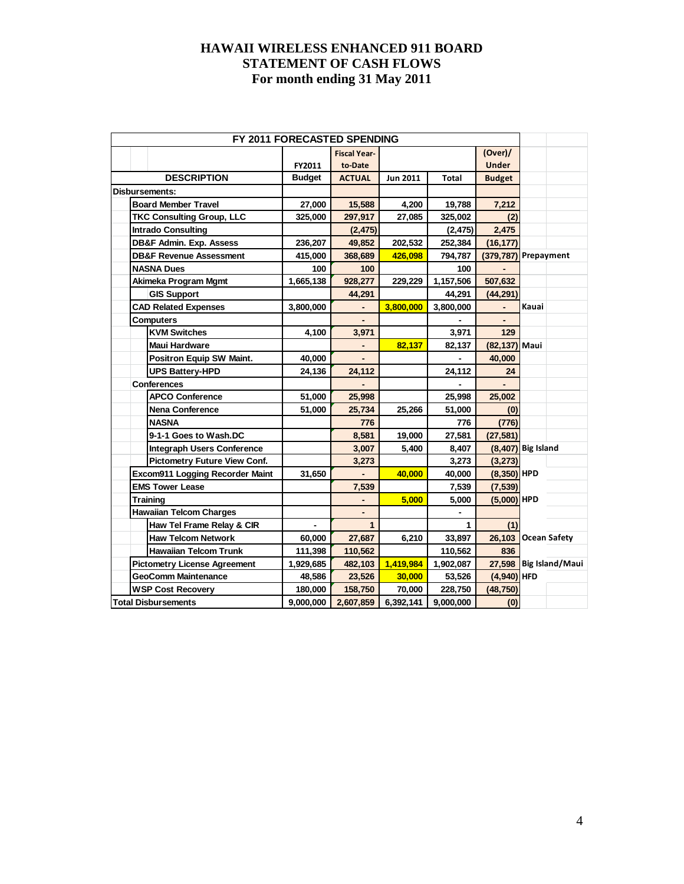| FY 2011 FORECASTED SPENDING         |               |                          |                 |              |                      |       |                        |
|-------------------------------------|---------------|--------------------------|-----------------|--------------|----------------------|-------|------------------------|
|                                     |               | <b>Fiscal Year-</b>      |                 |              | (Over) /             |       |                        |
|                                     | FY2011        | to-Date                  |                 |              | <b>Under</b>         |       |                        |
| <b>DESCRIPTION</b>                  | <b>Budget</b> | <b>ACTUAL</b>            | <b>Jun 2011</b> | <b>Total</b> | <b>Budget</b>        |       |                        |
| Disbursements:                      |               |                          |                 |              |                      |       |                        |
| <b>Board Member Travel</b>          | 27,000        | 15,588                   | 4,200           | 19,788       | 7,212                |       |                        |
| <b>TKC Consulting Group, LLC</b>    | 325,000       | 297,917                  | 27,085          | 325,002      | (2)                  |       |                        |
| <b>Intrado Consulting</b>           |               | (2, 475)                 |                 | (2, 475)     | 2,475                |       |                        |
| <b>DB&amp;F Admin. Exp. Assess</b>  | 236,207       | 49,852                   | 202,532         | 252,384      | (16, 177)            |       |                        |
| <b>DB&amp;F Revenue Assessment</b>  | 415,000       | 368,689                  | 426,098         | 794,787      | (379,787) Prepayment |       |                        |
| <b>NASNA Dues</b>                   | 100           | 100                      |                 | 100          |                      |       |                        |
| Akimeka Program Mgmt                | 1,665,138     | 928,277                  | 229,229         | 1,157,506    | 507,632              |       |                        |
| <b>GIS Support</b>                  |               | 44,291                   |                 | 44,291       | (44, 291)            |       |                        |
| <b>CAD Related Expenses</b>         | 3,800,000     | $\overline{\phantom{a}}$ | 3,800,000       | 3,800,000    |                      | Kauai |                        |
| <b>Computers</b>                    |               |                          |                 |              |                      |       |                        |
| <b>KVM Switches</b>                 | 4,100         | 3,971                    |                 | 3,971        | 129                  |       |                        |
| <b>Maui Hardware</b>                |               |                          | 82,137          | 82,137       | (82,137) Maui        |       |                        |
| Positron Equip SW Maint.            | 40,000        |                          |                 |              | 40,000               |       |                        |
| <b>UPS Battery-HPD</b>              | 24,136        | 24,112                   |                 | 24,112       | 24                   |       |                        |
| <b>Conferences</b>                  |               |                          |                 |              |                      |       |                        |
| <b>APCO Conference</b>              | 51,000        | 25,998                   |                 | 25,998       | 25,002               |       |                        |
| Nena Conference                     | 51,000        | 25,734                   | 25,266          | 51,000       | (0)                  |       |                        |
| <b>NASNA</b>                        |               | 776                      |                 | 776          | (776)                |       |                        |
| 9-1-1 Goes to Wash.DC               |               | 8,581                    | 19,000          | 27,581       | (27, 581)            |       |                        |
| <b>Integraph Users Conference</b>   |               | 3,007                    | 5,400           | 8,407        | $(8,407)$ Big Island |       |                        |
| <b>Pictometry Future View Conf.</b> |               | 3,273                    |                 | 3,273        | (3, 273)             |       |                        |
| Excom911 Logging Recorder Maint     | 31,650        |                          | 40,000          | 40,000       | $(8,350)$ HPD        |       |                        |
| <b>EMS Tower Lease</b>              |               | 7,539                    |                 | 7,539        | (7, 539)             |       |                        |
| <b>Training</b>                     |               |                          | 5,000           | 5,000        | $(5,000)$ HPD        |       |                        |
| <b>Hawaiian Telcom Charges</b>      |               |                          |                 |              |                      |       |                        |
| Haw Tel Frame Relay & CIR           |               | $\mathbf{1}$             |                 | 1            | (1)                  |       |                        |
| <b>Haw Telcom Network</b>           | 60,000        | 27,687                   | 6,210           | 33,897       | 26,103 Ocean Safety  |       |                        |
| <b>Hawaiian Telcom Trunk</b>        | 111,398       | 110,562                  |                 | 110,562      | 836                  |       |                        |
| <b>Pictometry License Agreement</b> | 1,929,685     | 482,103                  | 1,419,984       | 1,902,087    |                      |       | 27,598 Big Island/Maui |
| <b>GeoComm Maintenance</b>          | 48,586        | 23,526                   | 30,000          | 53,526       | $(4,940)$ HFD        |       |                        |
| <b>WSP Cost Recovery</b>            | 180,000       | 158,750                  | 70,000          | 228,750      | (48, 750)            |       |                        |
| <b>Total Disbursements</b>          | 9,000,000     | 2,607,859                | 6,392,141       | 9,000,000    | (0)                  |       |                        |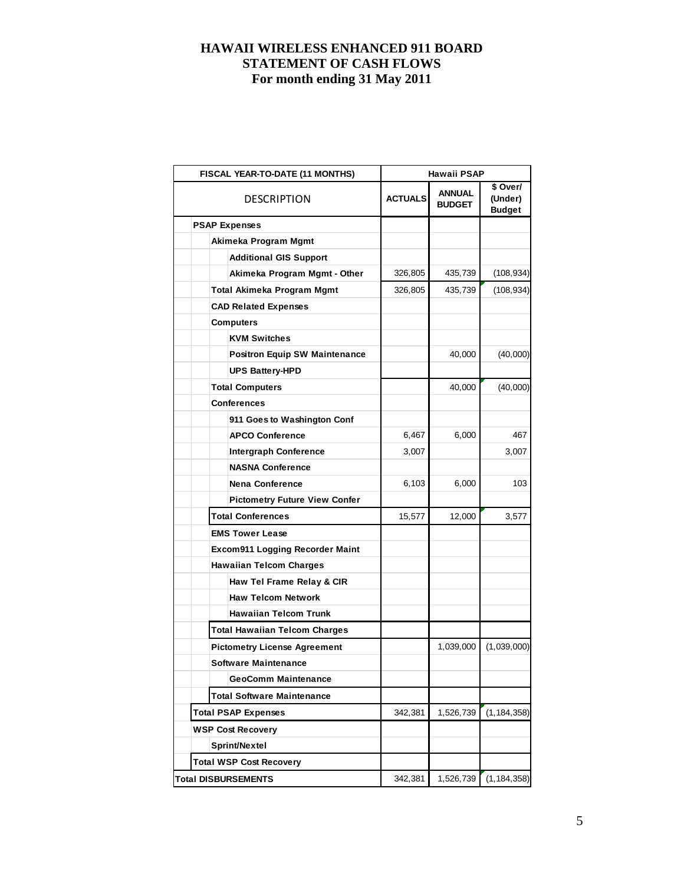| FISCAL YEAR-TO-DATE (11 MONTHS)        | Hawaii PSAP    |                                |                                      |  |  |  |
|----------------------------------------|----------------|--------------------------------|--------------------------------------|--|--|--|
| <b>DESCRIPTION</b>                     | <b>ACTUALS</b> | <b>ANNUAL</b><br><b>BUDGET</b> | \$ Over/<br>(Under)<br><b>Budget</b> |  |  |  |
| <b>PSAP Expenses</b>                   |                |                                |                                      |  |  |  |
| Akimeka Program Mgmt                   |                |                                |                                      |  |  |  |
| <b>Additional GIS Support</b>          |                |                                |                                      |  |  |  |
| Akimeka Program Mgmt - Other           | 326,805        | 435,739                        | (108, 934)                           |  |  |  |
| <b>Total Akimeka Program Mgmt</b>      | 326,805        | 435,739                        | (108, 934)                           |  |  |  |
| <b>CAD Related Expenses</b>            |                |                                |                                      |  |  |  |
| <b>Computers</b>                       |                |                                |                                      |  |  |  |
| <b>KVM Switches</b>                    |                |                                |                                      |  |  |  |
| <b>Positron Equip SW Maintenance</b>   |                | 40,000                         | (40,000)                             |  |  |  |
| <b>UPS Battery-HPD</b>                 |                |                                |                                      |  |  |  |
| <b>Total Computers</b>                 |                | 40,000                         | (40,000)                             |  |  |  |
| <b>Conferences</b>                     |                |                                |                                      |  |  |  |
| 911 Goes to Washington Conf            |                |                                |                                      |  |  |  |
| <b>APCO Conference</b>                 | 6,467          | 6,000                          | 467                                  |  |  |  |
| <b>Intergraph Conference</b>           | 3,007          |                                | 3,007                                |  |  |  |
| <b>NASNA Conference</b>                |                |                                |                                      |  |  |  |
| <b>Nena Conference</b>                 | 6,103          | 6,000                          | 103                                  |  |  |  |
| <b>Pictometry Future View Confer</b>   |                |                                |                                      |  |  |  |
| <b>Total Conferences</b>               | 15,577         | 12,000                         | 3,577                                |  |  |  |
| <b>EMS Tower Lease</b>                 |                |                                |                                      |  |  |  |
| <b>Excom911 Logging Recorder Maint</b> |                |                                |                                      |  |  |  |
| <b>Hawaiian Telcom Charges</b>         |                |                                |                                      |  |  |  |
| Haw Tel Frame Relay & CIR              |                |                                |                                      |  |  |  |
| <b>Haw Telcom Network</b>              |                |                                |                                      |  |  |  |
| <b>Hawaiian Telcom Trunk</b>           |                |                                |                                      |  |  |  |
| <b>Total Hawaiian Telcom Charges</b>   |                |                                |                                      |  |  |  |
| <b>Pictometry License Agreement</b>    |                | 1,039,000                      | (1,039,000)                          |  |  |  |
| Software Maintenance                   |                |                                |                                      |  |  |  |
| <b>GeoComm Maintenance</b>             |                |                                |                                      |  |  |  |
| <b>Total Software Maintenance</b>      |                |                                |                                      |  |  |  |
| <b>Total PSAP Expenses</b>             | 342,381        | 1,526,739                      | (1, 184, 358)                        |  |  |  |
| <b>WSP Cost Recovery</b>               |                |                                |                                      |  |  |  |
| Sprint/Nextel                          |                |                                |                                      |  |  |  |
| <b>Total WSP Cost Recovery</b>         |                |                                |                                      |  |  |  |
| <b>Total DISBURSEMENTS</b>             | 342,381        | 1,526,739                      | (1, 184, 358)                        |  |  |  |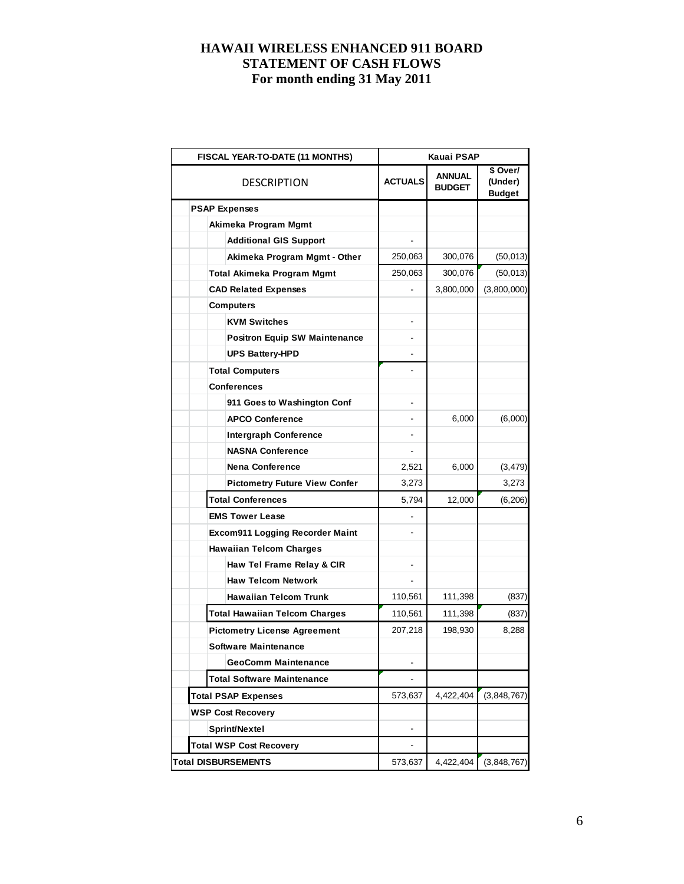|  | <b>FISCAL YEAR-TO-DATE (11 MONTHS)</b> | Kauai PSAP     |                         |                                      |  |  |  |
|--|----------------------------------------|----------------|-------------------------|--------------------------------------|--|--|--|
|  | <b>DESCRIPTION</b>                     | <b>ACTUALS</b> | ANNUAL<br><b>BUDGET</b> | \$ Over/<br>(Under)<br><b>Budget</b> |  |  |  |
|  | <b>PSAP Expenses</b>                   |                |                         |                                      |  |  |  |
|  | Akimeka Program Mgmt                   |                |                         |                                      |  |  |  |
|  | <b>Additional GIS Support</b>          |                |                         |                                      |  |  |  |
|  | Akimeka Program Mgmt - Other           | 250,063        | 300,076                 | (50, 013)                            |  |  |  |
|  | Total Akimeka Program Mgmt             | 250,063        | 300,076                 | (50, 013)                            |  |  |  |
|  | <b>CAD Related Expenses</b>            |                | 3,800,000               | (3,800,000)                          |  |  |  |
|  | <b>Computers</b>                       |                |                         |                                      |  |  |  |
|  | <b>KVM Switches</b>                    |                |                         |                                      |  |  |  |
|  | <b>Positron Equip SW Maintenance</b>   |                |                         |                                      |  |  |  |
|  | <b>UPS Battery-HPD</b>                 |                |                         |                                      |  |  |  |
|  | <b>Total Computers</b>                 |                |                         |                                      |  |  |  |
|  | <b>Conferences</b>                     |                |                         |                                      |  |  |  |
|  | 911 Goes to Washington Conf            |                |                         |                                      |  |  |  |
|  | <b>APCO Conference</b>                 |                | 6,000                   | (6,000)                              |  |  |  |
|  | <b>Intergraph Conference</b>           |                |                         |                                      |  |  |  |
|  | <b>NASNA Conference</b>                |                |                         |                                      |  |  |  |
|  | <b>Nena Conference</b>                 | 2,521          | 6,000                   | (3, 479)                             |  |  |  |
|  | <b>Pictometry Future View Confer</b>   | 3,273          |                         | 3,273                                |  |  |  |
|  | <b>Total Conferences</b>               | 5,794          | 12,000                  | (6, 206)                             |  |  |  |
|  | <b>EMS Tower Lease</b>                 |                |                         |                                      |  |  |  |
|  | <b>Excom911 Logging Recorder Maint</b> |                |                         |                                      |  |  |  |
|  | <b>Hawaiian Telcom Charges</b>         |                |                         |                                      |  |  |  |
|  | Haw Tel Frame Relay & CIR              |                |                         |                                      |  |  |  |
|  | <b>Haw Telcom Network</b>              |                |                         |                                      |  |  |  |
|  | <b>Hawaiian Telcom Trunk</b>           | 110,561        | 111,398                 | (837)                                |  |  |  |
|  | <b>Total Hawaiian Telcom Charges</b>   | 110,561        | 111,398                 | (837)                                |  |  |  |
|  | <b>Pictometry License Agreement</b>    | 207,218        | 198,930                 | 8,288                                |  |  |  |
|  | <b>Software Maintenance</b>            |                |                         |                                      |  |  |  |
|  | <b>GeoComm Maintenance</b>             |                |                         |                                      |  |  |  |
|  | <b>Total Software Maintenance</b>      |                |                         |                                      |  |  |  |
|  | <b>Total PSAP Expenses</b>             | 573,637        | 4,422,404               | (3,848,767)                          |  |  |  |
|  | <b>WSP Cost Recovery</b>               |                |                         |                                      |  |  |  |
|  | Sprint/Nextel                          |                |                         |                                      |  |  |  |
|  | <b>Total WSP Cost Recovery</b>         |                |                         |                                      |  |  |  |
|  | <b>Total DISBURSEMENTS</b>             | 573,637        | 4,422,404               | (3,848,767)                          |  |  |  |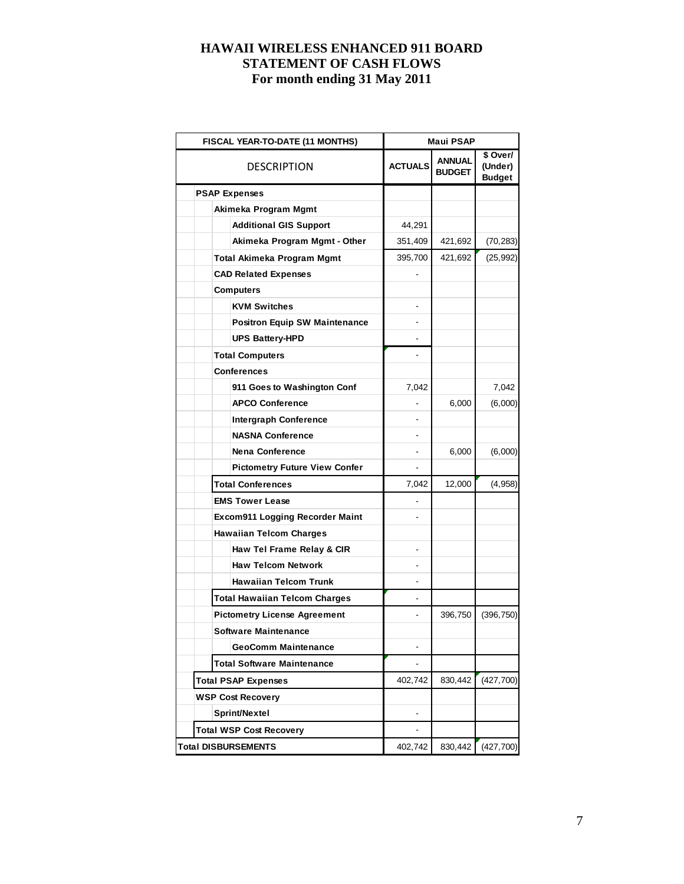|  | FISCAL YEAR-TO-DATE (11 MONTHS)        | Maui PSAP      |                                |                                      |  |  |
|--|----------------------------------------|----------------|--------------------------------|--------------------------------------|--|--|
|  | DESCRIPTION                            | <b>ACTUALS</b> | <b>ANNUAL</b><br><b>BUDGET</b> | \$ Over/<br>(Under)<br><b>Budget</b> |  |  |
|  | <b>PSAP Expenses</b>                   |                |                                |                                      |  |  |
|  | Akimeka Program Mgmt                   |                |                                |                                      |  |  |
|  | <b>Additional GIS Support</b>          | 44,291         |                                |                                      |  |  |
|  | Akimeka Program Mgmt - Other           | 351,409        | 421,692                        | (70, 283)                            |  |  |
|  | Total Akimeka Program Mgmt             | 395,700        | 421,692                        | (25, 992)                            |  |  |
|  | <b>CAD Related Expenses</b>            |                |                                |                                      |  |  |
|  | <b>Computers</b>                       |                |                                |                                      |  |  |
|  | <b>KVM Switches</b>                    |                |                                |                                      |  |  |
|  | <b>Positron Equip SW Maintenance</b>   |                |                                |                                      |  |  |
|  | <b>UPS Battery-HPD</b>                 |                |                                |                                      |  |  |
|  | <b>Total Computers</b>                 |                |                                |                                      |  |  |
|  | <b>Conferences</b>                     |                |                                |                                      |  |  |
|  | 911 Goes to Washington Conf            | 7,042          |                                | 7,042                                |  |  |
|  | <b>APCO Conference</b>                 |                | 6,000                          | (6,000)                              |  |  |
|  | <b>Intergraph Conference</b>           |                |                                |                                      |  |  |
|  | <b>NASNA Conference</b>                |                |                                |                                      |  |  |
|  | <b>Nena Conference</b>                 |                | 6,000                          | (6,000)                              |  |  |
|  | <b>Pictometry Future View Confer</b>   |                |                                |                                      |  |  |
|  | <b>Total Conferences</b>               | 7,042          | 12,000                         | (4,958)                              |  |  |
|  | <b>EMS Tower Lease</b>                 |                |                                |                                      |  |  |
|  | <b>Excom911 Logging Recorder Maint</b> |                |                                |                                      |  |  |
|  | <b>Hawaiian Telcom Charges</b>         |                |                                |                                      |  |  |
|  | Haw Tel Frame Relay & CIR              |                |                                |                                      |  |  |
|  | <b>Haw Telcom Network</b>              |                |                                |                                      |  |  |
|  | <b>Hawaiian Telcom Trunk</b>           |                |                                |                                      |  |  |
|  | <b>Total Hawaiian Telcom Charges</b>   |                |                                |                                      |  |  |
|  | <b>Pictometry License Agreement</b>    |                | 396,750                        | (396, 750)                           |  |  |
|  | Software Maintenance                   |                |                                |                                      |  |  |
|  | <b>GeoComm Maintenance</b>             |                |                                |                                      |  |  |
|  | <b>Total Software Maintenance</b>      |                |                                |                                      |  |  |
|  | <b>Total PSAP Expenses</b>             | 402,742        | 830,442                        | (427,700)                            |  |  |
|  | <b>WSP Cost Recovery</b>               |                |                                |                                      |  |  |
|  | Sprint/Nextel                          |                |                                |                                      |  |  |
|  | <b>Total WSP Cost Recovery</b>         |                |                                |                                      |  |  |
|  | <b>Total DISBURSEMENTS</b>             | 402,742        | 830,442                        | (427, 700)                           |  |  |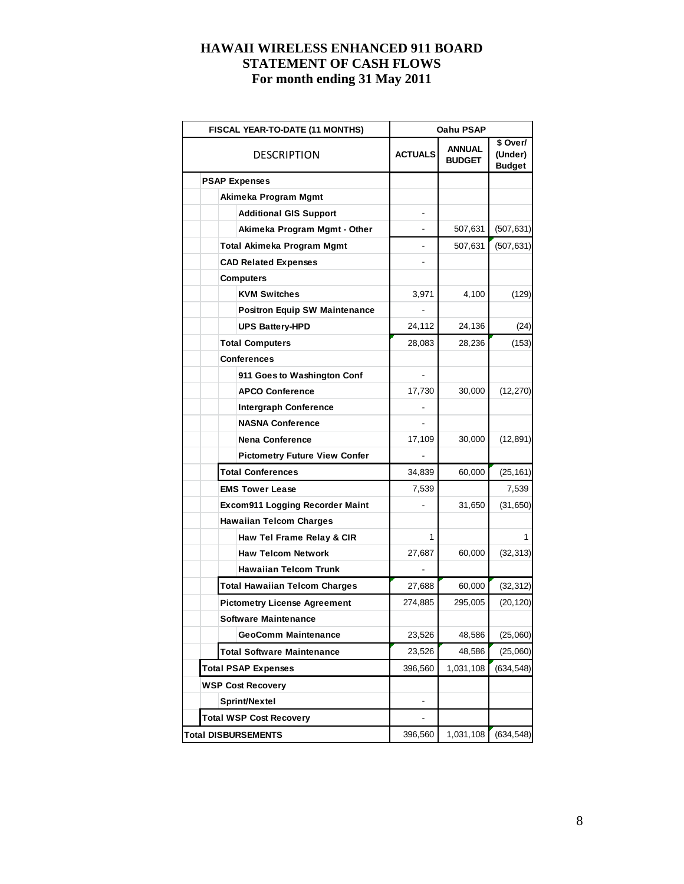| <b>FISCAL YEAR-TO-DATE (11 MONTHS)</b> | Oahu PSAP      |                                |                                      |  |  |
|----------------------------------------|----------------|--------------------------------|--------------------------------------|--|--|
| DESCRIPTION                            | <b>ACTUALS</b> | <b>ANNUAL</b><br><b>BUDGET</b> | \$ Over/<br>(Under)<br><b>Budget</b> |  |  |
| <b>PSAP Expenses</b>                   |                |                                |                                      |  |  |
| Akimeka Program Mgmt                   |                |                                |                                      |  |  |
| <b>Additional GIS Support</b>          |                |                                |                                      |  |  |
| Akimeka Program Mgmt - Other           |                | 507,631                        | (507, 631)                           |  |  |
| Total Akimeka Program Mgmt             |                | 507,631                        | (507, 631)                           |  |  |
| <b>CAD Related Expenses</b>            |                |                                |                                      |  |  |
| Computers                              |                |                                |                                      |  |  |
| <b>KVM Switches</b>                    | 3,971          | 4,100                          | (129)                                |  |  |
| <b>Positron Equip SW Maintenance</b>   |                |                                |                                      |  |  |
| <b>UPS Battery-HPD</b>                 | 24,112         | 24,136                         | (24)                                 |  |  |
| <b>Total Computers</b>                 | 28,083         | 28,236                         | (153)                                |  |  |
| Conferences                            |                |                                |                                      |  |  |
| 911 Goes to Washington Conf            |                |                                |                                      |  |  |
| <b>APCO Conference</b>                 | 17,730         | 30,000                         | (12, 270)                            |  |  |
| <b>Intergraph Conference</b>           |                |                                |                                      |  |  |
| <b>NASNA Conference</b>                |                |                                |                                      |  |  |
| <b>Nena Conference</b>                 | 17,109         | 30,000                         | (12, 891)                            |  |  |
| <b>Pictometry Future View Confer</b>   |                |                                |                                      |  |  |
| <b>Total Conferences</b>               | 34,839         | 60,000                         | (25, 161)                            |  |  |
| <b>EMS Tower Lease</b>                 | 7,539          |                                | 7,539                                |  |  |
| <b>Excom911 Logging Recorder Maint</b> |                | 31,650                         | (31, 650)                            |  |  |
| <b>Hawaiian Telcom Charges</b>         |                |                                |                                      |  |  |
| Haw Tel Frame Relay & CIR              | 1              |                                |                                      |  |  |
| <b>Haw Telcom Network</b>              | 27,687         | 60,000                         | (32, 313)                            |  |  |
| <b>Hawaiian Telcom Trunk</b>           |                |                                |                                      |  |  |
| <b>Total Hawaiian Telcom Charges</b>   | 27,688         | 60,000                         | (32, 312)                            |  |  |
| <b>Pictometry License Agreement</b>    | 274,885        | 295,005                        | (20, 120)                            |  |  |
| <b>Software Maintenance</b>            |                |                                |                                      |  |  |
| <b>GeoComm Maintenance</b>             | 23,526         | 48,586                         | (25,060)                             |  |  |
| <b>Total Software Maintenance</b>      | 23,526         | 48,586                         | (25,060)                             |  |  |
| <b>Total PSAP Expenses</b>             | 396,560        | 1,031,108                      | (634, 548)                           |  |  |
| <b>WSP Cost Recovery</b>               |                |                                |                                      |  |  |
| Sprint/Nextel                          |                |                                |                                      |  |  |
| <b>Total WSP Cost Recovery</b>         |                |                                |                                      |  |  |
| <b>Total DISBURSEMENTS</b>             | 396,560        | 1,031,108                      | (634, 548)                           |  |  |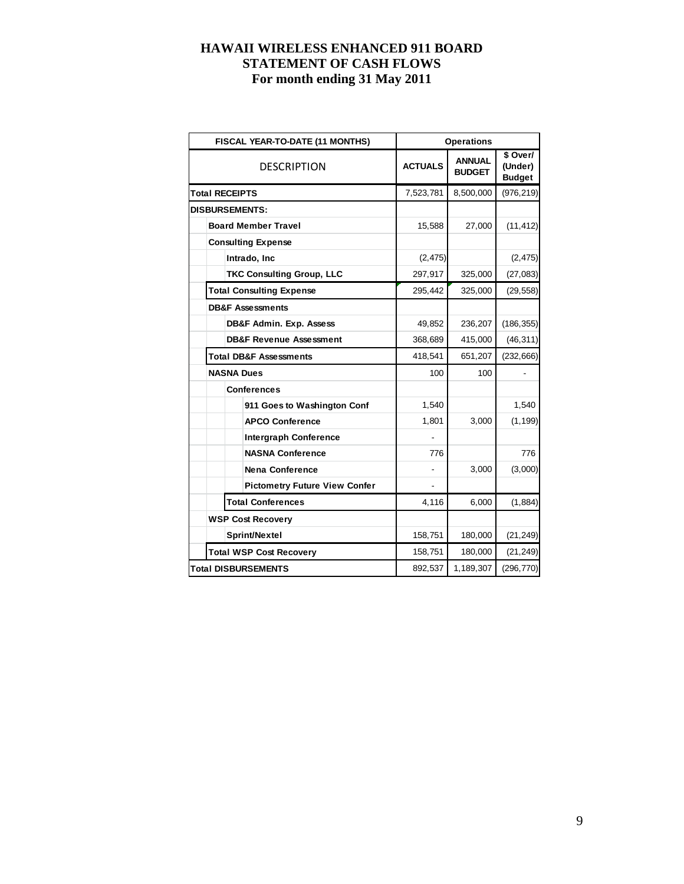| FISCAL YEAR-TO-DATE (11 MONTHS)      |                | <b>Operations</b>              |                                              |
|--------------------------------------|----------------|--------------------------------|----------------------------------------------|
| <b>DESCRIPTION</b>                   | <b>ACTUALS</b> | <b>ANNUAL</b><br><b>BUDGET</b> | $\sqrt{2}$ Over/<br>(Under)<br><b>Budget</b> |
| <b>Total RECEIPTS</b>                | 7,523,781      | 8,500,000                      | (976, 219)                                   |
| <b>DISBURSEMENTS:</b>                |                |                                |                                              |
| <b>Board Member Travel</b>           | 15,588         | 27,000                         | (11, 412)                                    |
| <b>Consulting Expense</b>            |                |                                |                                              |
| Intrado, Inc                         | (2, 475)       |                                | (2, 475)                                     |
| <b>TKC Consulting Group, LLC</b>     | 297,917        | 325,000                        | (27, 083)                                    |
| <b>Total Consulting Expense</b>      | 295,442        | 325,000                        | (29, 558)                                    |
| <b>DB&amp;F Assessments</b>          |                |                                |                                              |
| <b>DB&amp;F Admin. Exp. Assess</b>   | 49,852         | 236,207                        | (186, 355)                                   |
| <b>DB&amp;F Revenue Assessment</b>   | 368,689        | 415,000                        | (46, 311)                                    |
| <b>Total DB&amp;F Assessments</b>    | 418,541        | 651,207                        | (232, 666)                                   |
| <b>NASNA Dues</b>                    | 100            | 100                            |                                              |
| <b>Conferences</b>                   |                |                                |                                              |
| 911 Goes to Washington Conf          | 1,540          |                                | 1,540                                        |
| <b>APCO Conference</b>               | 1,801          | 3,000                          | (1, 199)                                     |
| <b>Intergraph Conference</b>         |                |                                |                                              |
| <b>NASNA Conference</b>              | 776            |                                | 776                                          |
| <b>Nena Conference</b>               |                | 3,000                          | (3,000)                                      |
| <b>Pictometry Future View Confer</b> |                |                                |                                              |
| <b>Total Conferences</b>             | 4,116          | 6,000                          | (1, 884)                                     |
| <b>WSP Cost Recovery</b>             |                |                                |                                              |
| Sprint/Nextel                        | 158,751        | 180,000                        | (21, 249)                                    |
| <b>Total WSP Cost Recovery</b>       | 158,751        | 180,000                        | (21, 249)                                    |
| <b>Total DISBURSEMENTS</b>           | 892,537        | 1,189,307                      | (296, 770)                                   |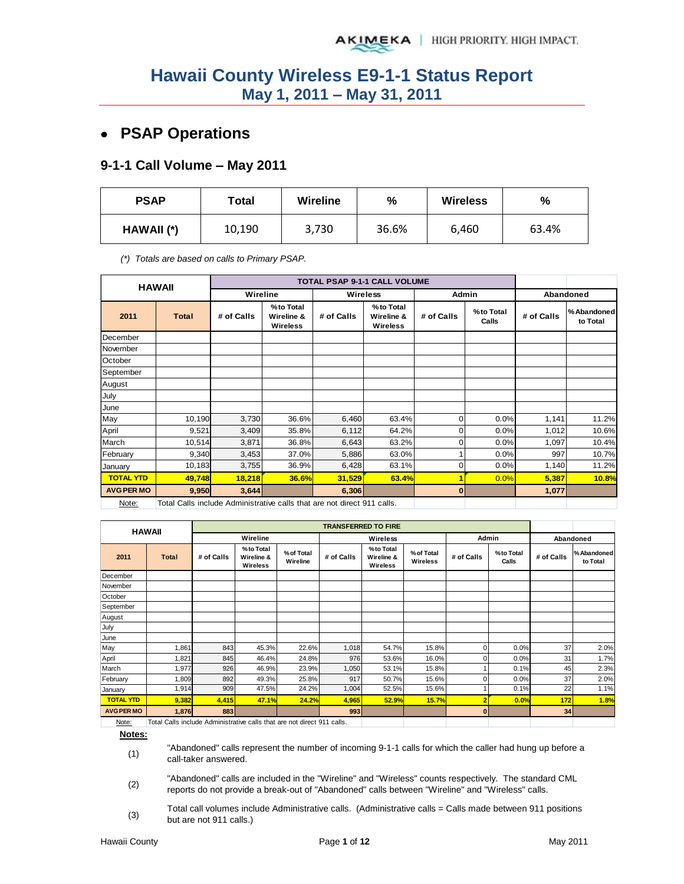## **PSAP Operations**

#### **9-1-1 Call Volume – May 2011**

| <b>PSAP</b> | Total  | <b>Wireline</b> | %     | <b>Wireless</b> | %     |  |
|-------------|--------|-----------------|-------|-----------------|-------|--|
| HAWAII (*)  | 10,190 | 3,730           | 36.6% | 6,460           | 63.4% |  |

*(\*) Totals are based on calls to Primary PSAP.* 

|                   | <b>HAWAII</b>                                                           |            |                                     | TOTAL PSAP 9-1-1 CALL VOLUME |                                            |              |                    |            |                         |
|-------------------|-------------------------------------------------------------------------|------------|-------------------------------------|------------------------------|--------------------------------------------|--------------|--------------------|------------|-------------------------|
|                   |                                                                         | Wireline   |                                     |                              | <b>Wireless</b>                            | <b>Admin</b> |                    |            | Abandoned               |
| 2011              | <b>Total</b>                                                            | # of Calls | %to Total<br>Wireline &<br>Wireless | # of Calls                   | %to Total<br>Wireline &<br><b>Wireless</b> | # of Calls   | %to Total<br>Calls | # of Calls | % Abandoned<br>to Total |
| December          |                                                                         |            |                                     |                              |                                            |              |                    |            |                         |
| November          |                                                                         |            |                                     |                              |                                            |              |                    |            |                         |
| October           |                                                                         |            |                                     |                              |                                            |              |                    |            |                         |
| September         |                                                                         |            |                                     |                              |                                            |              |                    |            |                         |
| August            |                                                                         |            |                                     |                              |                                            |              |                    |            |                         |
| July              |                                                                         |            |                                     |                              |                                            |              |                    |            |                         |
| June              |                                                                         |            |                                     |                              |                                            |              |                    |            |                         |
| May               | 10,190                                                                  | 3,730      | 36.6%                               | 6,460                        | 63.4%                                      | 0            | 0.0%               | 1,141      | 11.2%                   |
| April             | 9,521                                                                   | 3,409      | 35.8%                               | 6,112                        | 64.2%                                      | $\mathbf{O}$ | 0.0%               | 1,012      | 10.6%                   |
| March             | 10,514                                                                  | 3,871      | 36.8%                               | 6,643                        | 63.2%                                      | 0            | 0.0%               | 1,097      | 10.4%                   |
| February          | 9,340                                                                   | 3,453      | 37.0%                               | 5,886                        | 63.0%                                      |              | 0.0%               | 997        | 10.7%                   |
| January           | 10,183                                                                  | 3,755      | 36.9%                               | 6,428                        | 63.1%                                      | 0            | 0.0%               | 1,140      | 11.2%                   |
| <b>TOTAL YTD</b>  | 49,748                                                                  | 18,218     | 36.6%                               | 31,529                       | 63.4%                                      |              | 0.0%               | 5,387      | 10.8%                   |
| <b>AVG PER MO</b> | 9,950                                                                   | 3,644      |                                     | 6,306                        |                                            | $\bf{0}$     |                    | 1,077      |                         |
| Note:             | Total Calls include Administrative calls that are not direct 911 calls. |            |                                     |                              |                                            |              |                    |            |                         |

| <b>HAWAII</b>     |              |            |                                     |                        | <b>TRANSFERRED TO FIRE</b> |                                     |                        |              |                    |            |                        |
|-------------------|--------------|------------|-------------------------------------|------------------------|----------------------------|-------------------------------------|------------------------|--------------|--------------------|------------|------------------------|
|                   |              |            | Wireline                            |                        |                            | Wireless                            |                        | Admin        |                    | Abandoned  |                        |
| 2011              | <b>Total</b> | # of Calls | %to Total<br>Wireline &<br>Wireless | % of Total<br>Wireline | # of Calls                 | %to Total<br>Wireline &<br>Wireless | % of Total<br>Wireless | # of Calls   | %to Total<br>Calls | # of Calls | %Abandoned<br>to Total |
| December          |              |            |                                     |                        |                            |                                     |                        |              |                    |            |                        |
| November          |              |            |                                     |                        |                            |                                     |                        |              |                    |            |                        |
| October           |              |            |                                     |                        |                            |                                     |                        |              |                    |            |                        |
| September         |              |            |                                     |                        |                            |                                     |                        |              |                    |            |                        |
| August            |              |            |                                     |                        |                            |                                     |                        |              |                    |            |                        |
| July              |              |            |                                     |                        |                            |                                     |                        |              |                    |            |                        |
| June              |              |            |                                     |                        |                            |                                     |                        |              |                    |            |                        |
| May               | 1,861        | 843        | 45.3%                               | 22.6%                  | 1,018                      | 54.7%                               | 15.8%                  | 0            | 0.0%               | 37         | 2.0%                   |
| April             | 1,821        | 845        | 46.4%                               | 24.8%                  | 976                        | 53.6%                               | 16.0%                  | 0            | 0.0%               | 31         | 1.7%                   |
| March             | 1,977        | 926        | 46.9%                               | 23.9%                  | 1,050                      | 53.1%                               | 15.8%                  |              | 0.1%               | 45         | 2.3%                   |
| February          | 1,809        | 892        | 49.3%                               | 25.8%                  | 917                        | 50.7%                               | 15.6%                  | 0            | 0.0%               | 37         | 2.0%                   |
| January           | 1,914        | 909        | 47.5%                               | 24.2%                  | 1,004                      | 52.5%                               | 15.6%                  |              | 0.1%               | 22         | 1.1%                   |
| <b>TOTAL YTD</b>  | 9,382        | 4,415      | 47.1%                               | 24.2%                  | 4,965                      | 52.9%                               | 15.7%                  | 2            | 0.0%               | 172        | 1.8%                   |
| <b>AVG PER MO</b> | 1,876        | 883        |                                     |                        | 993                        |                                     |                        | $\mathbf{0}$ |                    | 34         |                        |

Note: | Total Calls include Administrative calls that are not direct 911 calls.

**Notes:**

(1) "Abandoned" calls represent the number of incoming 9-1-1 calls for which the caller had hung up before a call-taker answered.

- (2) "Abandoned" calls are included in the "Wireline" and "Wireless" counts respectively. The standard CML reports do not provide a break-out of "Abandoned" calls between "Wireline" and "Wireless" calls.
- (3) Total call volumes include Administrative calls. (Administrative calls = Calls made between 911 positions but are not 911 calls.)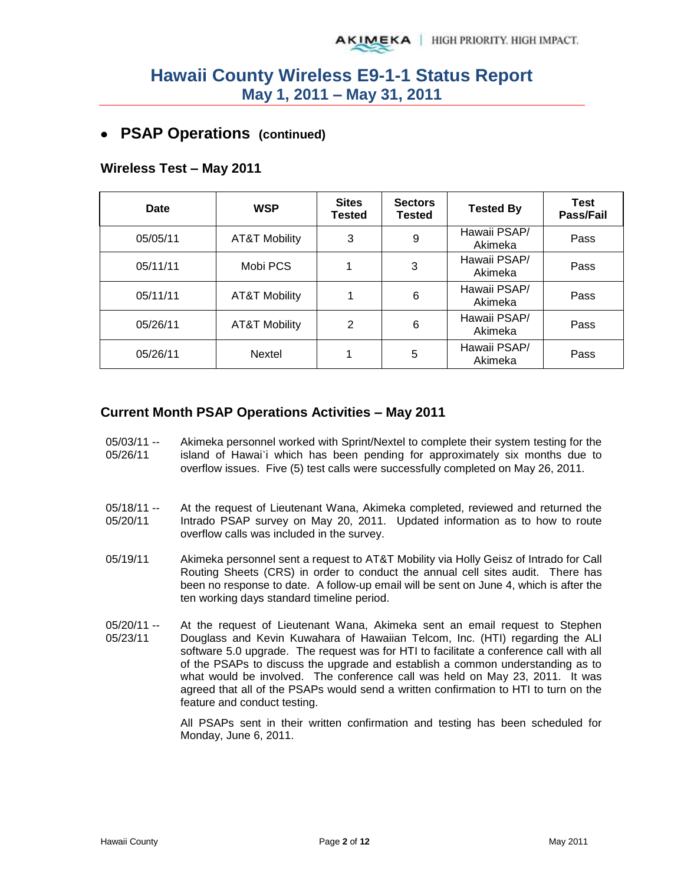### **PSAP Operations (continued)**

#### **Wireless Test – May 2011**

| Date     | <b>WSP</b>               | <b>Sites</b><br><b>Tested</b> | <b>Sectors</b><br><b>Tested</b> | <b>Tested By</b>        | <b>Test</b><br>Pass/Fail |
|----------|--------------------------|-------------------------------|---------------------------------|-------------------------|--------------------------|
| 05/05/11 | <b>AT&amp;T Mobility</b> | 3                             | 9                               | Hawaii PSAP/<br>Akimeka | Pass                     |
| 05/11/11 | Mobi PCS                 |                               | 3                               | Hawaii PSAP/<br>Akimeka | Pass                     |
| 05/11/11 | <b>AT&amp;T Mobility</b> |                               | 6                               | Hawaii PSAP/<br>Akimeka | Pass                     |
| 05/26/11 | <b>AT&amp;T Mobility</b> | 2                             | 6                               | Hawaii PSAP/<br>Akimeka | Pass                     |
| 05/26/11 | Nextel                   |                               | 5                               | Hawaii PSAP/<br>Akimeka | Pass                     |

#### **Current Month PSAP Operations Activities – May 2011**

- 05/03/11 -- 05/26/11 Akimeka personnel worked with Sprint/Nextel to complete their system testing for the island of Hawai`i which has been pending for approximately six months due to overflow issues. Five (5) test calls were successfully completed on May 26, 2011.
- 05/18/11 -- 05/20/11 At the request of Lieutenant Wana, Akimeka completed, reviewed and returned the Intrado PSAP survey on May 20, 2011. Updated information as to how to route overflow calls was included in the survey.
- 05/19/11 Akimeka personnel sent a request to AT&T Mobility via Holly Geisz of Intrado for Call Routing Sheets (CRS) in order to conduct the annual cell sites audit. There has been no response to date. A follow-up email will be sent on June 4, which is after the ten working days standard timeline period.
- 05/20/11 -- 05/23/11 At the request of Lieutenant Wana, Akimeka sent an email request to Stephen Douglass and Kevin Kuwahara of Hawaiian Telcom, Inc. (HTI) regarding the ALI software 5.0 upgrade. The request was for HTI to facilitate a conference call with all of the PSAPs to discuss the upgrade and establish a common understanding as to what would be involved. The conference call was held on May 23, 2011. It was agreed that all of the PSAPs would send a written confirmation to HTI to turn on the feature and conduct testing.

All PSAPs sent in their written confirmation and testing has been scheduled for Monday, June 6, 2011.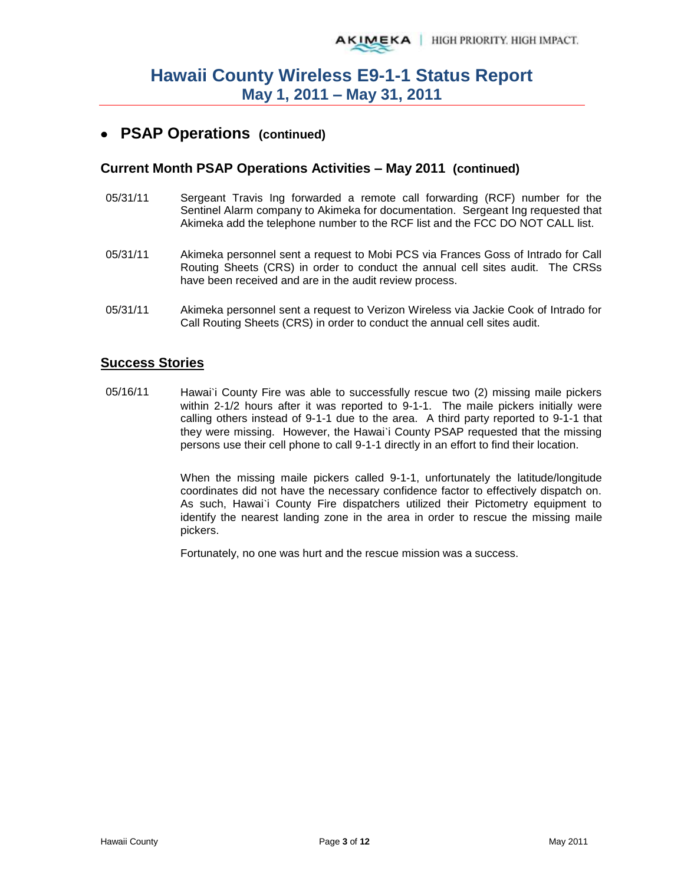### **PSAP Operations (continued)**

#### **Current Month PSAP Operations Activities – May 2011 (continued)**

- 05/31/11 Sergeant Travis Ing forwarded a remote call forwarding (RCF) number for the Sentinel Alarm company to Akimeka for documentation. Sergeant Ing requested that Akimeka add the telephone number to the RCF list and the FCC DO NOT CALL list.
- 05/31/11 Akimeka personnel sent a request to Mobi PCS via Frances Goss of Intrado for Call Routing Sheets (CRS) in order to conduct the annual cell sites audit. The CRSs have been received and are in the audit review process.
- 05/31/11 Akimeka personnel sent a request to Verizon Wireless via Jackie Cook of Intrado for Call Routing Sheets (CRS) in order to conduct the annual cell sites audit.

#### **Success Stories**

05/16/11 Hawai'i County Fire was able to successfully rescue two (2) missing maile pickers within 2-1/2 hours after it was reported to 9-1-1. The maile pickers initially were calling others instead of 9-1-1 due to the area. A third party reported to 9-1-1 that they were missing. However, the Hawai`i County PSAP requested that the missing persons use their cell phone to call 9-1-1 directly in an effort to find their location.

> When the missing maile pickers called 9-1-1, unfortunately the latitude/longitude coordinates did not have the necessary confidence factor to effectively dispatch on. As such, Hawai`i County Fire dispatchers utilized their Pictometry equipment to identify the nearest landing zone in the area in order to rescue the missing maile pickers.

Fortunately, no one was hurt and the rescue mission was a success.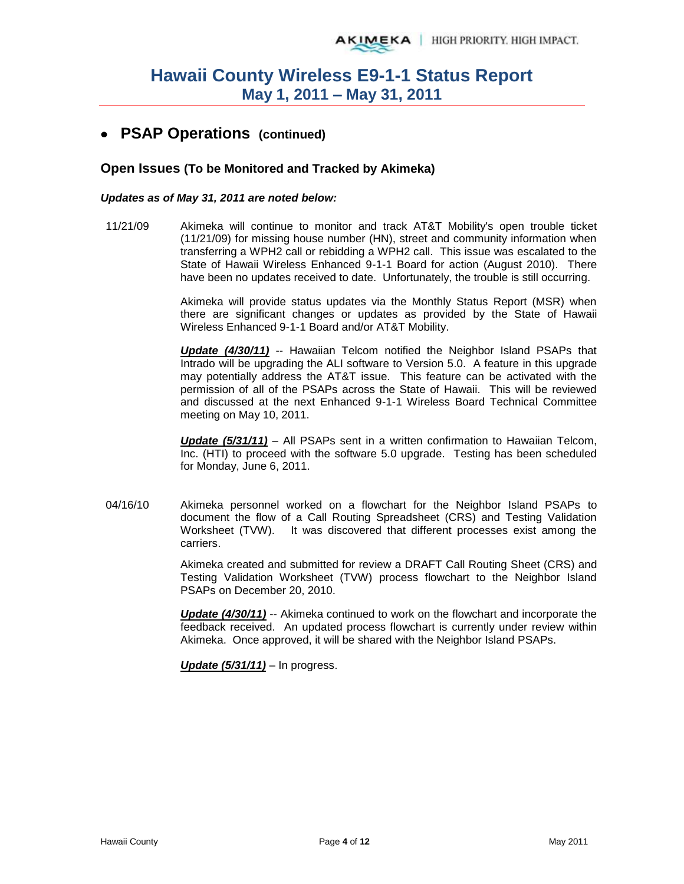### **PSAP Operations (continued)**

#### **Open Issues (To be Monitored and Tracked by Akimeka)**

#### *Updates as of May 31, 2011 are noted below:*

11/21/09 Akimeka will continue to monitor and track AT&T Mobility's open trouble ticket (11/21/09) for missing house number (HN), street and community information when transferring a WPH2 call or rebidding a WPH2 call. This issue was escalated to the State of Hawaii Wireless Enhanced 9-1-1 Board for action (August 2010). There have been no updates received to date. Unfortunately, the trouble is still occurring.

> Akimeka will provide status updates via the Monthly Status Report (MSR) when there are significant changes or updates as provided by the State of Hawaii Wireless Enhanced 9-1-1 Board and/or AT&T Mobility.

> *Update (4/30/11)* -- Hawaiian Telcom notified the Neighbor Island PSAPs that Intrado will be upgrading the ALI software to Version 5.0. A feature in this upgrade may potentially address the AT&T issue. This feature can be activated with the permission of all of the PSAPs across the State of Hawaii. This will be reviewed and discussed at the next Enhanced 9-1-1 Wireless Board Technical Committee meeting on May 10, 2011.

> *Update (5/31/11)* – All PSAPs sent in a written confirmation to Hawaiian Telcom, Inc. (HTI) to proceed with the software 5.0 upgrade. Testing has been scheduled for Monday, June 6, 2011.

04/16/10 Akimeka personnel worked on a flowchart for the Neighbor Island PSAPs to document the flow of a Call Routing Spreadsheet (CRS) and Testing Validation Worksheet (TVW). It was discovered that different processes exist among the carriers.

> Akimeka created and submitted for review a DRAFT Call Routing Sheet (CRS) and Testing Validation Worksheet (TVW) process flowchart to the Neighbor Island PSAPs on December 20, 2010.

> *Update (4/30/11)* -- Akimeka continued to work on the flowchart and incorporate the feedback received. An updated process flowchart is currently under review within Akimeka. Once approved, it will be shared with the Neighbor Island PSAPs.

*Update (5/31/11)* – In progress.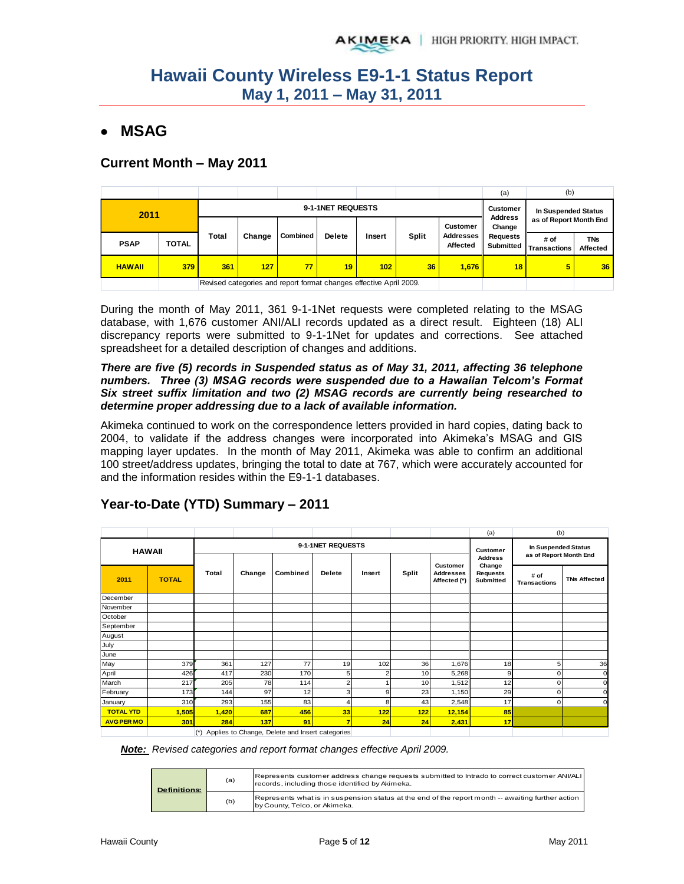### **MSAG**

#### **Current Month – May 2011**

|               |              |       |        |                                                                    |                                   |                     |              |                              | (a)                          | (b)                         |                        |  |
|---------------|--------------|-------|--------|--------------------------------------------------------------------|-----------------------------------|---------------------|--------------|------------------------------|------------------------------|-----------------------------|------------------------|--|
| 2011          |              |       |        | 9-1-1NET REQUESTS                                                  | <b>Customer</b><br><b>Address</b> | In Suspended Status |              |                              |                              |                             |                        |  |
|               |              |       |        |                                                                    |                                   |                     |              | <b>Customer</b>              | Change                       |                             | as of Report Month End |  |
| <b>PSAP</b>   | <b>TOTAL</b> | Total | Change | <b>Combined</b>                                                    | <b>Delete</b>                     | Insert              | <b>Split</b> | <b>Addresses</b><br>Affected | <b>Requests</b><br>Submitted | # of<br><b>Transactions</b> | TNs<br>Affected        |  |
| <b>HAWAII</b> | 379          | 361   | 127    | 77                                                                 | 19                                | 102 <sub>2</sub>    | 36           | 1.676                        | 18 <sup>1</sup>              | 5                           | 36                     |  |
|               |              |       |        | Revised categories and report format changes effective April 2009. |                                   |                     |              |                              |                              |                             |                        |  |

During the month of May 2011, 361 9-1-1Net requests were completed relating to the MSAG database, with 1,676 customer ANI/ALI records updated as a direct result. Eighteen (18) ALI discrepancy reports were submitted to 9-1-1Net for updates and corrections. See attached spreadsheet for a detailed description of changes and additions.

#### *There are five (5) records in Suspended status as of May 31, 2011, affecting 36 telephone numbers. Three (3) MSAG records were suspended due to a Hawaiian Telcom's Format Six street suffix limitation and two (2) MSAG records are currently being researched to determine proper addressing due to a lack of available information.*

Akimeka continued to work on the correspondence letters provided in hard copies, dating back to 2004, to validate if the address changes were incorporated into Akimeka's MSAG and GIS mapping layer updates. In the month of May 2011, Akimeka was able to confirm an additional 100 street/address updates, bringing the total to date at 767, which were accurately accounted for and the information resides within the E9-1-1 databases.

|                   |              |       |        |                                                 |                         |        |              |                                  | (a)                                           | (b)                         |                     |
|-------------------|--------------|-------|--------|-------------------------------------------------|-------------------------|--------|--------------|----------------------------------|-----------------------------------------------|-----------------------------|---------------------|
|                   |              |       |        |                                                 | 9-1-1NET REQUESTS       |        |              |                                  | <b>Customer</b>                               | In Suspended Status         |                     |
| <b>HAWAII</b>     |              |       |        |                                                 |                         |        |              | <b>Customer</b>                  | <b>Address</b>                                | as of Report Month End      |                     |
| 2011              | <b>TOTAL</b> | Total | Change | Combined                                        | <b>Delete</b>           | Insert | <b>Split</b> | <b>Addresses</b><br>Affected (*) | Change<br><b>Requests</b><br><b>Submitted</b> | # of<br><b>Transactions</b> | <b>TNs Affected</b> |
| December          |              |       |        |                                                 |                         |        |              |                                  |                                               |                             |                     |
| November          |              |       |        |                                                 |                         |        |              |                                  |                                               |                             |                     |
| October           |              |       |        |                                                 |                         |        |              |                                  |                                               |                             |                     |
| September         |              |       |        |                                                 |                         |        |              |                                  |                                               |                             |                     |
| August            |              |       |        |                                                 |                         |        |              |                                  |                                               |                             |                     |
| July              |              |       |        |                                                 |                         |        |              |                                  |                                               |                             |                     |
| June              |              |       |        |                                                 |                         |        |              |                                  |                                               |                             |                     |
| May               | 379          | 361   | 127    | 77                                              | 19                      | 102    | 36           | 1,676                            | 18                                            | 5                           | 36                  |
| April             | 426          | 417   | 230    | 170                                             | 5                       | 2      | 10           | 5,268                            | 9                                             | o                           | C                   |
| March             | 217          | 205   | 78     | 114                                             | $\overline{\mathbf{c}}$ |        | 10           | 1,512                            | 12                                            | ი                           | c                   |
| February          | 173          | 144   | 97     | 12                                              | 3                       | 9      | 23           | 1,150                            | 29                                            | o                           | c                   |
| January           | 310          | 293   | 155    | 83                                              | 4                       | 8      | 43           | 2,548                            | 17                                            | n                           | c                   |
| <b>TOTAL YTD</b>  | 1,505        | 1,420 | 687    | 456                                             | 33                      | 122    | 122          | 12,154                           | 85                                            |                             |                     |
| <b>AVG PER MO</b> | 301          | 284   | 137    | 91                                              | $\overline{7}$          | 24     | 24           | 2,431                            | 17 <sup>1</sup>                               |                             |                     |
|                   |              | $(*)$ |        | Applies to Change, Delete and Insert categories |                         |        |              |                                  |                                               |                             |                     |

### **Year-to-Date (YTD) Summary – 2011**

*Note: Revised categories and report format changes effective April 2009.*

| <b>Definitions:</b> | (a) | Represents customer address change requests submitted to Intrado to correct customer ANI/ALI<br>records, including those identified by Akimeka. |
|---------------------|-----|-------------------------------------------------------------------------------------------------------------------------------------------------|
|                     | (b) | Represents what is in suspension status at the end of the report month -- awaiting further action<br>by County, Telco, or Akimeka.              |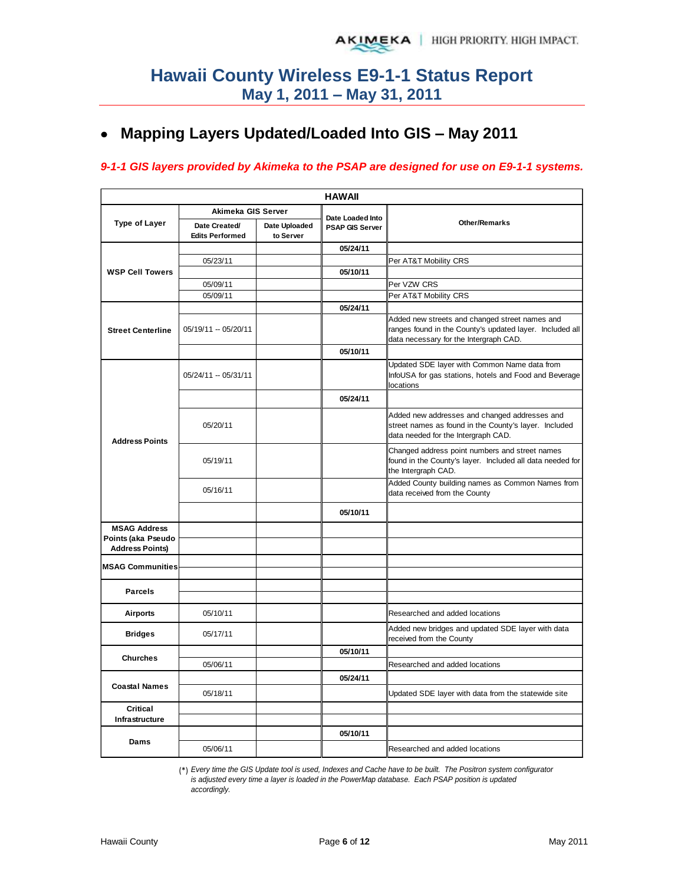## **Mapping Layers Updated/Loaded Into GIS – May 2011**

#### *9-1-1 GIS layers provided by Akimeka to the PSAP are designed for use on E9-1-1 systems.*

| <b>HAWAII</b>                             |                                         |                            |                        |                                                                                                                                               |  |  |  |  |  |  |  |
|-------------------------------------------|-----------------------------------------|----------------------------|------------------------|-----------------------------------------------------------------------------------------------------------------------------------------------|--|--|--|--|--|--|--|
|                                           | Akimeka GIS Server                      |                            | Date Loaded Into       |                                                                                                                                               |  |  |  |  |  |  |  |
| <b>Type of Layer</b>                      | Date Created/<br><b>Edits Performed</b> | Date Uploaded<br>to Server | <b>PSAP GIS Server</b> | <b>Other/Remarks</b>                                                                                                                          |  |  |  |  |  |  |  |
|                                           |                                         |                            | 05/24/11               |                                                                                                                                               |  |  |  |  |  |  |  |
|                                           | 05/23/11                                |                            |                        | Per AT&T Mobility CRS                                                                                                                         |  |  |  |  |  |  |  |
| <b>WSP Cell Towers</b>                    |                                         |                            | 05/10/11               |                                                                                                                                               |  |  |  |  |  |  |  |
|                                           | 05/09/11                                |                            |                        | Per VZW CRS                                                                                                                                   |  |  |  |  |  |  |  |
|                                           | 05/09/11                                |                            |                        | Per AT&T Mobility CRS                                                                                                                         |  |  |  |  |  |  |  |
| <b>Street Centerline</b>                  | 05/19/11 -- 05/20/11                    |                            | 05/24/11               | Added new streets and changed street names and<br>ranges found in the County's updated layer. Included all                                    |  |  |  |  |  |  |  |
|                                           |                                         |                            | 05/10/11               | data necessary for the Intergraph CAD.                                                                                                        |  |  |  |  |  |  |  |
|                                           |                                         |                            |                        | Updated SDE layer with Common Name data from                                                                                                  |  |  |  |  |  |  |  |
|                                           | 05/24/11 -- 05/31/11                    |                            |                        | InfoUSA for gas stations, hotels and Food and Beverage<br>locations                                                                           |  |  |  |  |  |  |  |
|                                           |                                         |                            | 05/24/11               |                                                                                                                                               |  |  |  |  |  |  |  |
| <b>Address Points</b>                     | 05/20/11                                |                            |                        | Added new addresses and changed addresses and<br>street names as found in the County's layer. Included<br>data needed for the Intergraph CAD. |  |  |  |  |  |  |  |
|                                           | 05/19/11                                |                            |                        | Changed address point numbers and street names<br>found in the County's layer. Included all data needed for<br>the Intergraph CAD.            |  |  |  |  |  |  |  |
|                                           | 05/16/11                                |                            |                        | Added County building names as Common Names from<br>data received from the County                                                             |  |  |  |  |  |  |  |
|                                           |                                         |                            | 05/10/11               |                                                                                                                                               |  |  |  |  |  |  |  |
| <b>MSAG Address</b><br>Points (aka Pseudo |                                         |                            |                        |                                                                                                                                               |  |  |  |  |  |  |  |
| <b>Address Points)</b>                    |                                         |                            |                        |                                                                                                                                               |  |  |  |  |  |  |  |
| <b>MSAG Communities</b>                   |                                         |                            |                        |                                                                                                                                               |  |  |  |  |  |  |  |
| Parcels                                   |                                         |                            |                        |                                                                                                                                               |  |  |  |  |  |  |  |
| <b>Airports</b>                           | 05/10/11                                |                            |                        | Researched and added locations                                                                                                                |  |  |  |  |  |  |  |
| <b>Bridges</b>                            | 05/17/11                                |                            |                        | Added new bridges and updated SDE layer with data<br>received from the County                                                                 |  |  |  |  |  |  |  |
|                                           |                                         |                            | 05/10/11               |                                                                                                                                               |  |  |  |  |  |  |  |
| <b>Churches</b>                           | 05/06/11                                |                            |                        | Researched and added locations                                                                                                                |  |  |  |  |  |  |  |
|                                           |                                         |                            | 05/24/11               |                                                                                                                                               |  |  |  |  |  |  |  |
| <b>Coastal Names</b>                      | 05/18/11                                |                            |                        | Updated SDE layer with data from the statewide site                                                                                           |  |  |  |  |  |  |  |
| Critical                                  |                                         |                            |                        |                                                                                                                                               |  |  |  |  |  |  |  |
| Infrastructure                            |                                         |                            |                        |                                                                                                                                               |  |  |  |  |  |  |  |
|                                           |                                         |                            | 05/10/11               |                                                                                                                                               |  |  |  |  |  |  |  |
| Dams                                      | 05/06/11                                |                            |                        | Researched and added locations                                                                                                                |  |  |  |  |  |  |  |

(\*) *Every time the GIS Update tool is used, Indexes and Cache have to be built. The Positron system configurator is adjusted every time a layer is loaded in the PowerMap database. Each PSAP position is updated accordingly.*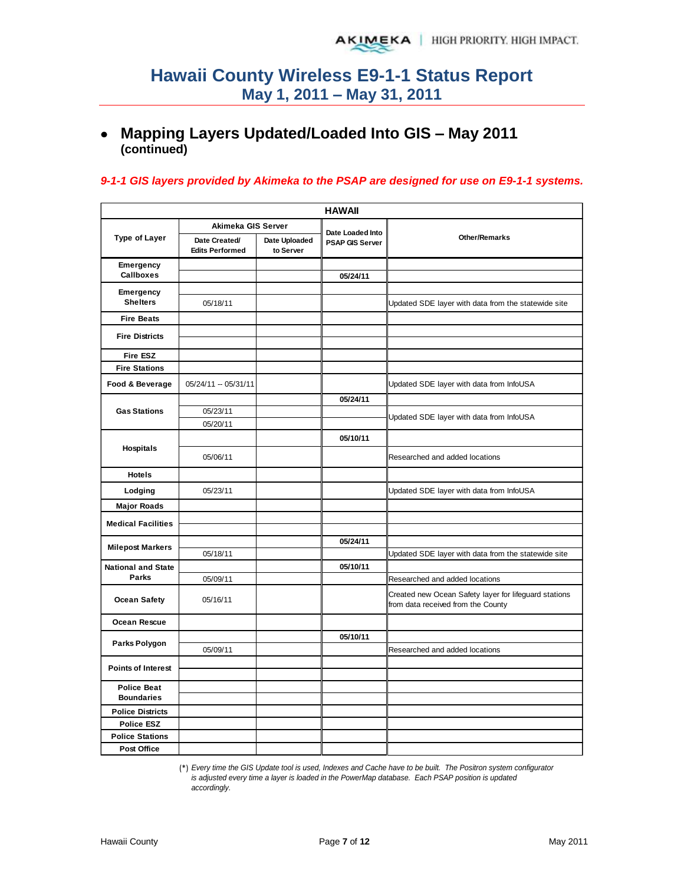### **Mapping Layers Updated/Loaded Into GIS – May 2011 (continued)**

#### *9-1-1 GIS layers provided by Akimeka to the PSAP are designed for use on E9-1-1 systems.*

| <b>HAWAII</b>                           |                                         |                            |                                            |                                                                                             |  |  |  |  |  |  |
|-----------------------------------------|-----------------------------------------|----------------------------|--------------------------------------------|---------------------------------------------------------------------------------------------|--|--|--|--|--|--|
|                                         | Akimeka GIS Server                      |                            |                                            |                                                                                             |  |  |  |  |  |  |
| <b>Type of Layer</b>                    | Date Created/<br><b>Edits Performed</b> | Date Uploaded<br>to Server | Date Loaded Into<br><b>PSAP GIS Server</b> | <b>Other/Remarks</b>                                                                        |  |  |  |  |  |  |
| Emergency                               |                                         |                            |                                            |                                                                                             |  |  |  |  |  |  |
| <b>Callboxes</b>                        |                                         |                            | 05/24/11                                   |                                                                                             |  |  |  |  |  |  |
| Emergency                               |                                         |                            |                                            |                                                                                             |  |  |  |  |  |  |
| <b>Shelters</b>                         | 05/18/11                                |                            |                                            | Updated SDE layer with data from the statewide site                                         |  |  |  |  |  |  |
| <b>Fire Beats</b>                       |                                         |                            |                                            |                                                                                             |  |  |  |  |  |  |
| <b>Fire Districts</b>                   |                                         |                            |                                            |                                                                                             |  |  |  |  |  |  |
|                                         |                                         |                            |                                            |                                                                                             |  |  |  |  |  |  |
| <b>Fire ESZ</b>                         |                                         |                            |                                            |                                                                                             |  |  |  |  |  |  |
| <b>Fire Stations</b>                    |                                         |                            |                                            |                                                                                             |  |  |  |  |  |  |
| Food & Beverage                         | 05/24/11 -- 05/31/11                    |                            |                                            | Updated SDE layer with data from InfoUSA                                                    |  |  |  |  |  |  |
|                                         |                                         |                            | 05/24/11                                   |                                                                                             |  |  |  |  |  |  |
| <b>Gas Stations</b>                     | 05/23/11                                |                            |                                            | Updated SDE layer with data from InfoUSA                                                    |  |  |  |  |  |  |
|                                         | 05/20/11                                |                            |                                            |                                                                                             |  |  |  |  |  |  |
| Hospitals                               |                                         |                            | 05/10/11                                   |                                                                                             |  |  |  |  |  |  |
|                                         | 05/06/11                                |                            |                                            | Researched and added locations                                                              |  |  |  |  |  |  |
| <b>Hotels</b>                           |                                         |                            |                                            |                                                                                             |  |  |  |  |  |  |
| Lodging                                 | 05/23/11                                |                            |                                            | Updated SDE layer with data from InfoUSA                                                    |  |  |  |  |  |  |
| <b>Major Roads</b>                      |                                         |                            |                                            |                                                                                             |  |  |  |  |  |  |
| <b>Medical Facilities</b>               |                                         |                            |                                            |                                                                                             |  |  |  |  |  |  |
|                                         |                                         |                            |                                            |                                                                                             |  |  |  |  |  |  |
| <b>Milepost Markers</b>                 | 05/18/11                                |                            | 05/24/11                                   | Updated SDE layer with data from the statewide site                                         |  |  |  |  |  |  |
| <b>National and State</b>               |                                         |                            | 05/10/11                                   |                                                                                             |  |  |  |  |  |  |
| Parks                                   | 05/09/11                                |                            |                                            | Researched and added locations                                                              |  |  |  |  |  |  |
| <b>Ocean Safety</b>                     | 05/16/11                                |                            |                                            | Created new Ocean Safety layer for lifeguard stations<br>from data received from the County |  |  |  |  |  |  |
| <b>Ocean Rescue</b>                     |                                         |                            |                                            |                                                                                             |  |  |  |  |  |  |
| Parks Polygon                           |                                         |                            | 05/10/11                                   |                                                                                             |  |  |  |  |  |  |
|                                         | 05/09/11                                |                            |                                            | Researched and added locations                                                              |  |  |  |  |  |  |
| <b>Points of Interest</b>               |                                         |                            |                                            |                                                                                             |  |  |  |  |  |  |
|                                         |                                         |                            |                                            |                                                                                             |  |  |  |  |  |  |
| <b>Police Beat</b><br><b>Boundaries</b> |                                         |                            |                                            |                                                                                             |  |  |  |  |  |  |
| <b>Police Districts</b>                 |                                         |                            |                                            |                                                                                             |  |  |  |  |  |  |
| <b>Police ESZ</b>                       |                                         |                            |                                            |                                                                                             |  |  |  |  |  |  |
| <b>Police Stations</b>                  |                                         |                            |                                            |                                                                                             |  |  |  |  |  |  |
| Post Office                             |                                         |                            |                                            |                                                                                             |  |  |  |  |  |  |
|                                         |                                         |                            |                                            |                                                                                             |  |  |  |  |  |  |

(\*) *Every time the GIS Update tool is used, Indexes and Cache have to be built. The Positron system configurator is adjusted every time a layer is loaded in the PowerMap database. Each PSAP position is updated accordingly.*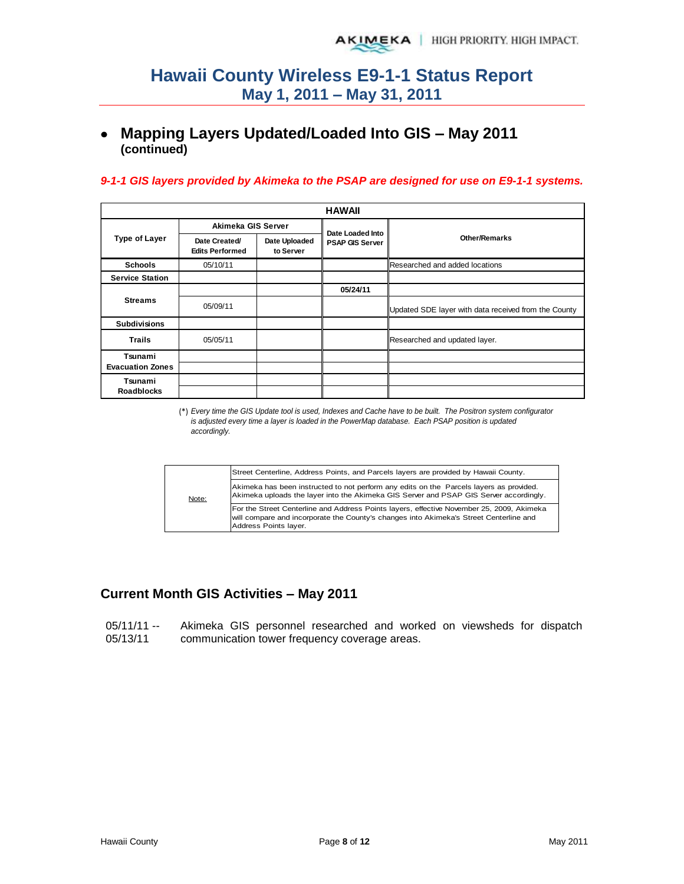### **Mapping Layers Updated/Loaded Into GIS – May 2011 (continued)**

#### *9-1-1 GIS layers provided by Akimeka to the PSAP are designed for use on E9-1-1 systems.*

|                         |                                         |                            | <b>HAWAII</b>          |                                                      |
|-------------------------|-----------------------------------------|----------------------------|------------------------|------------------------------------------------------|
|                         | Akimeka GIS Server                      |                            | Date Loaded Into       |                                                      |
| <b>Type of Layer</b>    | Date Created/<br><b>Edits Performed</b> | Date Uploaded<br>to Server | <b>PSAP GIS Server</b> | <b>Other/Remarks</b>                                 |
| <b>Schools</b>          | 05/10/11                                |                            |                        | Researched and added locations                       |
| <b>Service Station</b>  |                                         |                            |                        |                                                      |
|                         |                                         |                            | 05/24/11               |                                                      |
| <b>Streams</b>          | 05/09/11                                |                            |                        | Updated SDE layer with data received from the County |
| <b>Subdivisions</b>     |                                         |                            |                        |                                                      |
| <b>Trails</b>           | 05/05/11                                |                            |                        | Researched and updated layer.                        |
| Tsunami                 |                                         |                            |                        |                                                      |
| <b>Evacuation Zones</b> |                                         |                            |                        |                                                      |
| Tsunami                 |                                         |                            |                        |                                                      |
| <b>Roadblocks</b>       |                                         |                            |                        |                                                      |

(\*) *Every time the GIS Update tool is used, Indexes and Cache have to be built. The Positron system configurator is adjusted every time a layer is loaded in the PowerMap database. Each PSAP position is updated accordingly.*

|       | Street Centerline, Address Points, and Parcels layers are provided by Hawaii County.                                                                                                                         |
|-------|--------------------------------------------------------------------------------------------------------------------------------------------------------------------------------------------------------------|
| Note: | Akimeka has been instructed to not perform any edits on the Parcels layers as provided.<br>Akimeka uploads the layer into the Akimeka GIS Server and PSAP GIS Server accordingly.                            |
|       | For the Street Centerline and Address Points layers, effective November 25, 2009, Akimeka<br>will compare and incorporate the County's changes into Akimeka's Street Centerline and<br>Address Points layer. |

### **Current Month GIS Activities – May 2011**

| $05/11/11 -$ |  | Akimeka GIS personnel researched and worked on viewsheds for dispatch |  |  |  |
|--------------|--|-----------------------------------------------------------------------|--|--|--|
| 05/13/11     |  | communication tower frequency coverage areas.                         |  |  |  |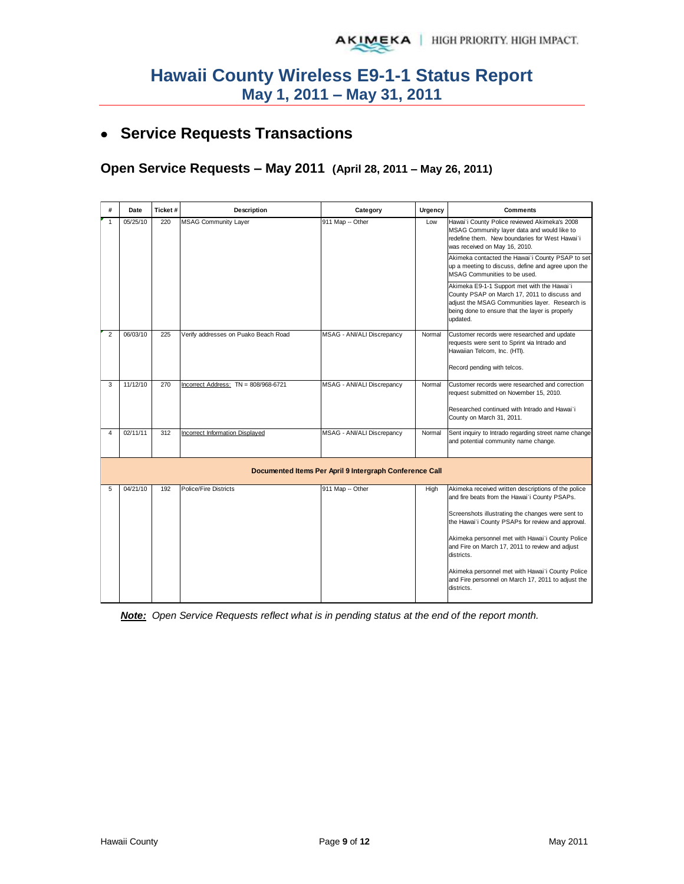## **Service Requests Transactions**

**Open Service Requests – May 2011 (April 28, 2011 – May 26, 2011)** 

| #              | Date     | Ticket# | Description                            | Category                                                | Urgency | <b>Comments</b>                                                                                                                                                                                                                                                                                                                                                                                                                                             |  |  |  |
|----------------|----------|---------|----------------------------------------|---------------------------------------------------------|---------|-------------------------------------------------------------------------------------------------------------------------------------------------------------------------------------------------------------------------------------------------------------------------------------------------------------------------------------------------------------------------------------------------------------------------------------------------------------|--|--|--|
| $\mathbf{1}$   | 05/25/10 | 220     | <b>MSAG Community Layer</b>            | 911 Map -- Other                                        | Low     | Hawai'i County Police reviewed Akimeka's 2008<br>MSAG Community layer data and would like to<br>redefine them. New boundaries for West Hawai'i<br>was received on May 16, 2010.<br>Akimeka contacted the Hawai'i County PSAP to set                                                                                                                                                                                                                         |  |  |  |
|                |          |         |                                        |                                                         |         | up a meeting to discuss, define and agree upon the<br>MSAG Communities to be used.                                                                                                                                                                                                                                                                                                                                                                          |  |  |  |
|                |          |         |                                        |                                                         |         | Akimeka E9-1-1 Support met with the Hawai'i<br>County PSAP on March 17, 2011 to discuss and<br>adjust the MSAG Communities layer. Research is<br>being done to ensure that the layer is properly<br>updated.                                                                                                                                                                                                                                                |  |  |  |
| $\overline{2}$ | 06/03/10 | 225     | Verify addresses on Puako Beach Road   | MSAG - ANI/ALI Discrepancy                              | Normal  | Customer records were researched and update<br>requests were sent to Sprint via Intrado and<br>Hawaiian Telcom, Inc. (HTI).<br>Record pending with telcos.                                                                                                                                                                                                                                                                                                  |  |  |  |
| 3              | 11/12/10 | 270     | Incorrect Address: $TN = 808/968-6721$ | MSAG - ANI/ALI Discrepancy                              | Normal  | Customer records were researched and correction<br>request submitted on November 15, 2010.<br>Researched continued with Intrado and Hawai`i<br>County on March 31, 2011.                                                                                                                                                                                                                                                                                    |  |  |  |
| 4              | 02/11/11 | 312     | <b>Incorrect Information Displayed</b> | MSAG - ANI/ALI Discrepancy                              | Normal  | Sent inquiry to Intrado regarding street name change<br>and potential community name change.                                                                                                                                                                                                                                                                                                                                                                |  |  |  |
|                |          |         |                                        | Documented Items Per April 9 Intergraph Conference Call |         |                                                                                                                                                                                                                                                                                                                                                                                                                                                             |  |  |  |
| 5              | 04/21/10 | 192     | Police/Fire Districts                  | 911 Map -- Other                                        | High    | Akimeka received written descriptions of the police<br>and fire beats from the Hawai'i County PSAPs.<br>Screenshots illustrating the changes were sent to<br>the Hawai'i County PSAPs for review and approval.<br>Akimeka personnel met with Hawai'i County Police<br>and Fire on March 17, 2011 to review and adjust<br>districts.<br>Akimeka personnel met with Hawai'i County Police<br>and Fire personnel on March 17, 2011 to adjust the<br>districts. |  |  |  |

*Note: Open Service Requests reflect what is in pending status at the end of the report month.*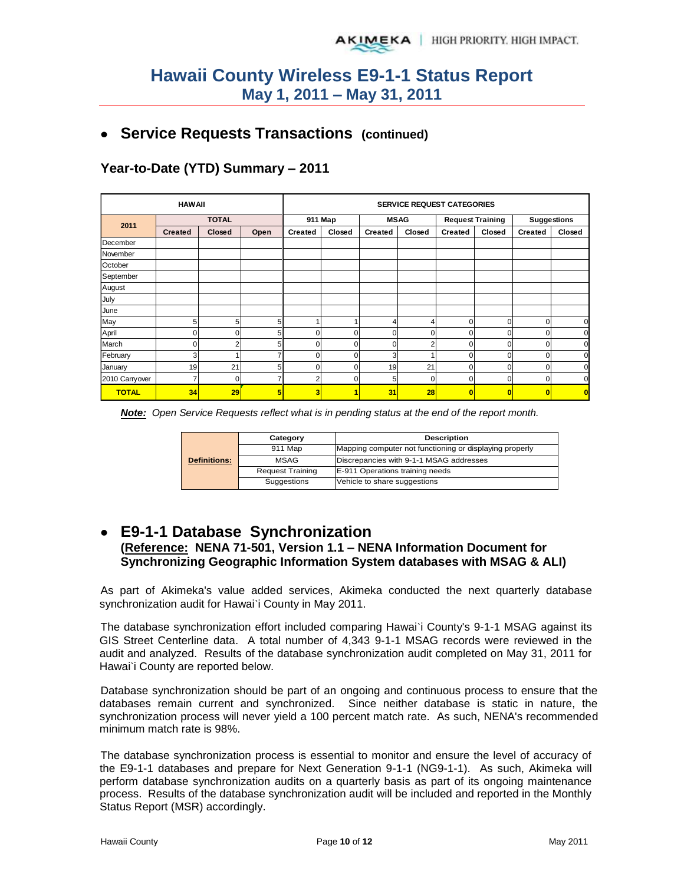### **Service Requests Transactions (continued)**

**Year-to-Date (YTD) Summary – 2011**

|                | <b>HAWAII</b>  |               |                |                | <b>SERVICE REQUEST CATEGORIES</b> |                |                |                |                         |                |                    |  |
|----------------|----------------|---------------|----------------|----------------|-----------------------------------|----------------|----------------|----------------|-------------------------|----------------|--------------------|--|
| 2011           | <b>TOTAL</b>   |               |                |                | 911 Map                           |                | <b>MSAG</b>    |                | <b>Request Training</b> |                | <b>Suggestions</b> |  |
|                | <b>Created</b> | <b>Closed</b> | Open           | <b>Created</b> | Closed                            | <b>Created</b> | Closed         | <b>Created</b> | Closed                  | <b>Created</b> | Closed             |  |
| December       |                |               |                |                |                                   |                |                |                |                         |                |                    |  |
| November       |                |               |                |                |                                   |                |                |                |                         |                |                    |  |
| October        |                |               |                |                |                                   |                |                |                |                         |                |                    |  |
| September      |                |               |                |                |                                   |                |                |                |                         |                |                    |  |
| August         |                |               |                |                |                                   |                |                |                |                         |                |                    |  |
| July           |                |               |                |                |                                   |                |                |                |                         |                |                    |  |
| June           |                |               |                |                |                                   |                |                |                |                         |                |                    |  |
| May            | 5              | 5             | 5 <sub>1</sub> |                |                                   |                | 4              | $\mathbf 0$    | 0                       | 0              |                    |  |
| April          | 0              | 0             | 5 <sub>1</sub> | $\mathbf 0$    | $\Omega$                          | $\Omega$       | 0              | 0              | 0                       | 0              |                    |  |
| March          | 0              | ົ             | 51             | $\Omega$       | $\Omega$                          | $\Omega$       | $\overline{2}$ | $\Omega$       | $\Omega$                | 0              |                    |  |
| February       | 3              |               |                | 0              | 0                                 | p              | ٠              | U              | 0                       | 0              |                    |  |
| January        | 19             | 21            | 51             | $\Omega$       | U                                 | 19             | 21             | 0              | 0                       | 0              |                    |  |
| 2010 Carryover | 7              | $\Omega$      |                | c              | ŋ                                 | 5              | 0              | 0              | 0                       | 0              |                    |  |
| <b>TOTAL</b>   | 34             | 29            |                | 3              |                                   | 31             | 28             | 0              | C                       | O              |                    |  |

| <b>Note:</b> Open Service Requests reflect what is in pending status at the end of the report month. |  |  |  |  |
|------------------------------------------------------------------------------------------------------|--|--|--|--|
|                                                                                                      |  |  |  |  |

|                     | Category                | <b>Description</b>                                      |  |  |  |  |
|---------------------|-------------------------|---------------------------------------------------------|--|--|--|--|
|                     | 911 Map                 | Mapping computer not functioning or displaying properly |  |  |  |  |
| <b>Definitions:</b> | <b>MSAG</b>             | Discrepancies with 9-1-1 MSAG addresses                 |  |  |  |  |
|                     | <b>Request Training</b> | E-911 Operations training needs                         |  |  |  |  |
|                     | Suggestions             | Vehicle to share suggestions                            |  |  |  |  |

### **E9-1-1 Database Synchronization (Reference: NENA 71-501, Version 1.1 – NENA Information Document for Synchronizing Geographic Information System databases with MSAG & ALI)**

As part of Akimeka's value added services, Akimeka conducted the next quarterly database synchronization audit for Hawai'i County in May 2011.

The database synchronization effort included comparing Hawai`i County's 9-1-1 MSAG against its GIS Street Centerline data. A total number of 4,343 9-1-1 MSAG records were reviewed in the audit and analyzed. Results of the database synchronization audit completed on May 31, 2011 for Hawai`i County are reported below.

Database synchronization should be part of an ongoing and continuous process to ensure that the databases remain current and synchronized. Since neither database is static in nature, the synchronization process will never yield a 100 percent match rate. As such, NENA's recommended minimum match rate is 98%.

The database synchronization process is essential to monitor and ensure the level of accuracy of the E9-1-1 databases and prepare for Next Generation 9-1-1 (NG9-1-1). As such, Akimeka will perform database synchronization audits on a quarterly basis as part of its ongoing maintenance process. Results of the database synchronization audit will be included and reported in the Monthly Status Report (MSR) accordingly.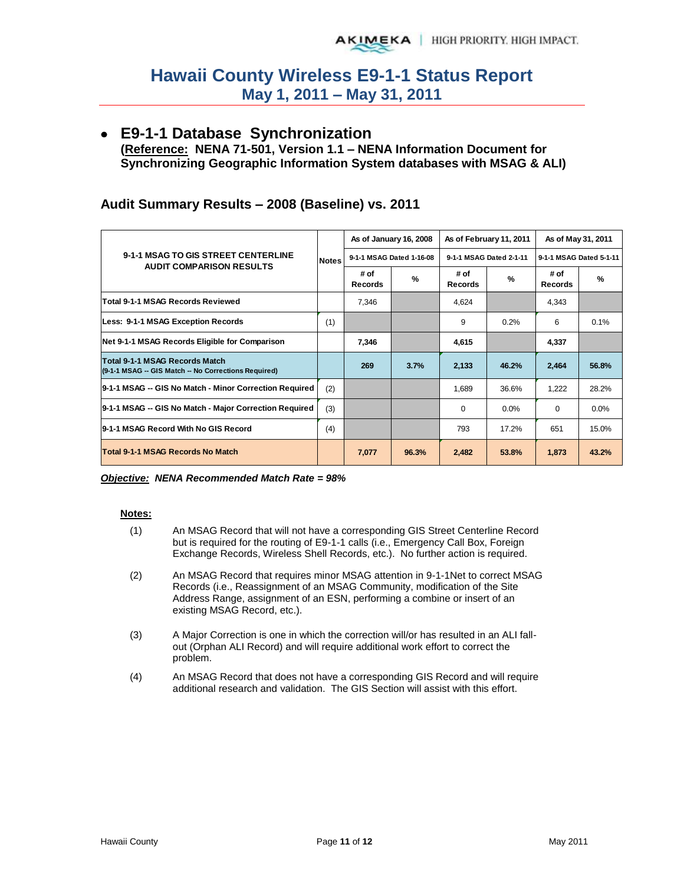### **E9-1-1 Database Synchronization**

**(Reference: NENA 71-501, Version 1.1 – NENA Information Document for Synchronizing Geographic Information System databases with MSAG & ALI)** 

|                                                                                        |              |                        | As of January 16, 2008   |                        | As of February 11, 2011 | As of May 31, 2011      |               |  |
|----------------------------------------------------------------------------------------|--------------|------------------------|--------------------------|------------------------|-------------------------|-------------------------|---------------|--|
| 9-1-1 MSAG TO GIS STREET CENTERLINE                                                    | <b>Notes</b> |                        | 9-1-1 MSAG Dated 1-16-08 |                        | 9-1-1 MSAG Dated 2-1-11 | 9-1-1 MSAG Dated 5-1-11 |               |  |
| <b>AUDIT COMPARISON RESULTS</b>                                                        |              | # of<br><b>Records</b> | %                        | # of<br><b>Records</b> | $\frac{9}{6}$           | # of<br><b>Records</b>  | $\frac{9}{6}$ |  |
| Total 9-1-1 MSAG Records Reviewed                                                      |              | 7,346                  |                          | 4,624                  |                         | 4,343                   |               |  |
| Less: 9-1-1 MSAG Exception Records                                                     | (1)          |                        |                          | 9                      | 0.2%                    | 6                       | 0.1%          |  |
| Net 9-1-1 MSAG Records Eligible for Comparison                                         |              | 7,346                  |                          | 4,615                  |                         | 4,337                   |               |  |
| Total 9-1-1 MSAG Records Match<br>(9-1-1 MSAG -- GIS Match -- No Corrections Required) |              | 269                    | 3.7%                     | 2,133                  | 46.2%                   | 2,464                   | 56.8%         |  |
| 9-1-1 MSAG -- GIS No Match - Minor Correction Required                                 | (2)          |                        |                          | 1,689                  | 36.6%                   | 1,222                   | 28.2%         |  |
| 9-1-1 MSAG -- GIS No Match - Major Correction Required                                 | (3)          |                        |                          | 0                      | 0.0%                    | 0                       | 0.0%          |  |
| 9-1-1 MSAG Record With No GIS Record                                                   |              |                        |                          | 793                    | 17.2%                   | 651                     | 15.0%         |  |
| Total 9-1-1 MSAG Records No Match                                                      |              | 7,077                  | 96.3%                    | 2,482                  | 53.8%                   | 1,873                   | 43.2%         |  |

#### **Audit Summary Results – 2008 (Baseline) vs. 2011**

#### *Objective: NENA Recommended Match Rate = 98%*

#### **Notes:**

- (1) An MSAG Record that will not have a corresponding GIS Street Centerline Record but is required for the routing of E9-1-1 calls (i.e., Emergency Call Box, Foreign Exchange Records, Wireless Shell Records, etc.). No further action is required.
- (2) An MSAG Record that requires minor MSAG attention in 9-1-1Net to correct MSAG Records (i.e., Reassignment of an MSAG Community, modification of the Site Address Range, assignment of an ESN, performing a combine or insert of an existing MSAG Record, etc.).
- (3) A Major Correction is one in which the correction will/or has resulted in an ALI fallout (Orphan ALI Record) and will require additional work effort to correct the problem.
- (4) An MSAG Record that does not have a corresponding GIS Record and will require additional research and validation. The GIS Section will assist with this effort.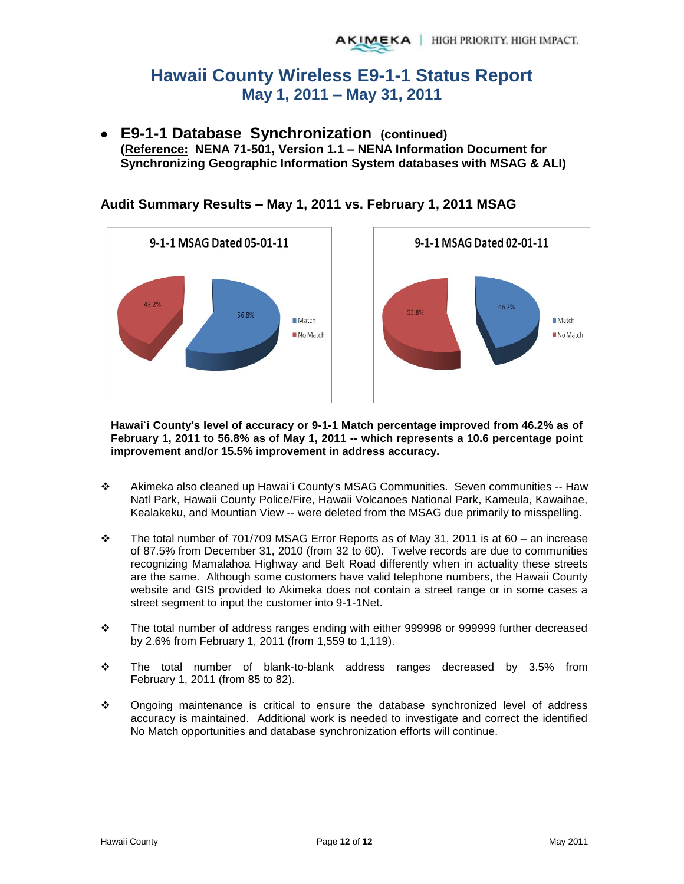**E9-1-1 Database Synchronization (continued) (Reference: NENA 71-501, Version 1.1 – NENA Information Document for Synchronizing Geographic Information System databases with MSAG & ALI)** 



**Audit Summary Results – May 1, 2011 vs. February 1, 2011 MSAG** 

**Hawai`i County's level of accuracy or 9-1-1 Match percentage improved from 46.2% as of February 1, 2011 to 56.8% as of May 1, 2011 -- which represents a 10.6 percentage point improvement and/or 15.5% improvement in address accuracy.** 

- Akimeka also cleaned up Hawai`i County's MSAG Communities. Seven communities -- Haw Natl Park, Hawaii County Police/Fire, Hawaii Volcanoes National Park, Kameula, Kawaihae, Kealakeku, and Mountian View -- were deleted from the MSAG due primarily to misspelling.
- The total number of 701/709 MSAG Error Reports as of May 31, 2011 is at 60 an increase of 87.5% from December 31, 2010 (from 32 to 60). Twelve records are due to communities recognizing Mamalahoa Highway and Belt Road differently when in actuality these streets are the same. Although some customers have valid telephone numbers, the Hawaii County website and GIS provided to Akimeka does not contain a street range or in some cases a street segment to input the customer into 9-1-1Net.
- The total number of address ranges ending with either 999998 or 999999 further decreased by 2.6% from February 1, 2011 (from 1,559 to 1,119).
- The total number of blank-to-blank address ranges decreased by 3.5% from February 1, 2011 (from 85 to 82).
- Ongoing maintenance is critical to ensure the database synchronized level of address accuracy is maintained. Additional work is needed to investigate and correct the identified No Match opportunities and database synchronization efforts will continue.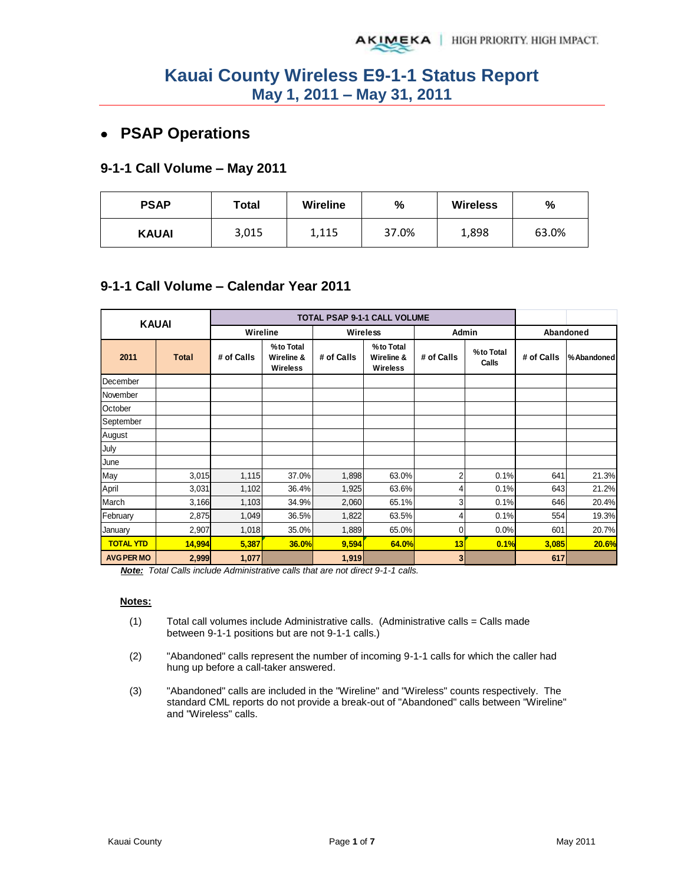## **PSAP Operations**

#### **9-1-1 Call Volume – May 2011**

| <b>PSAP</b>  | Total |       | $\frac{9}{6}$ | <b>Wireless</b> | %     |  |
|--------------|-------|-------|---------------|-----------------|-------|--|
| <b>KAUAI</b> | 3,015 | 1,115 | 37.0%         | 1,898           | 63.0% |  |

#### **9-1-1 Call Volume – Calendar Year 2011**

| <b>KAUAI</b>      |              |            |                                             | TOTAL PSAP 9-1-1 CALL VOLUME |                                            |                |                    |            |             |
|-------------------|--------------|------------|---------------------------------------------|------------------------------|--------------------------------------------|----------------|--------------------|------------|-------------|
|                   |              | Wireline   |                                             |                              | <b>Wireless</b>                            | Admin          |                    |            | Abandoned   |
| 2011              | <b>Total</b> | # of Calls | % to Total<br>Wireline &<br><b>Wireless</b> | # of Calls                   | %to Total<br>Wireline &<br><b>Wireless</b> | # of Calls     | %to Total<br>Calls | # of Calls | % Abandoned |
| December          |              |            |                                             |                              |                                            |                |                    |            |             |
| November          |              |            |                                             |                              |                                            |                |                    |            |             |
| October           |              |            |                                             |                              |                                            |                |                    |            |             |
| September         |              |            |                                             |                              |                                            |                |                    |            |             |
| August            |              |            |                                             |                              |                                            |                |                    |            |             |
| July              |              |            |                                             |                              |                                            |                |                    |            |             |
| June              |              |            |                                             |                              |                                            |                |                    |            |             |
| May               | 3,015        | 1,115      | 37.0%                                       | 1,898                        | 63.0%                                      | $\overline{2}$ | 0.1%               | 641        | 21.3%       |
| April             | 3,031        | 1,102      | 36.4%                                       | 1,925                        | 63.6%                                      | 4              | 0.1%               | 643        | 21.2%       |
| March             | 3,166        | 1,103      | 34.9%                                       | 2,060                        | 65.1%                                      | 3              | 0.1%               | 646        | 20.4%       |
| February          | 2,875        | 1,049      | 36.5%                                       | 1,822                        | 63.5%                                      | 4              | 0.1%               | 554        | 19.3%       |
| January           | 2,907        | 1,018      | 35.0%                                       | 1,889                        | 65.0%                                      | 0              | 0.0%               | 601        | 20.7%       |
| <b>TOTAL YTD</b>  | 14,994       | 5,387      | <b>36.0%</b>                                | 9,594                        | 64.0%                                      | 13             | 0.1%               | 3,085      | 20.6%       |
| <b>AVG PER MO</b> | 2,999        | 1,077      |                                             | 1,919                        |                                            | 3 <sup>1</sup> |                    | 617        |             |

*Note: Total Calls include Administrative calls that are not direct 9-1-1 calls.* 

#### **Notes:**

- $(1)$  Total call volumes include Administrative calls. (Administrative calls = Calls made between 9-1-1 positions but are not 9-1-1 calls.)
- (2) "Abandoned" calls represent the number of incoming 9-1-1 calls for which the caller had hung up before a call-taker answered.
- (3) "Abandoned" calls are included in the "Wireline" and "Wireless" counts respectively. The standard CML reports do not provide a break-out of "Abandoned" calls between "Wireline" and "Wireless" calls.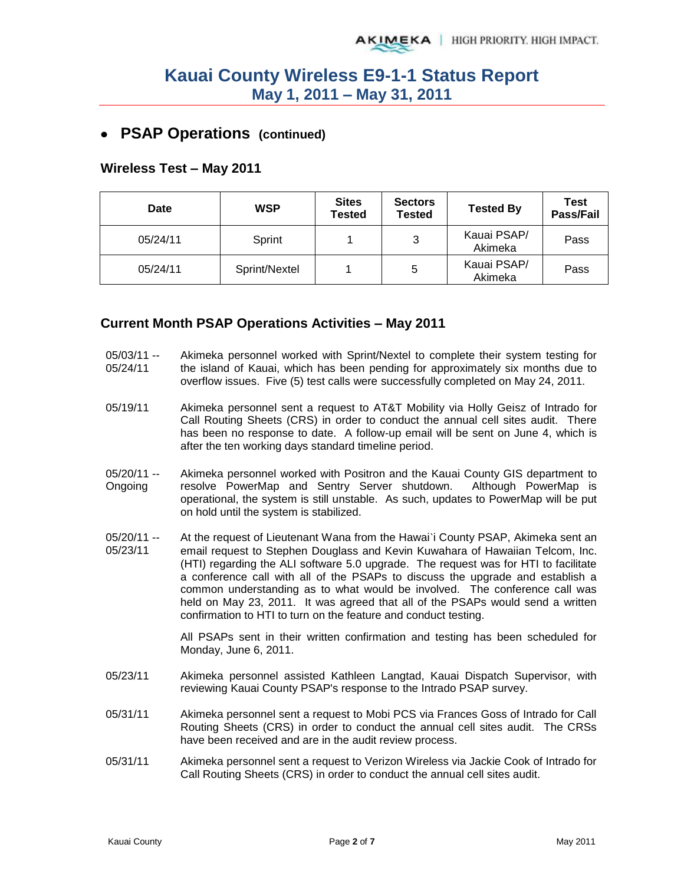### **PSAP Operations (continued)**

#### **Wireless Test – May 2011**

| Date     | <b>WSP</b>    | <b>Sites</b><br>Tested | <b>Sectors</b><br><b>Tested</b> | <b>Tested By</b>       | Test<br>Pass/Fail |
|----------|---------------|------------------------|---------------------------------|------------------------|-------------------|
| 05/24/11 | Sprint        |                        | 3                               | Kauai PSAP/<br>Akimeka | Pass              |
| 05/24/11 | Sprint/Nextel |                        | 5                               | Kauai PSAP/<br>Akimeka | Pass              |

#### **Current Month PSAP Operations Activities – May 2011**

- 05/03/11 -- 05/24/11 Akimeka personnel worked with Sprint/Nextel to complete their system testing for the island of Kauai, which has been pending for approximately six months due to overflow issues. Five (5) test calls were successfully completed on May 24, 2011.
- 05/19/11 Akimeka personnel sent a request to AT&T Mobility via Holly Geisz of Intrado for Call Routing Sheets (CRS) in order to conduct the annual cell sites audit. There has been no response to date. A follow-up email will be sent on June 4, which is after the ten working days standard timeline period.
- 05/20/11 -- Ongoing Akimeka personnel worked with Positron and the Kauai County GIS department to resolve PowerMap and Sentry Server shutdown. Although PowerMap is operational, the system is still unstable. As such, updates to PowerMap will be put on hold until the system is stabilized.
- 05/20/11 -- 05/23/11 At the request of Lieutenant Wana from the Hawai`i County PSAP, Akimeka sent an email request to Stephen Douglass and Kevin Kuwahara of Hawaiian Telcom, Inc. (HTI) regarding the ALI software 5.0 upgrade. The request was for HTI to facilitate a conference call with all of the PSAPs to discuss the upgrade and establish a common understanding as to what would be involved. The conference call was held on May 23, 2011. It was agreed that all of the PSAPs would send a written confirmation to HTI to turn on the feature and conduct testing.

All PSAPs sent in their written confirmation and testing has been scheduled for Monday, June 6, 2011.

- 05/23/11 Akimeka personnel assisted Kathleen Langtad, Kauai Dispatch Supervisor, with reviewing Kauai County PSAP's response to the Intrado PSAP survey.
- 05/31/11 Akimeka personnel sent a request to Mobi PCS via Frances Goss of Intrado for Call Routing Sheets (CRS) in order to conduct the annual cell sites audit. The CRSs have been received and are in the audit review process.
- 05/31/11 Akimeka personnel sent a request to Verizon Wireless via Jackie Cook of Intrado for Call Routing Sheets (CRS) in order to conduct the annual cell sites audit.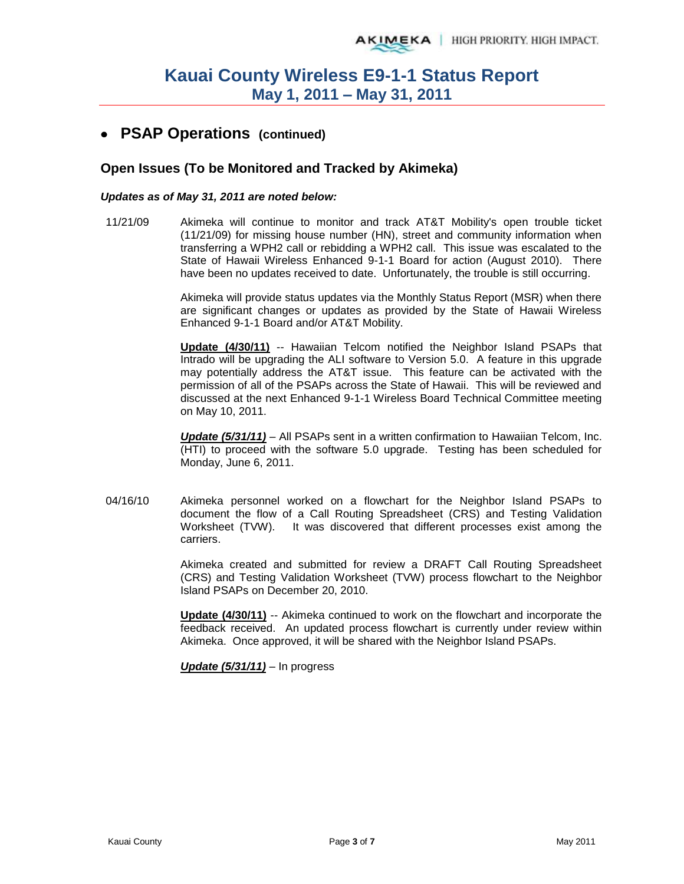### **PSAP Operations (continued)**

#### **Open Issues (To be Monitored and Tracked by Akimeka)**

#### *Updates as of May 31, 2011 are noted below:*

11/21/09 Akimeka will continue to monitor and track AT&T Mobility's open trouble ticket (11/21/09) for missing house number (HN), street and community information when transferring a WPH2 call or rebidding a WPH2 call. This issue was escalated to the State of Hawaii Wireless Enhanced 9-1-1 Board for action (August 2010). There have been no updates received to date. Unfortunately, the trouble is still occurring.

> Akimeka will provide status updates via the Monthly Status Report (MSR) when there are significant changes or updates as provided by the State of Hawaii Wireless Enhanced 9-1-1 Board and/or AT&T Mobility.

> **Update (4/30/11)** -- Hawaiian Telcom notified the Neighbor Island PSAPs that Intrado will be upgrading the ALI software to Version 5.0. A feature in this upgrade may potentially address the AT&T issue. This feature can be activated with the permission of all of the PSAPs across the State of Hawaii. This will be reviewed and discussed at the next Enhanced 9-1-1 Wireless Board Technical Committee meeting on May 10, 2011.

> *Update (5/31/11)* – All PSAPs sent in a written confirmation to Hawaiian Telcom, Inc. (HTI) to proceed with the software 5.0 upgrade. Testing has been scheduled for Monday, June 6, 2011.

04/16/10 Akimeka personnel worked on a flowchart for the Neighbor Island PSAPs to document the flow of a Call Routing Spreadsheet (CRS) and Testing Validation Worksheet (TVW). It was discovered that different processes exist among the carriers.

> Akimeka created and submitted for review a DRAFT Call Routing Spreadsheet (CRS) and Testing Validation Worksheet (TVW) process flowchart to the Neighbor Island PSAPs on December 20, 2010.

> **Update (4/30/11)** -- Akimeka continued to work on the flowchart and incorporate the feedback received. An updated process flowchart is currently under review within Akimeka. Once approved, it will be shared with the Neighbor Island PSAPs.

*Update (5/31/11)* – In progress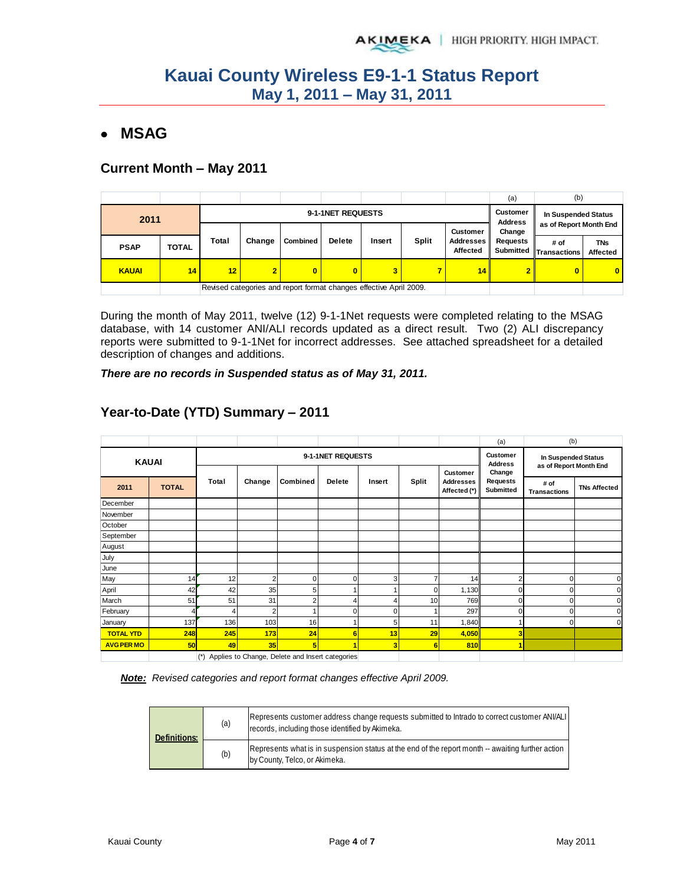### **MSAG**

### **Current Month – May 2011**

|              |       |                   |                |                                                                    |                         |        |              |                       | (a)                              | (b)                    |                        |
|--------------|-------|-------------------|----------------|--------------------------------------------------------------------|-------------------------|--------|--------------|-----------------------|----------------------------------|------------------------|------------------------|
| 2011         |       | 9-1-1NET REQUESTS |                |                                                                    |                         |        |              |                       | Customer<br><b>Address</b>       | In Suspended Status    |                        |
|              |       |                   |                |                                                                    |                         |        |              | <b>Customer</b>       | as of Report Month End<br>Change |                        |                        |
| <b>PSAP</b>  | TOTAL | Total             | Change         | <b>Combined</b>                                                    | <b>Delete</b>           | Insert | <b>Split</b> | Addresses<br>Affected | Requests<br>Submitted            | # of<br>· Transactions | <b>TNs</b><br>Affected |
| <b>KAUAI</b> | 14    | 12 <sub>1</sub>   | $\overline{2}$ | 0                                                                  | $\overline{\mathbf{0}}$ | 3      | ۰,           | 14                    |                                  | $\bf{0}$               | $\mathbf{0}$           |
|              |       |                   |                | Revised categories and report format changes effective April 2009. |                         |        |              |                       |                                  |                        |                        |

During the month of May 2011, twelve (12) 9-1-1Net requests were completed relating to the MSAG database, with 14 customer ANI/ALI records updated as a direct result. Two (2) ALI discrepancy reports were submitted to 9-1-1Net for incorrect addresses. See attached spreadsheet for a detailed description of changes and additions.

*There are no records in Suspended status as of May 31, 2011.* 

|                   |              |       |                   |                                                 |                |        |       |                              | (a)                | (b)                                           |                     |
|-------------------|--------------|-------|-------------------|-------------------------------------------------|----------------|--------|-------|------------------------------|--------------------|-----------------------------------------------|---------------------|
| <b>KAUAI</b>      |              |       | 9-1-1NET REQUESTS |                                                 |                |        |       |                              |                    | In Suspended Status<br>as of Report Month End |                     |
|                   |              | Total | Change            | Combined                                        | <b>Delete</b>  | Insert | Split | Customer<br><b>Addresses</b> | Change<br>Requests | # of                                          |                     |
| 2011              | <b>TOTAL</b> |       |                   |                                                 |                |        |       | Affected (*)                 | Submitted          | <b>Transactions</b>                           | <b>TNs Affected</b> |
| December          |              |       |                   |                                                 |                |        |       |                              |                    |                                               |                     |
| November          |              |       |                   |                                                 |                |        |       |                              |                    |                                               |                     |
| October           |              |       |                   |                                                 |                |        |       |                              |                    |                                               |                     |
| September         |              |       |                   |                                                 |                |        |       |                              |                    |                                               |                     |
| August            |              |       |                   |                                                 |                |        |       |                              |                    |                                               |                     |
| July              |              |       |                   |                                                 |                |        |       |                              |                    |                                               |                     |
| June              |              |       |                   |                                                 |                |        |       |                              |                    |                                               |                     |
| May               | 14           | 12    | $\overline{ }$    | $\mathbf 0$                                     | 0              | 3      |       | 14                           | 2                  |                                               | 0                   |
| April             | 42           | 42    | 35                | 5                                               |                |        |       | 1,130                        | 0                  |                                               |                     |
| March             | 51           | 51    | 31                | $\overline{2}$                                  |                | 4      | 10    | 769                          | 0                  |                                               | O                   |
| February          |              | 4     |                   |                                                 | 0              | 0      |       | 297                          | 0                  |                                               | 0                   |
| January           | 137          | 136   | 103               | 16                                              |                | 5      | 11    | 1,840                        | 4                  | 0                                             | $\Omega$            |
| <b>TOTAL YTD</b>  | 248          | 245   | 173               | 24                                              | $6\phantom{1}$ | 13     | 29    | 4,050                        | 3                  |                                               |                     |
| <b>AVG PER MO</b> | 50           | 49    | 35                | 5                                               |                | 3      | 6     | 810                          | ۸                  |                                               |                     |
|                   |              | $(*)$ |                   | Applies to Change, Delete and Insert categories |                |        |       |                              |                    |                                               |                     |

### **Year-to-Date (YTD) Summary – 2011**

*Note: Revised categories and report format changes effective April 2009.* 

| <b>Definitions:</b> | (a) | Represents customer address change requests submitted to Intrado to correct customer ANI/ALI<br>records, including those identified by Akimeka. |
|---------------------|-----|-------------------------------------------------------------------------------------------------------------------------------------------------|
|                     | (b) | Represents what is in suspension status at the end of the report month -- awaiting further action<br>by County, Telco, or Akimeka.              |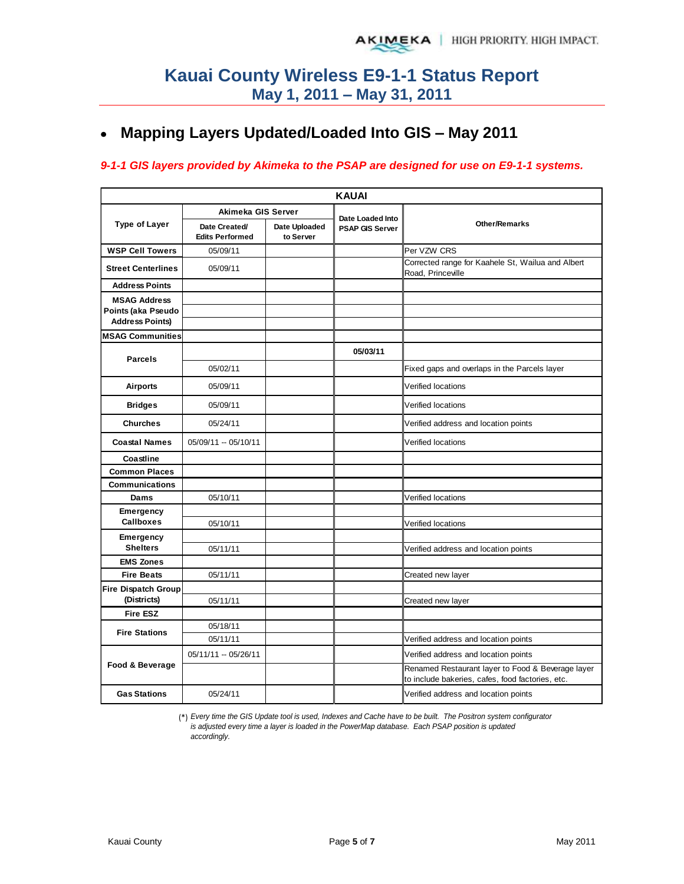## **Mapping Layers Updated/Loaded Into GIS – May 2011**

#### *9-1-1 GIS layers provided by Akimeka to the PSAP are designed for use on E9-1-1 systems.*

|                                              | <b>KAUAI</b>                            |                            |                        |                                                                                                       |  |  |  |  |  |  |  |  |
|----------------------------------------------|-----------------------------------------|----------------------------|------------------------|-------------------------------------------------------------------------------------------------------|--|--|--|--|--|--|--|--|
|                                              | Akimeka GIS Server                      |                            | Date Loaded Into       |                                                                                                       |  |  |  |  |  |  |  |  |
| <b>Type of Layer</b>                         | Date Created/<br><b>Edits Performed</b> | Date Uploaded<br>to Server | <b>PSAP GIS Server</b> | <b>Other/Remarks</b>                                                                                  |  |  |  |  |  |  |  |  |
| <b>WSP Cell Towers</b>                       | 05/09/11                                |                            |                        | Per VZW CRS                                                                                           |  |  |  |  |  |  |  |  |
| <b>Street Centerlines</b>                    | 05/09/11                                |                            |                        | Corrected range for Kaahele St, Wailua and Albert<br>Road, Princeville                                |  |  |  |  |  |  |  |  |
| <b>Address Points</b>                        |                                         |                            |                        |                                                                                                       |  |  |  |  |  |  |  |  |
| <b>MSAG Address</b>                          |                                         |                            |                        |                                                                                                       |  |  |  |  |  |  |  |  |
| Points (aka Pseudo<br><b>Address Points)</b> |                                         |                            |                        |                                                                                                       |  |  |  |  |  |  |  |  |
| <b>MSAG Communities</b>                      |                                         |                            |                        |                                                                                                       |  |  |  |  |  |  |  |  |
|                                              |                                         |                            |                        |                                                                                                       |  |  |  |  |  |  |  |  |
| <b>Parcels</b>                               |                                         |                            | 05/03/11               |                                                                                                       |  |  |  |  |  |  |  |  |
|                                              | 05/02/11                                |                            |                        | Fixed gaps and overlaps in the Parcels layer                                                          |  |  |  |  |  |  |  |  |
| <b>Airports</b>                              | 05/09/11                                |                            |                        | Verified locations                                                                                    |  |  |  |  |  |  |  |  |
| <b>Bridges</b>                               | 05/09/11                                |                            |                        | Verified locations                                                                                    |  |  |  |  |  |  |  |  |
| <b>Churches</b>                              | 05/24/11                                |                            |                        | Verified address and location points                                                                  |  |  |  |  |  |  |  |  |
| <b>Coastal Names</b>                         | 05/09/11 -- 05/10/11                    |                            |                        | Verified locations                                                                                    |  |  |  |  |  |  |  |  |
| Coastline                                    |                                         |                            |                        |                                                                                                       |  |  |  |  |  |  |  |  |
| <b>Common Places</b>                         |                                         |                            |                        |                                                                                                       |  |  |  |  |  |  |  |  |
| <b>Communications</b>                        |                                         |                            |                        |                                                                                                       |  |  |  |  |  |  |  |  |
| Dams                                         | 05/10/11                                |                            |                        | Verified locations                                                                                    |  |  |  |  |  |  |  |  |
| Emergency<br><b>Callboxes</b>                |                                         |                            |                        |                                                                                                       |  |  |  |  |  |  |  |  |
|                                              | 05/10/11                                |                            |                        | Verified locations                                                                                    |  |  |  |  |  |  |  |  |
| Emergency<br><b>Shelters</b>                 | 05/11/11                                |                            |                        | Verified address and location points                                                                  |  |  |  |  |  |  |  |  |
| <b>EMS Zones</b>                             |                                         |                            |                        |                                                                                                       |  |  |  |  |  |  |  |  |
| <b>Fire Beats</b>                            | 05/11/11                                |                            |                        | Created new layer                                                                                     |  |  |  |  |  |  |  |  |
| Fire Dispatch Group                          |                                         |                            |                        |                                                                                                       |  |  |  |  |  |  |  |  |
| (Districts)                                  | 05/11/11                                |                            |                        | Created new layer                                                                                     |  |  |  |  |  |  |  |  |
| <b>Fire ESZ</b>                              |                                         |                            |                        |                                                                                                       |  |  |  |  |  |  |  |  |
| <b>Fire Stations</b>                         | 05/18/11                                |                            |                        |                                                                                                       |  |  |  |  |  |  |  |  |
|                                              | 05/11/11                                |                            |                        | Verified address and location points                                                                  |  |  |  |  |  |  |  |  |
| Food & Beverage                              | 05/11/11 -- 05/26/11                    |                            |                        | Verified address and location points                                                                  |  |  |  |  |  |  |  |  |
|                                              |                                         |                            |                        | Renamed Restaurant layer to Food & Beverage layer<br>to include bakeries, cafes, food factories, etc. |  |  |  |  |  |  |  |  |
| <b>Gas Stations</b>                          | 05/24/11                                |                            |                        | Verified address and location points                                                                  |  |  |  |  |  |  |  |  |

(\*) *Every time the GIS Update tool is used, Indexes and Cache have to be built. The Positron system configurator is adjusted every time a layer is loaded in the PowerMap database. Each PSAP position is updated accordingly.*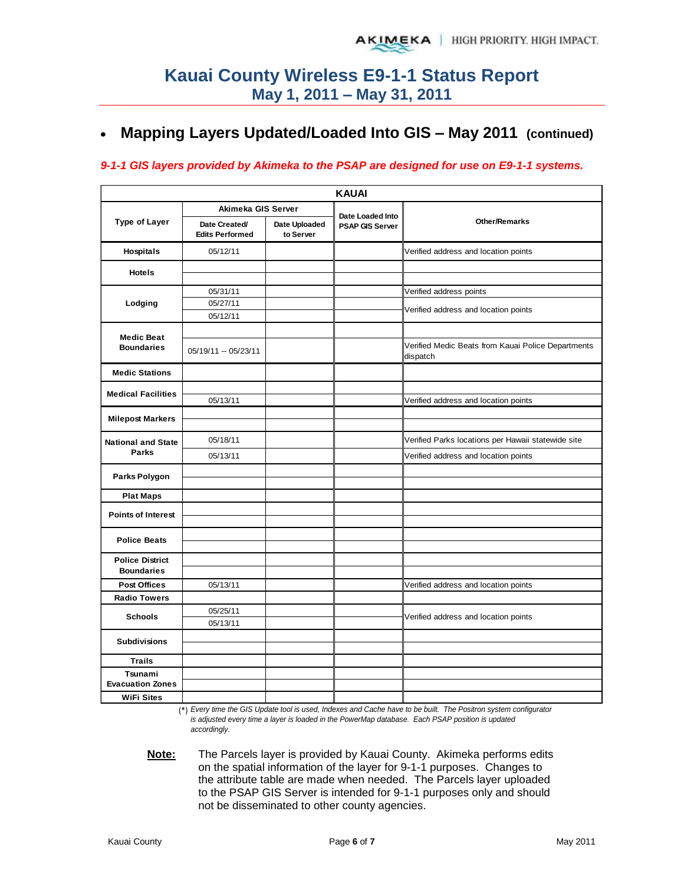#### **Mapping Layers Updated/Loaded Into GIS – May 2011 (continued)**   $\bullet$

#### *9-1-1 GIS layers provided by Akimeka to the PSAP are designed for use on E9-1-1 systems.*

|                           |                                         |                            | <b>KAUAI</b>           |                                                                |
|---------------------------|-----------------------------------------|----------------------------|------------------------|----------------------------------------------------------------|
|                           | Akimeka GIS Server                      |                            | Date Loaded Into       |                                                                |
| <b>Type of Layer</b>      | Date Created/<br><b>Edits Performed</b> | Date Uploaded<br>to Server | <b>PSAP GIS Server</b> | <b>Other/Remarks</b>                                           |
| Hospitals                 | 05/12/11                                |                            |                        | Verified address and location points                           |
| <b>Hotels</b>             |                                         |                            |                        |                                                                |
|                           |                                         |                            |                        |                                                                |
|                           | 05/31/11                                |                            |                        | Verified address points                                        |
| Lodging                   | 05/27/11                                |                            |                        | Verified address and location points                           |
|                           | 05/12/11                                |                            |                        |                                                                |
| <b>Medic Beat</b>         |                                         |                            |                        |                                                                |
| <b>Boundaries</b>         | 05/19/11 - 05/23/11                     |                            |                        | Verified Medic Beats from Kauai Police Departments<br>dispatch |
| <b>Medic Stations</b>     |                                         |                            |                        |                                                                |
| <b>Medical Facilities</b> |                                         |                            |                        |                                                                |
|                           | 05/13/11                                |                            |                        | Verified address and location points                           |
| <b>Milepost Markers</b>   |                                         |                            |                        |                                                                |
| <b>National and State</b> | 05/18/11                                |                            |                        | Verified Parks locations per Hawaii statewide site             |
| <b>Parks</b>              | 05/13/11                                |                            |                        | Verified address and location points                           |
| Parks Polygon             |                                         |                            |                        |                                                                |
| <b>Plat Maps</b>          |                                         |                            |                        |                                                                |
|                           |                                         |                            |                        |                                                                |
| <b>Points of Interest</b> |                                         |                            |                        |                                                                |
| <b>Police Beats</b>       |                                         |                            |                        |                                                                |
| <b>Police District</b>    |                                         |                            |                        |                                                                |
| <b>Boundaries</b>         |                                         |                            |                        |                                                                |
| <b>Post Offices</b>       | 05/13/11                                |                            |                        | Verified address and location points                           |
| <b>Radio Towers</b>       |                                         |                            |                        |                                                                |
|                           | 05/25/11                                |                            |                        |                                                                |
| <b>Schools</b>            | 05/13/11                                |                            |                        | Verified address and location points                           |
| <b>Subdivisions</b>       |                                         |                            |                        |                                                                |
|                           |                                         |                            |                        |                                                                |
| <b>Trails</b>             |                                         |                            |                        |                                                                |
| Tsunami                   |                                         |                            |                        |                                                                |
| <b>Evacuation Zones</b>   |                                         |                            |                        |                                                                |
| <b>WiFi Sites</b>         |                                         |                            |                        |                                                                |

(\*) *Every time the GIS Update tool is used, Indexes and Cache have to be built. The Positron system configurator is adjusted every time a layer is loaded in the PowerMap database. Each PSAP position is updated accordingly.*

**Note:** The Parcels layer is provided by Kauai County. Akimeka performs edits on the spatial information of the layer for 9-1-1 purposes. Changes to the attribute table are made when needed. The Parcels layer uploaded to the PSAP GIS Server is intended for 9-1-1 purposes only and should not be disseminated to other county agencies.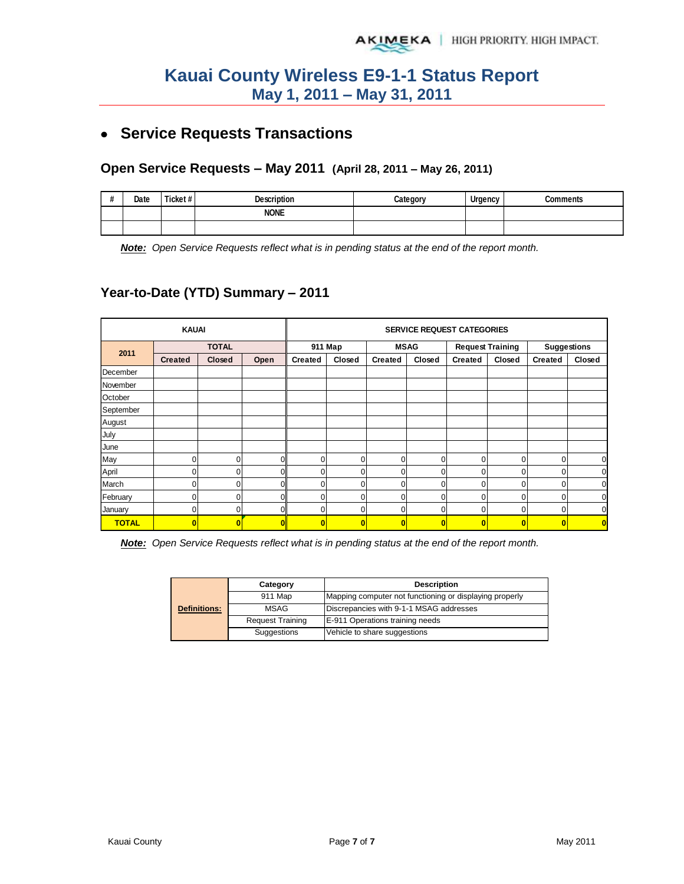## **Service Requests Transactions**

### **Open Service Requests – May 2011 (April 28, 2011 – May 26, 2011)**

| $\boldsymbol{\#}$<br>" | Date | Ticket# | <b>Description</b> | Category | Urgency | `ommante |
|------------------------|------|---------|--------------------|----------|---------|----------|
|                        |      |         | <b>NONE</b>        |          |         |          |
|                        |      |         |                    |          |         |          |

*Note: Open Service Requests reflect what is in pending status at the end of the report month.*

### **Year-to-Date (YTD) Summary – 2011**

|              | <b>KAUAI</b>   |              |          |                | <b>SERVICE REQUEST CATEGORIES</b> |                |          |                         |          |                |        |  |  |
|--------------|----------------|--------------|----------|----------------|-----------------------------------|----------------|----------|-------------------------|----------|----------------|--------|--|--|
| 2011         |                | <b>TOTAL</b> |          |                | 911 Map                           | <b>MSAG</b>    |          | <b>Request Training</b> |          | Suggestions    |        |  |  |
|              | <b>Created</b> | Closed       | Open     | <b>Created</b> | Closed                            | Created        | Closed   | <b>Created</b>          | Closed   | <b>Created</b> | Closed |  |  |
| December     |                |              |          |                |                                   |                |          |                         |          |                |        |  |  |
| November     |                |              |          |                |                                   |                |          |                         |          |                |        |  |  |
| October      |                |              |          |                |                                   |                |          |                         |          |                |        |  |  |
| September    |                |              |          |                |                                   |                |          |                         |          |                |        |  |  |
| August       |                |              |          |                |                                   |                |          |                         |          |                |        |  |  |
| July         |                |              |          |                |                                   |                |          |                         |          |                |        |  |  |
| June         |                |              |          |                |                                   |                |          |                         |          |                |        |  |  |
| May          | $\Omega$       | $\Omega$     | 0        |                | 0                                 | 0              | 0        | 0                       | 0        | $\Omega$       |        |  |  |
| April        | $\Omega$       | $\Omega$     | $\Omega$ | $\Omega$       | $\Omega$                          | $\overline{0}$ | $\Omega$ | $\mathbf 0$             | $\Omega$ | $\Omega$       | U      |  |  |
| March        | U.             | 0            | U        | $\Omega$       | 0                                 | 0              | 0        | $\Omega$                | 0        | $\Omega$       |        |  |  |
| February     |                | 0            |          |                | 0                                 | 0              | 0        | 0                       | 0        |                |        |  |  |
| January      |                | $\Omega$     | U        |                | O                                 | 0              | $\Omega$ | 0                       | 0        | $\Omega$       |        |  |  |
| <b>TOTAL</b> | $\mathbf{0}$   | 0            |          | O              | 0                                 | 0              | 0        | $\bf{0}$                | O        | C              |        |  |  |

*Note: Open Service Requests reflect what is in pending status at the end of the report month.* 

|                     | Category                                        | <b>Description</b>                                      |  |  |  |
|---------------------|-------------------------------------------------|---------------------------------------------------------|--|--|--|
|                     | 911 Map                                         | Mapping computer not functioning or displaying properly |  |  |  |
| <b>Definitions:</b> | Discrepancies with 9-1-1 MSAG addresses<br>MSAG |                                                         |  |  |  |
|                     | <b>Request Training</b>                         | E-911 Operations training needs                         |  |  |  |
|                     | Suggestions                                     | Vehicle to share suggestions                            |  |  |  |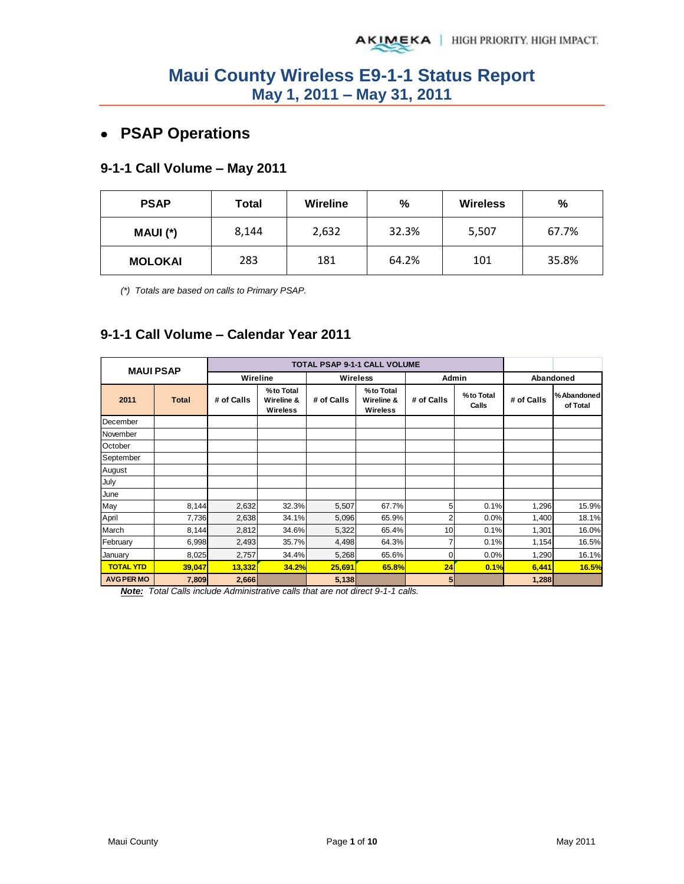## **PSAP Operations**

### **9-1-1 Call Volume – May 2011**

| <b>PSAP</b>    | Total | Wireline | %     | <b>Wireless</b> | %     |
|----------------|-------|----------|-------|-----------------|-------|
| MAUI (*)       | 8,144 | 2,632    | 32.3% | 5,507           | 67.7% |
| <b>MOLOKAI</b> | 283   | 181      | 64.2% | 101             | 35.8% |

*(\*) Totals are based on calls to Primary PSAP.* 

### **9-1-1 Call Volume – Calendar Year 2011**

| <b>MAUI PSAP</b>  |              |            |                                     | <b>TOTAL PSAP 9-1-1 CALL VOLUME</b> |                                            |                |                    |            |                         |
|-------------------|--------------|------------|-------------------------------------|-------------------------------------|--------------------------------------------|----------------|--------------------|------------|-------------------------|
|                   |              | Wireline   |                                     |                                     | <b>Wireless</b>                            | Admin          |                    | Abandoned  |                         |
| 2011              | <b>Total</b> | # of Calls | %to Total<br>Wireline &<br>Wireless | # of Calls                          | %to Total<br>Wireline &<br><b>Wireless</b> | # of Calls     | %to Total<br>Calls | # of Calls | % Abandoned<br>of Total |
| December          |              |            |                                     |                                     |                                            |                |                    |            |                         |
| November          |              |            |                                     |                                     |                                            |                |                    |            |                         |
| October           |              |            |                                     |                                     |                                            |                |                    |            |                         |
| September         |              |            |                                     |                                     |                                            |                |                    |            |                         |
| August            |              |            |                                     |                                     |                                            |                |                    |            |                         |
| July              |              |            |                                     |                                     |                                            |                |                    |            |                         |
| June              |              |            |                                     |                                     |                                            |                |                    |            |                         |
| May               | 8,144        | 2,632      | 32.3%                               | 5,507                               | 67.7%                                      | 5              | 0.1%               | 1,296      | 15.9%                   |
| April             | 7,736        | 2,638      | 34.1%                               | 5,096                               | 65.9%                                      | 2              | 0.0%               | 1,400      | 18.1%                   |
| March             | 8,144        | 2,812      | 34.6%                               | 5,322                               | 65.4%                                      | 10             | 0.1%               | 1,301      | 16.0%                   |
| February          | 6,998        | 2,493      | 35.7%                               | 4,498                               | 64.3%                                      |                | 0.1%               | 1,154      | 16.5%                   |
| January           | 8,025        | 2,757      | 34.4%                               | 5,268                               | 65.6%                                      | 0              | 0.0%               | 1,290      | 16.1%                   |
| <b>TOTAL YTD</b>  | 39,047       | 13,332     | 34.2%                               | 25,691                              | 65.8%                                      | 24             | 0.1%               | 6,441      | 16.5%                   |
| <b>AVG PER MO</b> | 7,809        | 2,666      | $\cdot$ $\cdot$                     | 5,138                               |                                            | 5 <sub>l</sub> |                    | 1,288      |                         |

*Note: Total Calls include Administrative calls that are not direct 9-1-1 calls.*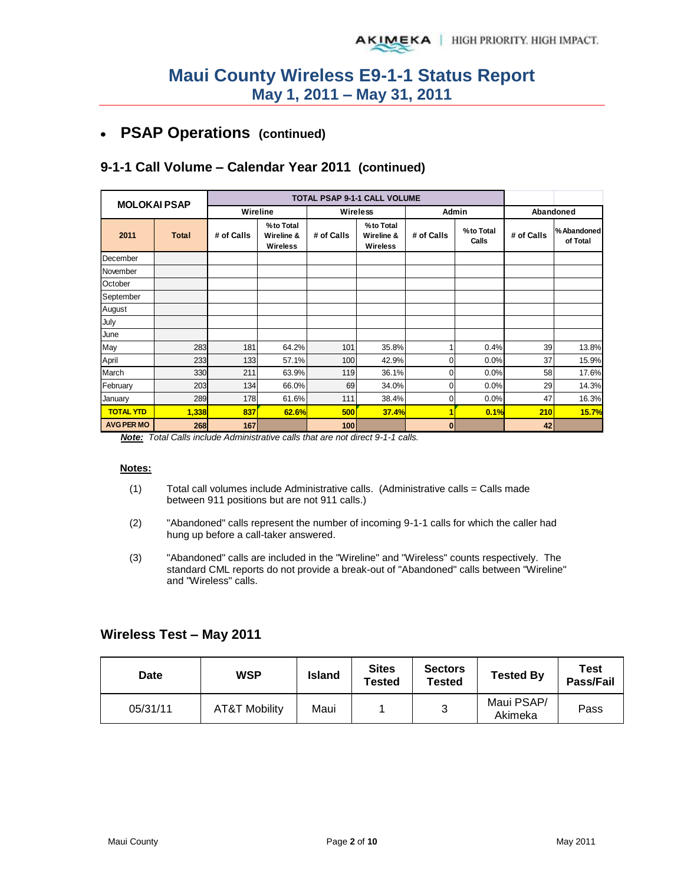#### **PSAP Operations (continued)**   $\bullet$

### **9-1-1 Call Volume – Calendar Year 2011 (continued)**

| <b>MOLOKAI PSAP</b> |              |            |                                            |            | <b>TOTAL PSAP 9-1-1 CALL VOLUME</b>        |            |                    |            |                        |
|---------------------|--------------|------------|--------------------------------------------|------------|--------------------------------------------|------------|--------------------|------------|------------------------|
|                     |              | Wireline   |                                            | Wireless   |                                            | Admin      |                    | Abandoned  |                        |
| 2011                | <b>Total</b> | # of Calls | %to Total<br>Wireline &<br><b>Wireless</b> | # of Calls | %to Total<br>Wireline &<br><b>Wireless</b> | # of Calls | %to Total<br>Calls | # of Calls | %Abandoned<br>of Total |
| December            |              |            |                                            |            |                                            |            |                    |            |                        |
| November            |              |            |                                            |            |                                            |            |                    |            |                        |
| October             |              |            |                                            |            |                                            |            |                    |            |                        |
| September           |              |            |                                            |            |                                            |            |                    |            |                        |
| August              |              |            |                                            |            |                                            |            |                    |            |                        |
| July                |              |            |                                            |            |                                            |            |                    |            |                        |
| June                |              |            |                                            |            |                                            |            |                    |            |                        |
| May                 | 283          | 181        | 64.2%                                      | 101        | 35.8%                                      |            | 0.4%               | 39         | 13.8%                  |
| April               | 233          | 133        | 57.1%                                      | 100        | 42.9%                                      | ი          | 0.0%               | 37         | 15.9%                  |
| March               | 330          | 211        | 63.9%                                      | 119        | 36.1%                                      | ი          | 0.0%               | 58         | 17.6%                  |
| February            | 203          | 134        | 66.0%                                      | 69         | 34.0%                                      |            | 0.0%               | 29         | 14.3%                  |
| January             | 289          | 178        | 61.6%                                      | 111        | 38.4%                                      | 0          | 0.0%               | 47         | 16.3%                  |
| <b>TOTAL YTD</b>    | 1,338        | 837        | 62.6%                                      | 500        | 37.4%                                      |            | 0.1%               | 210        | 15.7%                  |
| <b>AVG PER MO</b>   | 268          | 167        |                                            | 100        |                                            | 0          |                    | 42         |                        |

*Note: Total Calls include Administrative calls that are not direct 9-1-1 calls.* 

#### **Notes:**

- $(1)$  Total call volumes include Administrative calls. (Administrative calls = Calls made between 911 positions but are not 911 calls.)
- (2) "Abandoned" calls represent the number of incoming 9-1-1 calls for which the caller had hung up before a call-taker answered.
- (3) "Abandoned" calls are included in the "Wireline" and "Wireless" counts respectively. The standard CML reports do not provide a break-out of "Abandoned" calls between "Wireline" and "Wireless" calls.

#### **Wireless Test – May 2011**

| Date     | WSP           | <b>Island</b> | <b>Sites</b><br>Tested | <b>Sectors</b><br>Tested | <b>Tested By</b>      | Test<br>Pass/Fail |
|----------|---------------|---------------|------------------------|--------------------------|-----------------------|-------------------|
| 05/31/11 | AT&T Mobility | Maui          |                        | ັ                        | Maui PSAP/<br>Akimeka | Pass              |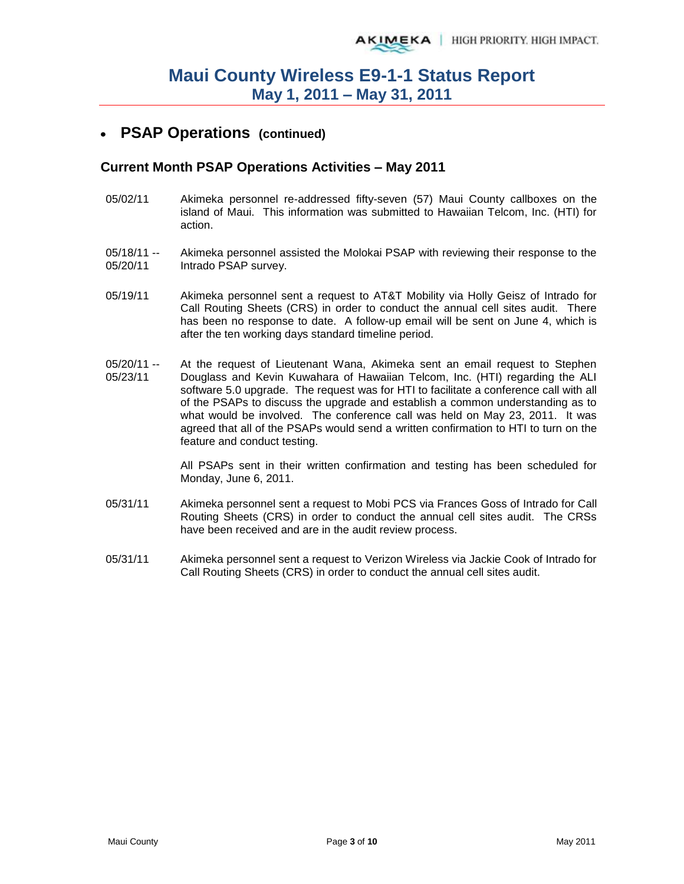## **PSAP Operations (continued)**

#### **Current Month PSAP Operations Activities – May 2011**

- 05/02/11 Akimeka personnel re-addressed fifty-seven (57) Maui County callboxes on the island of Maui. This information was submitted to Hawaiian Telcom, Inc. (HTI) for action.
- 05/18/11 -- 05/20/11 Akimeka personnel assisted the Molokai PSAP with reviewing their response to the Intrado PSAP survey.
- 05/19/11 Akimeka personnel sent a request to AT&T Mobility via Holly Geisz of Intrado for Call Routing Sheets (CRS) in order to conduct the annual cell sites audit. There has been no response to date. A follow-up email will be sent on June 4, which is after the ten working days standard timeline period.
- 05/20/11 -- 05/23/11 At the request of Lieutenant Wana, Akimeka sent an email request to Stephen Douglass and Kevin Kuwahara of Hawaiian Telcom, Inc. (HTI) regarding the ALI software 5.0 upgrade. The request was for HTI to facilitate a conference call with all of the PSAPs to discuss the upgrade and establish a common understanding as to what would be involved. The conference call was held on May 23, 2011. It was agreed that all of the PSAPs would send a written confirmation to HTI to turn on the feature and conduct testing.

All PSAPs sent in their written confirmation and testing has been scheduled for Monday, June 6, 2011.

- 05/31/11 Akimeka personnel sent a request to Mobi PCS via Frances Goss of Intrado for Call Routing Sheets (CRS) in order to conduct the annual cell sites audit. The CRSs have been received and are in the audit review process.
- 05/31/11 Akimeka personnel sent a request to Verizon Wireless via Jackie Cook of Intrado for Call Routing Sheets (CRS) in order to conduct the annual cell sites audit.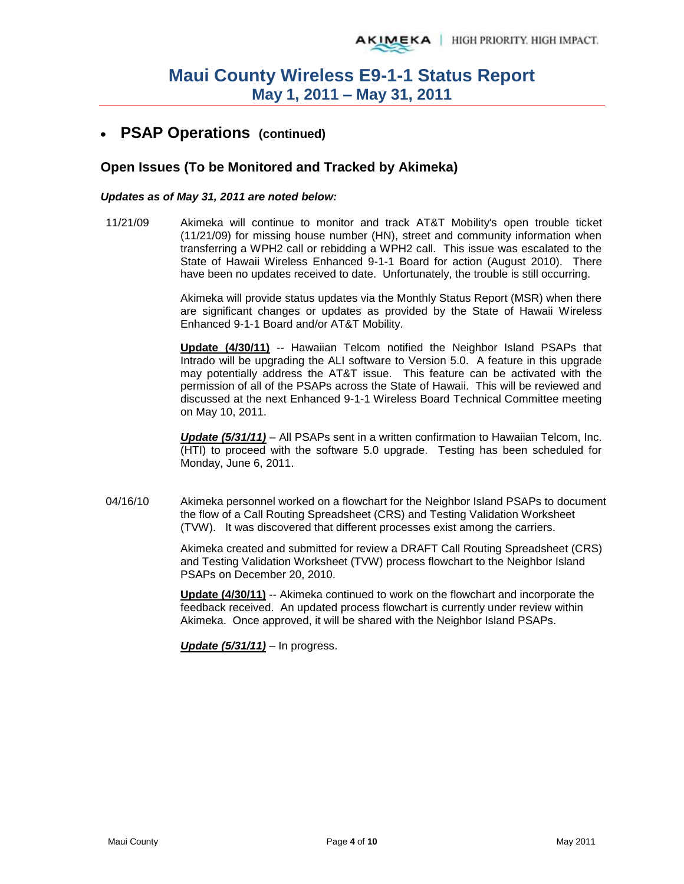## **PSAP Operations (continued)**

#### **Open Issues (To be Monitored and Tracked by Akimeka)**

#### *Updates as of May 31, 2011 are noted below:*

11/21/09 Akimeka will continue to monitor and track AT&T Mobility's open trouble ticket (11/21/09) for missing house number (HN), street and community information when transferring a WPH2 call or rebidding a WPH2 call. This issue was escalated to the State of Hawaii Wireless Enhanced 9-1-1 Board for action (August 2010). There have been no updates received to date. Unfortunately, the trouble is still occurring.

> Akimeka will provide status updates via the Monthly Status Report (MSR) when there are significant changes or updates as provided by the State of Hawaii Wireless Enhanced 9-1-1 Board and/or AT&T Mobility.

> **Update (4/30/11)** -- Hawaiian Telcom notified the Neighbor Island PSAPs that Intrado will be upgrading the ALI software to Version 5.0. A feature in this upgrade may potentially address the AT&T issue. This feature can be activated with the permission of all of the PSAPs across the State of Hawaii. This will be reviewed and discussed at the next Enhanced 9-1-1 Wireless Board Technical Committee meeting on May 10, 2011.

> *Update (5/31/11)* – All PSAPs sent in a written confirmation to Hawaiian Telcom, Inc. (HTI) to proceed with the software 5.0 upgrade. Testing has been scheduled for Monday, June 6, 2011.

04/16/10 Akimeka personnel worked on a flowchart for the Neighbor Island PSAPs to document the flow of a Call Routing Spreadsheet (CRS) and Testing Validation Worksheet (TVW). It was discovered that different processes exist among the carriers.

> Akimeka created and submitted for review a DRAFT Call Routing Spreadsheet (CRS) and Testing Validation Worksheet (TVW) process flowchart to the Neighbor Island PSAPs on December 20, 2010.

**Update (4/30/11)** -- Akimeka continued to work on the flowchart and incorporate the feedback received. An updated process flowchart is currently under review within Akimeka. Once approved, it will be shared with the Neighbor Island PSAPs.

*Update (5/31/11)* – In progress.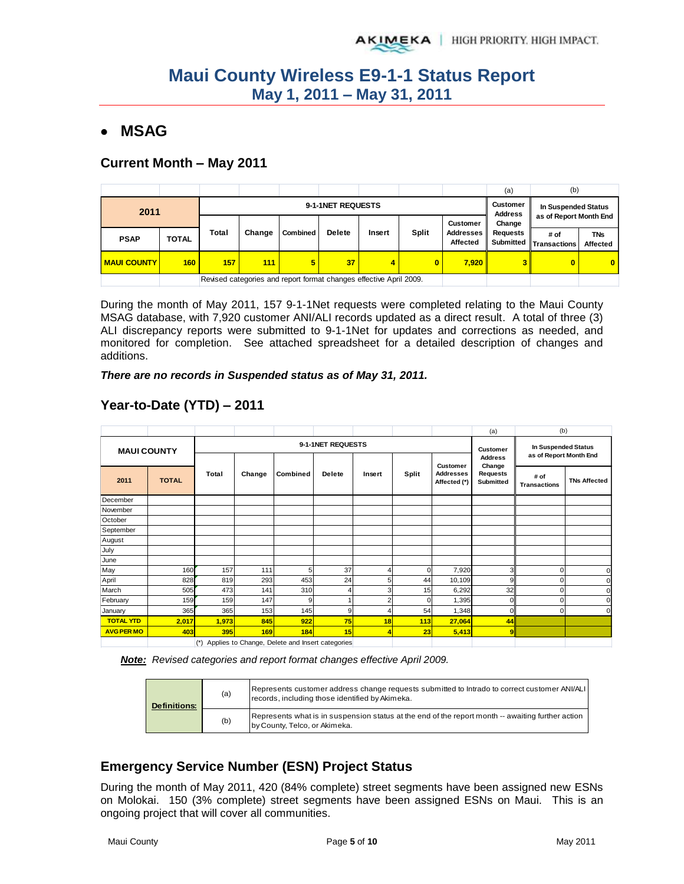### **MSAG**

#### **Current Month – May 2011**

|                    |              |                                                                    |        |          |               |        |              |                              | (a)                        | (b)                            |                        |
|--------------------|--------------|--------------------------------------------------------------------|--------|----------|---------------|--------|--------------|------------------------------|----------------------------|--------------------------------|------------------------|
| 2011               |              | 9-1-1NET REQUESTS                                                  |        |          |               |        |              |                              | Customer<br><b>Address</b> | In Suspended Status            |                        |
|                    |              |                                                                    |        |          |               |        |              | Customer                     | Change                     | as of Report Month End         |                        |
| <b>PSAP</b>        | <b>TOTAL</b> | Total                                                              | Change | Combined | <b>Delete</b> | Insert | <b>Split</b> | <b>Addresses</b><br>Affected | <b>Requests</b>            | # of<br>Submitted Transactions | <b>TNs</b><br>Affected |
| <b>MAUI COUNTY</b> | 160          | 157                                                                | 111    | 5        | 37            | 4      | 0            | 7,920                        | 3                          | o                              | $\mathbf{0}$           |
|                    |              | Revised categories and report format changes effective April 2009. |        |          |               |        |              |                              |                            |                                |                        |

During the month of May 2011, 157 9-1-1Net requests were completed relating to the Maui County MSAG database, with 7,920 customer ANI/ALI records updated as a direct result. A total of three (3) ALI discrepancy reports were submitted to 9-1-1Net for updates and corrections as needed, and monitored for completion. See attached spreadsheet for a detailed description of changes and additions.

#### *There are no records in Suspended status as of May 31, 2011.*

|                    |              |          |                   |                                                 |               |        |          |                                              | (a)                                               | (b)                                           |                     |
|--------------------|--------------|----------|-------------------|-------------------------------------------------|---------------|--------|----------|----------------------------------------------|---------------------------------------------------|-----------------------------------------------|---------------------|
| <b>MAUI COUNTY</b> |              |          | 9-1-1NET REQUESTS |                                                 |               |        |          |                                              |                                                   | In Suspended Status<br>as of Report Month End |                     |
| 2011               | <b>TOTAL</b> | Total    | Change            | Combined                                        | <b>Delete</b> | Insert | Split    | Customer<br><b>Addresses</b><br>Affected (*) | <b>Address</b><br>Change<br>Requests<br>Submitted | # of<br><b>Transactions</b>                   | <b>TNs Affected</b> |
| December           |              |          |                   |                                                 |               |        |          |                                              |                                                   |                                               |                     |
| November           |              |          |                   |                                                 |               |        |          |                                              |                                                   |                                               |                     |
| October            |              |          |                   |                                                 |               |        |          |                                              |                                                   |                                               |                     |
| September          |              |          |                   |                                                 |               |        |          |                                              |                                                   |                                               |                     |
| August             |              |          |                   |                                                 |               |        |          |                                              |                                                   |                                               |                     |
| July               |              |          |                   |                                                 |               |        |          |                                              |                                                   |                                               |                     |
| June               |              |          |                   |                                                 |               |        |          |                                              |                                                   |                                               |                     |
| May                | 160          | 157      | 111               | 5                                               | 37            |        | $\Omega$ | 7,920                                        | 3                                                 |                                               |                     |
| April              | 828          | 819      | 293               | 453                                             | 24            | 5      | 44       | 10,109                                       | 9                                                 |                                               |                     |
| March              | 505          | 473      | 141               | 310                                             | 4             | 3      | 15       | 6,292                                        | 32                                                | ი                                             |                     |
| February           | 159          | 159      | 147               | 9                                               |               | 2      | U        | 1,395                                        | 0                                                 | n                                             |                     |
| January            | 365          | 365      | 153               | 145                                             | 9             |        | 54       | 1,348                                        | $\Omega$                                          | n                                             | r                   |
| <b>TOTAL YTD</b>   | 2,017        | 1,973    | 845               | 922                                             | 75            | 18     | 113      | 27,064                                       | 44                                                |                                               |                     |
| <b>AVG PER MO</b>  | 403          | 395      | 169               | 184                                             | 15            | 4      | 23       | 5,413                                        | 9 <sup>1</sup>                                    |                                               |                     |
|                    |              | $(\ast)$ |                   | Applies to Change, Delete and Insert categories |               |        |          |                                              |                                                   |                                               |                     |

### **Year-to-Date (YTD) – 2011**

*Note: Revised categories and report format changes effective April 2009.* 

| <b>Definitions:</b> | (a) | Represents customer address change requests submitted to Intrado to correct customer ANI/ALI<br>records, including those identified by Akimeka. |
|---------------------|-----|-------------------------------------------------------------------------------------------------------------------------------------------------|
|                     | (b) | Represents what is in suspension status at the end of the report month -- awaiting further action<br>by County, Telco, or Akimeka.              |

### **Emergency Service Number (ESN) Project Status**

During the month of May 2011, 420 (84% complete) street segments have been assigned new ESNs on Molokai. 150 (3% complete) street segments have been assigned ESNs on Maui. This is an ongoing project that will cover all communities.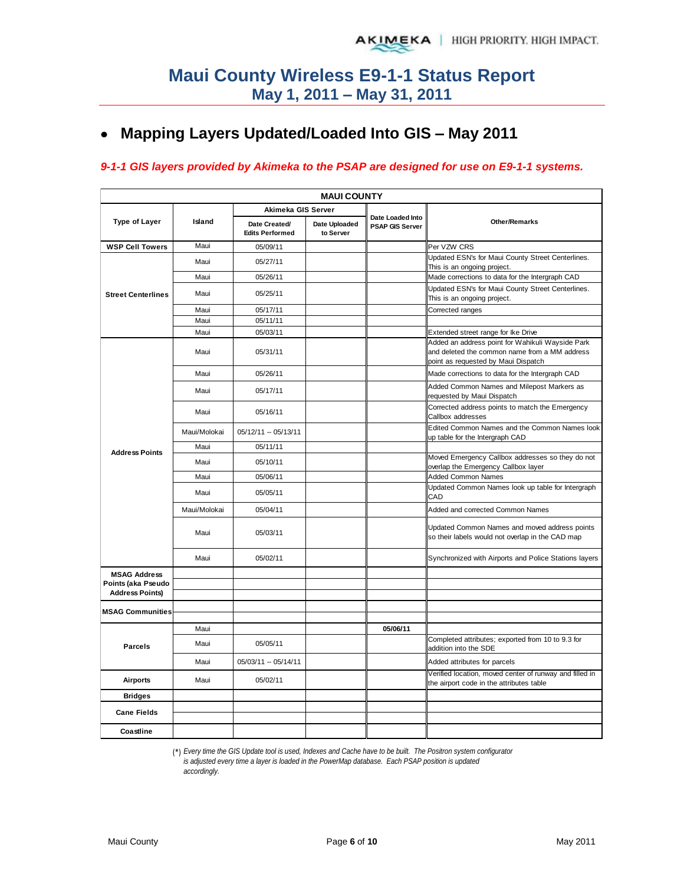## **Mapping Layers Updated/Loaded Into GIS – May 2011**

#### *9-1-1 GIS layers provided by Akimeka to the PSAP are designed for use on E9-1-1 systems.*

| <b>MAUI COUNTY</b>                           |              |                                         |                            |                                            |                                                                                                                                          |  |  |  |  |  |
|----------------------------------------------|--------------|-----------------------------------------|----------------------------|--------------------------------------------|------------------------------------------------------------------------------------------------------------------------------------------|--|--|--|--|--|
|                                              |              | Akimeka GIS Server                      |                            |                                            |                                                                                                                                          |  |  |  |  |  |
| <b>Type of Layer</b>                         | Island       | Date Created/<br><b>Edits Performed</b> | Date Uploaded<br>to Server | Date Loaded Into<br><b>PSAP GIS Server</b> | Other/Remarks                                                                                                                            |  |  |  |  |  |
| <b>WSP Cell Towers</b>                       | Maui         | 05/09/11                                |                            |                                            | Per VZW CRS                                                                                                                              |  |  |  |  |  |
|                                              | Maui         | 05/27/11                                |                            |                                            | Updated ESN's for Maui County Street Centerlines.                                                                                        |  |  |  |  |  |
|                                              | Maui         | 05/26/11                                |                            |                                            | This is an ongoing project.<br>Made corrections to data for the Intergraph CAD                                                           |  |  |  |  |  |
| <b>Street Centerlines</b>                    | Maui         | 05/25/11                                |                            |                                            | Updated ESN's for Maui County Street Centerlines.<br>This is an ongoing project.                                                         |  |  |  |  |  |
|                                              | Maui         | 05/17/11                                |                            |                                            | Corrected ranges                                                                                                                         |  |  |  |  |  |
|                                              | Maui         | 05/11/11                                |                            |                                            |                                                                                                                                          |  |  |  |  |  |
|                                              | Maui         | 05/03/11                                |                            |                                            | Extended street range for Ike Drive                                                                                                      |  |  |  |  |  |
|                                              | Maui         | 05/31/11                                |                            |                                            | Added an address point for Wahikuli Wayside Park<br>and deleted the common name from a MM address<br>point as requested by Maui Dispatch |  |  |  |  |  |
|                                              | Maui         | 05/26/11                                |                            |                                            | Made corrections to data for the Intergraph CAD                                                                                          |  |  |  |  |  |
|                                              | Maui         | 05/17/11                                |                            |                                            | Added Common Names and Milepost Markers as<br>requested by Maui Dispatch                                                                 |  |  |  |  |  |
|                                              | Maui         | 05/16/11                                |                            |                                            | Corrected address points to match the Emergency<br>Callbox addresses                                                                     |  |  |  |  |  |
|                                              | Maui/Molokai | 05/12/11 -- 05/13/11                    |                            |                                            | Edited Common Names and the Common Names look<br>up table for the Intergraph CAD                                                         |  |  |  |  |  |
| <b>Address Points</b>                        | Maui         | 05/11/11                                |                            |                                            |                                                                                                                                          |  |  |  |  |  |
|                                              | Maui         | 05/10/11                                |                            |                                            | Moved Emergency Callbox addresses so they do not<br>overlap the Emergency Callbox layer                                                  |  |  |  |  |  |
|                                              | Maui         | 05/06/11                                |                            |                                            | <b>Added Common Names</b>                                                                                                                |  |  |  |  |  |
|                                              | Maui         | 05/05/11                                |                            |                                            | Updated Common Names look up table for Intergraph<br>CAD                                                                                 |  |  |  |  |  |
|                                              | Maui/Molokai | 05/04/11                                |                            |                                            | Added and corrected Common Names                                                                                                         |  |  |  |  |  |
|                                              | Maui         | 05/03/11                                |                            |                                            | Updated Common Names and moved address points<br>so their labels would not overlap in the CAD map                                        |  |  |  |  |  |
|                                              | Maui         | 05/02/11                                |                            |                                            | Synchronized with Airports and Police Stations layers                                                                                    |  |  |  |  |  |
| <b>MSAG Address</b>                          |              |                                         |                            |                                            |                                                                                                                                          |  |  |  |  |  |
| Points (aka Pseudo<br><b>Address Points)</b> |              |                                         |                            |                                            |                                                                                                                                          |  |  |  |  |  |
|                                              |              |                                         |                            |                                            |                                                                                                                                          |  |  |  |  |  |
| <b>MSAG Communities</b>                      |              |                                         |                            |                                            |                                                                                                                                          |  |  |  |  |  |
|                                              | Maui         |                                         |                            | 05/06/11                                   |                                                                                                                                          |  |  |  |  |  |
| <b>Parcels</b>                               | Maui         | 05/05/11                                |                            |                                            | Completed attributes; exported from 10 to 9.3 for<br>addition into the SDE                                                               |  |  |  |  |  |
|                                              | Maui         | 05/03/11 -- 05/14/11                    |                            |                                            | Added attributes for parcels                                                                                                             |  |  |  |  |  |
| <b>Airports</b>                              | Maui         | 05/02/11                                |                            |                                            | Verified location, moved center of runway and filled in<br>the airport code in the attributes table                                      |  |  |  |  |  |
| <b>Bridges</b>                               |              |                                         |                            |                                            |                                                                                                                                          |  |  |  |  |  |
| <b>Cane Fields</b>                           |              |                                         |                            |                                            |                                                                                                                                          |  |  |  |  |  |
| Coastline                                    |              |                                         |                            |                                            |                                                                                                                                          |  |  |  |  |  |

(\*) *Every time the GIS Update tool is used, Indexes and Cache have to be built. The Positron system configurator* 

*is adjusted every time a layer is loaded in the PowerMap database. Each PSAP position is updated* 

*accordingly.*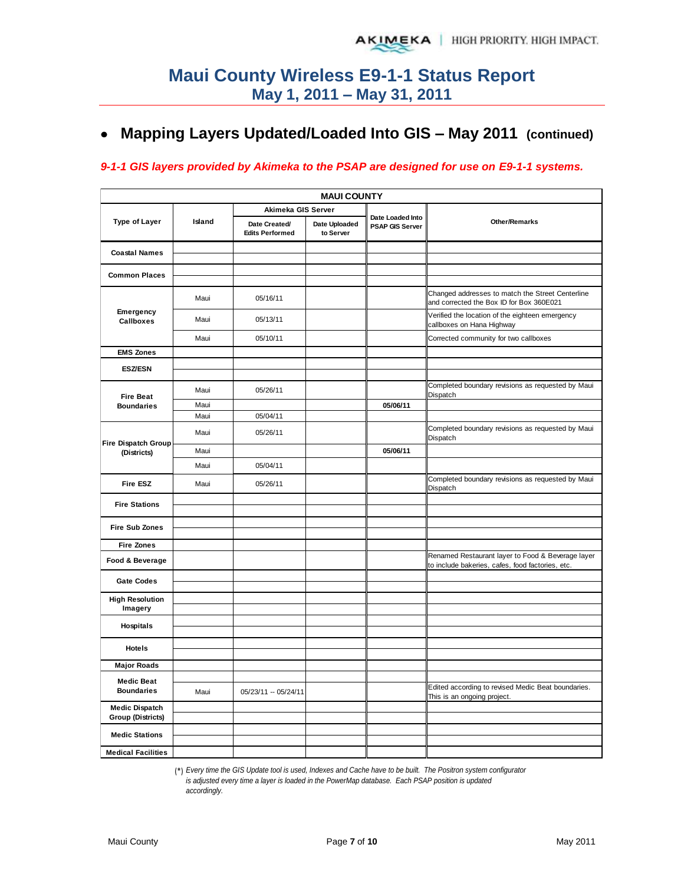## **Mapping Layers Updated/Loaded Into GIS – May 2011 (continued)**

#### *9-1-1 GIS layers provided by Akimeka to the PSAP are designed for use on E9-1-1 systems.*

|                                           |        |                                         | <b>MAUI COUNTY</b>         |                                     |                                                                                              |
|-------------------------------------------|--------|-----------------------------------------|----------------------------|-------------------------------------|----------------------------------------------------------------------------------------------|
|                                           |        | Akimeka GIS Server                      |                            |                                     |                                                                                              |
| <b>Type of Layer</b>                      | Island | Date Created/<br><b>Edits Performed</b> | Date Uploaded<br>to Server | Date Loaded Into<br>PSAP GIS Server | <b>Other/Remarks</b>                                                                         |
| <b>Coastal Names</b>                      |        |                                         |                            |                                     |                                                                                              |
| <b>Common Places</b>                      |        |                                         |                            |                                     |                                                                                              |
|                                           |        |                                         |                            |                                     |                                                                                              |
|                                           | Maui   | 05/16/11                                |                            |                                     | Changed addresses to match the Street Centerline<br>and corrected the Box ID for Box 360E021 |
| Emergency<br>Callboxes                    | Maui   | 05/13/11                                |                            |                                     | Verified the location of the eighteen emergency<br>callboxes on Hana Highway                 |
|                                           | Maui   | 05/10/11                                |                            |                                     | Corrected community for two callboxes                                                        |
| <b>EMS Zones</b>                          |        |                                         |                            |                                     |                                                                                              |
| <b>ESZ/ESN</b>                            |        |                                         |                            |                                     |                                                                                              |
|                                           |        |                                         |                            |                                     | Completed boundary revisions as requested by Maui                                            |
| <b>Fire Beat</b>                          | Maui   | 05/26/11                                |                            |                                     | Dispatch                                                                                     |
| <b>Boundaries</b>                         | Maui   |                                         |                            | 05/06/11                            |                                                                                              |
|                                           | Maui   | 05/04/11                                |                            |                                     |                                                                                              |
| <b>Fire Dispatch Group</b><br>(Districts) | Maui   | 05/26/11                                |                            |                                     | Completed boundary revisions as requested by Maui<br>Dispatch                                |
|                                           | Maui   |                                         |                            | 05/06/11                            |                                                                                              |
|                                           | Maui   | 05/04/11                                |                            |                                     |                                                                                              |
| <b>Fire ESZ</b>                           | Maui   | 05/26/11                                |                            |                                     | Completed boundary revisions as requested by Maui<br>Dispatch                                |
| <b>Fire Stations</b>                      |        |                                         |                            |                                     |                                                                                              |
|                                           |        |                                         |                            |                                     |                                                                                              |
| <b>Fire Sub Zones</b>                     |        |                                         |                            |                                     |                                                                                              |
| <b>Fire Zones</b>                         |        |                                         |                            |                                     |                                                                                              |
|                                           |        |                                         |                            |                                     | Renamed Restaurant layer to Food & Beverage layer                                            |
| Food & Beverage                           |        |                                         |                            |                                     | to include bakeries, cafes, food factories, etc.                                             |
| <b>Gate Codes</b>                         |        |                                         |                            |                                     |                                                                                              |
| <b>High Resolution</b>                    |        |                                         |                            |                                     |                                                                                              |
| Imagery                                   |        |                                         |                            |                                     |                                                                                              |
| <b>Hospitals</b>                          |        |                                         |                            |                                     |                                                                                              |
|                                           |        |                                         |                            |                                     |                                                                                              |
| <b>Hotels</b>                             |        |                                         |                            |                                     |                                                                                              |
| <b>Major Roads</b>                        |        |                                         |                            |                                     |                                                                                              |
| <b>Medic Beat</b>                         |        |                                         |                            |                                     |                                                                                              |
| <b>Boundaries</b>                         | Maui   | 05/23/11 -- 05/24/11                    |                            |                                     | Edited according to revised Medic Beat boundaries.<br>This is an ongoing project.            |
| <b>Medic Dispatch</b>                     |        |                                         |                            |                                     |                                                                                              |
| <b>Group (Districts)</b>                  |        |                                         |                            |                                     |                                                                                              |
| <b>Medic Stations</b>                     |        |                                         |                            |                                     |                                                                                              |
| <b>Medical Facilities</b>                 |        |                                         |                            |                                     |                                                                                              |

(\*) *Every time the GIS Update tool is used, Indexes and Cache have to be built. The Positron system configurator is adjusted every time a layer is loaded in the PowerMap database. Each PSAP position is updated accordingly.*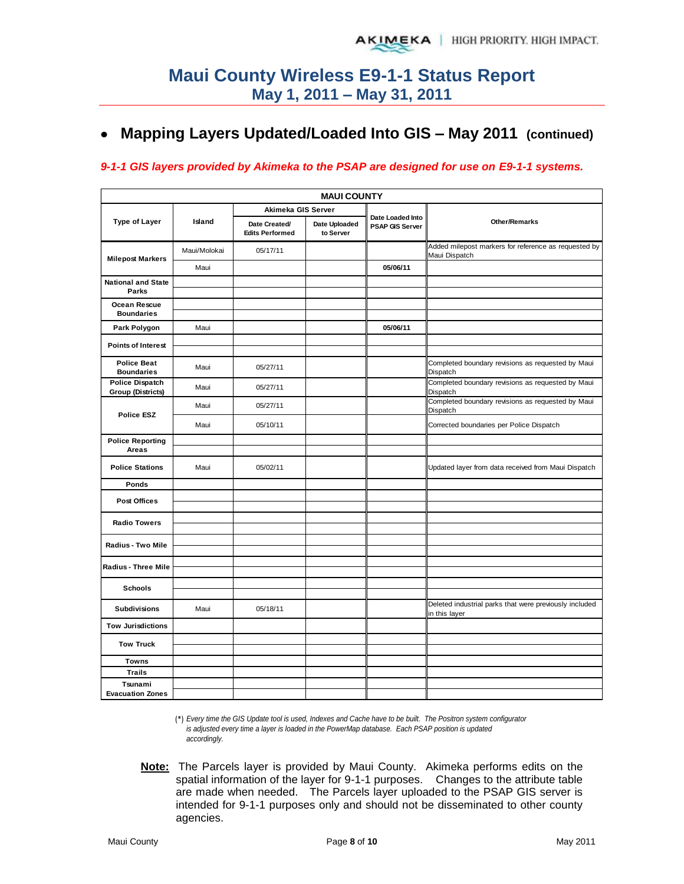## **Mapping Layers Updated/Loaded Into GIS – May 2011 (continued)**

#### *9-1-1 GIS layers provided by Akimeka to the PSAP are designed for use on E9-1-1 systems.*

|                                                    |              |                                         | <b>MAUI COUNTY</b>         |                                            |                                                                         |
|----------------------------------------------------|--------------|-----------------------------------------|----------------------------|--------------------------------------------|-------------------------------------------------------------------------|
|                                                    |              | Akimeka GIS Server                      |                            |                                            |                                                                         |
| Type of Layer                                      | Island       | Date Created/<br><b>Edits Performed</b> | Date Uploaded<br>to Server | Date Loaded Into<br><b>PSAP GIS Server</b> | <b>Other/Remarks</b>                                                    |
| <b>Milepost Markers</b>                            | Maui/Molokai | 05/17/11                                |                            |                                            | Added milepost markers for reference as requested by<br>Maui Dispatch   |
|                                                    | Maui         |                                         |                            | 05/06/11                                   |                                                                         |
| <b>National and State</b><br>Parks                 |              |                                         |                            |                                            |                                                                         |
| Ocean Rescue<br><b>Boundaries</b>                  |              |                                         |                            |                                            |                                                                         |
| Park Polygon                                       | Maui         |                                         |                            | 05/06/11                                   |                                                                         |
| <b>Points of Interest</b>                          |              |                                         |                            |                                            |                                                                         |
| <b>Police Beat</b><br><b>Boundaries</b>            | Maui         | 05/27/11                                |                            |                                            | Completed boundary revisions as requested by Maui<br>Dispatch           |
| <b>Police Dispatch</b><br><b>Group (Districts)</b> | Maui         | 05/27/11                                |                            |                                            | Completed boundary revisions as requested by Maui<br>Dispatch           |
| <b>Police ESZ</b>                                  | Maui         | 05/27/11                                |                            |                                            | Completed boundary revisions as requested by Maui<br>Dispatch           |
|                                                    | Maui         | 05/10/11                                |                            |                                            | Corrected boundaries per Police Dispatch                                |
| <b>Police Reporting</b><br>Areas                   |              |                                         |                            |                                            |                                                                         |
| <b>Police Stations</b>                             | Maui         | 05/02/11                                |                            |                                            | Updated layer from data received from Maui Dispatch                     |
| Ponds                                              |              |                                         |                            |                                            |                                                                         |
| Post Offices                                       |              |                                         |                            |                                            |                                                                         |
| <b>Radio Towers</b>                                |              |                                         |                            |                                            |                                                                         |
| Radius - Two Mile                                  |              |                                         |                            |                                            |                                                                         |
| <b>Radius - Three Mile</b>                         |              |                                         |                            |                                            |                                                                         |
| <b>Schools</b>                                     |              |                                         |                            |                                            |                                                                         |
| <b>Subdivisions</b>                                | Maui         | 05/18/11                                |                            |                                            | Deleted industrial parks that were previously included<br>in this layer |
| <b>Tow Jurisdictions</b>                           |              |                                         |                            |                                            |                                                                         |
| <b>Tow Truck</b>                                   |              |                                         |                            |                                            |                                                                         |
|                                                    |              |                                         |                            |                                            |                                                                         |
| <b>Towns</b><br><b>Trails</b>                      |              |                                         |                            |                                            |                                                                         |
| Tsunami<br><b>Evacuation Zones</b>                 |              |                                         |                            |                                            |                                                                         |
|                                                    |              |                                         |                            |                                            |                                                                         |

(\*) *Every time the GIS Update tool is used, Indexes and Cache have to be built. The Positron system configurator is adjusted every time a layer is loaded in the PowerMap database. Each PSAP position is updated accordingly.*

**Note:** The Parcels layer is provided by Maui County. Akimeka performs edits on the spatial information of the layer for 9-1-1 purposes. Changes to the attribute table are made when needed. The Parcels layer uploaded to the PSAP GIS server is intended for 9-1-1 purposes only and should not be disseminated to other county agencies.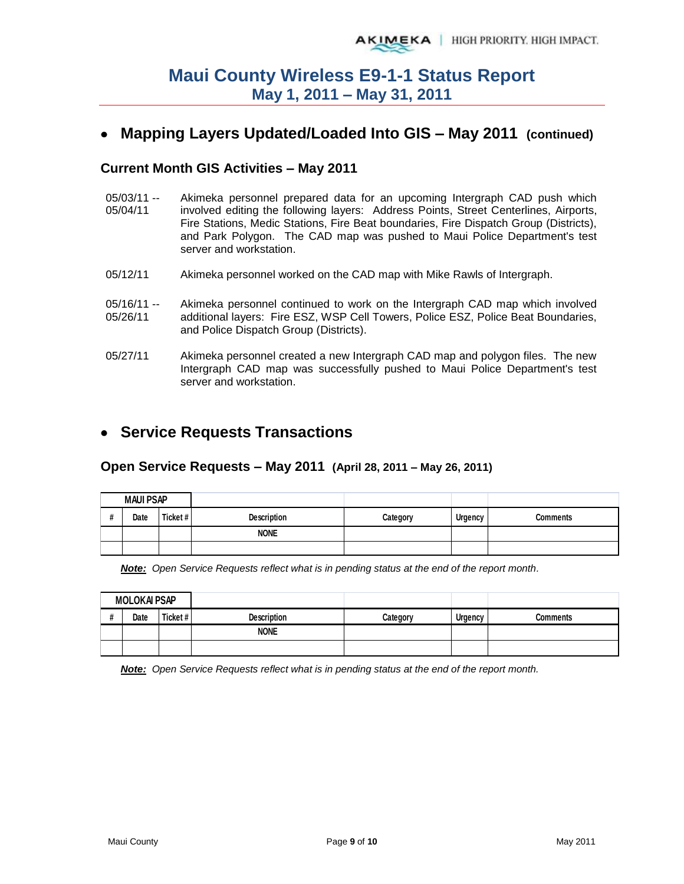## **Mapping Layers Updated/Loaded Into GIS – May 2011 (continued)**

#### **Current Month GIS Activities – May 2011**

- 05/03/11 -- 05/04/11 Akimeka personnel prepared data for an upcoming Intergraph CAD push which involved editing the following layers: Address Points, Street Centerlines, Airports, Fire Stations, Medic Stations, Fire Beat boundaries, Fire Dispatch Group (Districts), and Park Polygon. The CAD map was pushed to Maui Police Department's test server and workstation.
- 05/12/11 Akimeka personnel worked on the CAD map with Mike Rawls of Intergraph.
- $05/16/11 -$ 05/26/11 Akimeka personnel continued to work on the Intergraph CAD map which involved additional layers: Fire ESZ, WSP Cell Towers, Police ESZ, Police Beat Boundaries, and Police Dispatch Group (Districts).
- 05/27/11 Akimeka personnel created a new Intergraph CAD map and polygon files. The new Intergraph CAD map was successfully pushed to Maui Police Department's test server and workstation.

### **Service Requests Transactions**

#### **Open Service Requests – May 2011 (April 28, 2011 – May 26, 2011)**

| <b>MAUI PSAP</b> |         |                    |          |                |                 |
|------------------|---------|--------------------|----------|----------------|-----------------|
| Date             | Ticket# | <b>Description</b> | Category | <b>Urgency</b> | <b>Comments</b> |
|                  |         | <b>NONE</b>        |          |                |                 |
|                  |         |                    |          |                |                 |

*Note: Open Service Requests reflect what is in pending status at the end of the report month.* 

| <b>MOLOKAI PSAP</b> |      |          |                    |          |         |                 |
|---------------------|------|----------|--------------------|----------|---------|-----------------|
|                     | Date | Ticket # | <b>Description</b> | Category | Urgency | <b>Comments</b> |
|                     |      |          | <b>NONE</b>        |          |         |                 |
|                     |      |          |                    |          |         |                 |

*Note: Open Service Requests reflect what is in pending status at the end of the report month.*